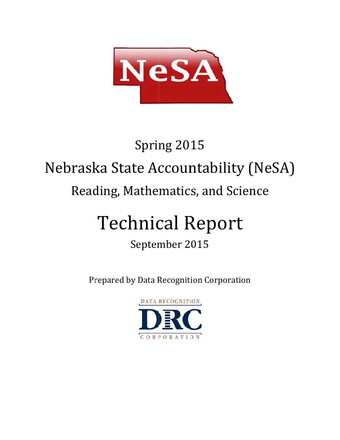

# Nebraska State Accountability (NeSA) Reading, Mathematics, and Science Spring 2015

# Technical Report

# September 2015

Prepared by Data Recognition Corporation

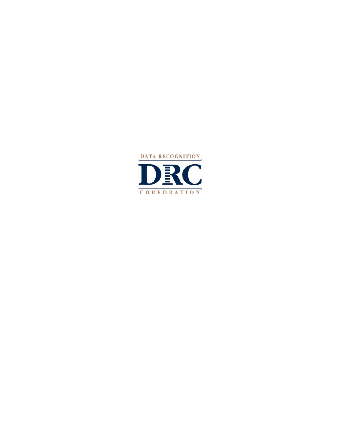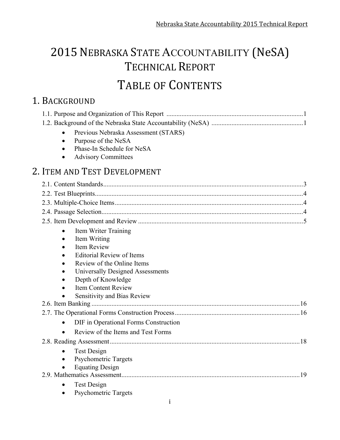# 2015 NEBRASKA STATE ACCOUNTABILITY (NeSA) TECHNICAL REPORT TABLE OF CONTENTS

# 1. BACKGROUND

| Previous Nebraska Assessment (STARS)               |     |
|----------------------------------------------------|-----|
| Purpose of the NeSA<br>$\bullet$                   |     |
| Phase-In Schedule for NeSA                         |     |
| <b>Advisory Committees</b><br>$\bullet$            |     |
| 2. ITEM AND TEST DEVELOPMENT                       |     |
|                                                    |     |
|                                                    |     |
|                                                    |     |
|                                                    |     |
|                                                    |     |
| Item Writer Training<br>$\bullet$                  |     |
| Item Writing                                       |     |
| <b>Item Review</b>                                 |     |
| <b>Editorial Review of Items</b>                   |     |
| Review of the Online Items                         |     |
| Universally Designed Assessments                   |     |
| Depth of Knowledge                                 |     |
| <b>Item Content Review</b>                         |     |
| <b>Sensitivity and Bias Review</b>                 |     |
|                                                    |     |
|                                                    |     |
| DIF in Operational Forms Construction<br>$\bullet$ |     |
| Review of the Items and Test Forms                 |     |
|                                                    | .18 |
| Test Design<br>$\bullet$                           |     |
| Psychometric Targets                               |     |
| <b>Equating Design</b>                             |     |
|                                                    | 19  |
| <b>Test Design</b>                                 |     |
| <b>Psychometric Targets</b>                        |     |
| i                                                  |     |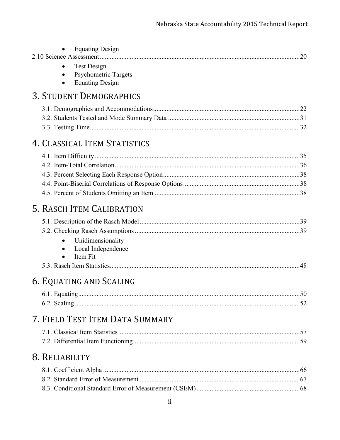| ii                                                                   |  |
|----------------------------------------------------------------------|--|
|                                                                      |  |
| 8. RELIABILITY                                                       |  |
| 7. FIELD TEST ITEM DATA SUMMARY                                      |  |
| 6. EQUATING AND SCALING                                              |  |
| Unidimensionality<br>Local Independence<br>Item Fit                  |  |
| 5. RASCH ITEM CALIBRATION                                            |  |
|                                                                      |  |
| 4. CLASSICAL ITEM STATISTICS                                         |  |
|                                                                      |  |
| <b>Equating Design</b><br><b>3. STUDENT DEMOGRAPHICS</b>             |  |
| <b>Equating Design</b><br><b>Test Design</b><br>Psychometric Targets |  |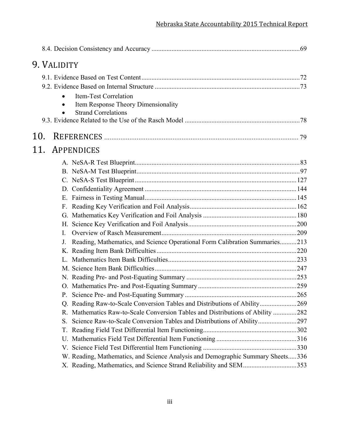|     | 9. VALIDITY |                                                                                 |  |
|-----|-------------|---------------------------------------------------------------------------------|--|
|     |             |                                                                                 |  |
|     |             |                                                                                 |  |
|     |             | Item-Test Correlation                                                           |  |
|     |             | Item Response Theory Dimensionality                                             |  |
|     |             | <b>Strand Correlations</b>                                                      |  |
|     |             |                                                                                 |  |
| 10. |             |                                                                                 |  |
| 11. |             | APPENDICES                                                                      |  |
|     |             |                                                                                 |  |
|     |             |                                                                                 |  |
|     |             |                                                                                 |  |
|     |             |                                                                                 |  |
|     |             |                                                                                 |  |
|     |             |                                                                                 |  |
|     |             |                                                                                 |  |
|     |             |                                                                                 |  |
|     | L           |                                                                                 |  |
|     | J.          | Reading, Mathematics, and Science Operational Form Calibration Summaries213     |  |
|     |             |                                                                                 |  |
|     |             |                                                                                 |  |
|     |             |                                                                                 |  |
|     |             |                                                                                 |  |
|     |             |                                                                                 |  |
|     |             |                                                                                 |  |
|     |             | Q. Reading Raw-to-Scale Conversion Tables and Distributions of Ability269       |  |
|     | R.          | Mathematics Raw-to-Scale Conversion Tables and Distributions of Ability 282     |  |
|     | S.          | Science Raw-to-Scale Conversion Tables and Distributions of Ability297          |  |
|     | Т.          |                                                                                 |  |
|     | U.          |                                                                                 |  |
|     |             |                                                                                 |  |
|     |             | W. Reading, Mathematics, and Science Analysis and Demographic Summary Sheets336 |  |
|     |             | X. Reading, Mathematics, and Science Strand Reliability and SEM353              |  |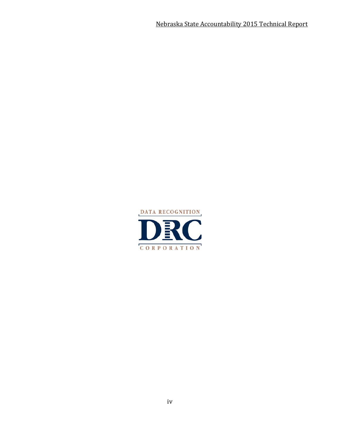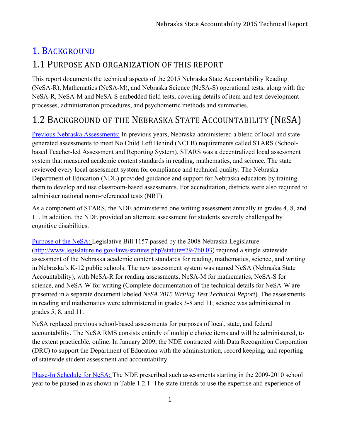# 1. BACKGROUND

## 1.1 PURPOSE AND ORGANIZATION OF THIS REPORT

This report documents the technical aspects of the 2015 Nebraska State Accountability Reading (NeSA-R), Mathematics (NeSA-M), and Nebraska Science (NeSA-S) operational tests, along with the NeSA-R, NeSA-M and NeSA-S embedded field tests, covering details of item and test development processes, administration procedures, and psychometric methods and summaries.

# 1.2 BACKGROUND OF THE NEBRASKA STATE ACCOUNTABILITY (NESA)

Previous Nebraska Assessments: In previous years, Nebraska administered a blend of local and stategenerated assessments to meet No Child Left Behind (NCLB) requirements called STARS (Schoolbased Teacher-led Assessment and Reporting System). STARS was a decentralized local assessment system that measured academic content standards in reading, mathematics, and science. The state reviewed every local assessment system for compliance and technical quality. The Nebraska Department of Education (NDE) provided guidance and support for Nebraska educators by training them to develop and use classroom-based assessments. For accreditation, districts were also required to administer national norm-referenced tests (NRT).

As a component of STARS, the NDE administered one writing assessment annually in grades 4, 8, and 11. In addition, the NDE provided an alternate assessment for students severely challenged by cognitive disabilities.

Purpose of the NeSA: Legislative Bill 1157 passed by the 2008 Nebraska Legislature (http://www.legislature.ne.gov/laws/statutes.php?statute=79-760.03) required a single statewide assessment of the Nebraska academic content standards for reading, mathematics, science, and writing in Nebraska's K-12 public schools. The new assessment system was named NeSA (Nebraska State Accountability), with NeSA-R for reading assessments, NeSA-M for mathematics, NeSA-S for science, and NeSA-W for writing (Complete documentation of the technical details for NeSA-W are presented in a separate document labeled *NeSA 2015 Writing Test Technical Report*). The assessments in reading and mathematics were administered in grades 3-8 and 11; science was administered in grades 5, 8, and 11.

NeSA replaced previous school-based assessments for purposes of local, state, and federal accountability. The NeSA RMS consists entirely of multiple choice items and will be administered, to the extent practicable, online. In January 2009, the NDE contracted with Data Recognition Corporation (DRC) to support the Department of Education with the administration, record keeping, and reporting of statewide student assessment and accountability.

Phase-In Schedule for NeSA: The NDE prescribed such assessments starting in the 2009-2010 school year to be phased in as shown in Table 1.2.1. The state intends to use the expertise and experience of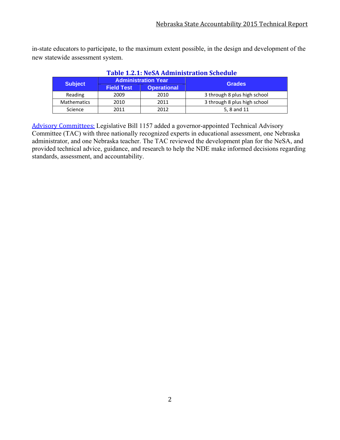in-state educators to participate, to the maximum extent possible, in the design and development of the new statewide assessment system.

| Table 1.2.1: NeSA Administration Schedule |                   |                            |                              |  |  |  |  |
|-------------------------------------------|-------------------|----------------------------|------------------------------|--|--|--|--|
| <b>Subject</b>                            |                   | <b>Administration Year</b> | <b>Grades</b>                |  |  |  |  |
|                                           | <b>Field Test</b> | <b>Operational</b>         |                              |  |  |  |  |
| Reading                                   | 2009              | 2010                       | 3 through 8 plus high school |  |  |  |  |
| <b>Mathematics</b>                        | 2010              | 2011                       | 3 through 8 plus high school |  |  |  |  |
| Science                                   | 2011              | 2012                       | 5, 8 and 11                  |  |  |  |  |

#### **Table 1.2.1:** NeSA Administration **Schedule**

Advisory Committees: Legislative Bill 1157 added a governor-appointed Technical Advisory Committee (TAC) with three nationally recognized experts in educational assessment, one Nebraska administrator, and one Nebraska teacher. The TAC reviewed the development plan for the NeSA, and provided technical advice, guidance, and research to help the NDE make informed decisions regarding standards, assessment, and accountability.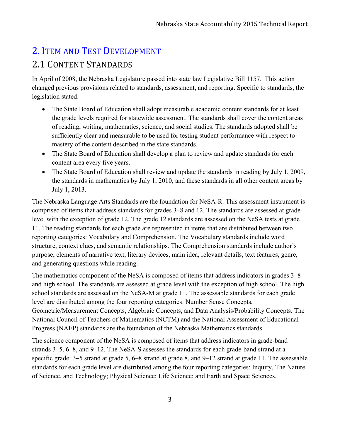# 2. ITEM AND TEST DEVELOPMENT 2.1 CONTENT STANDARDS

In April of 2008, the Nebraska Legislature passed into state law Legislative Bill 1157. This action changed previous provisions related to standards, assessment, and reporting. Specific to standards, the legislation stated:

- The State Board of Education shall adopt measurable academic content standards for at least the grade levels required for statewide assessment. The standards shall cover the content areas of reading, writing, mathematics, science, and social studies. The standards adopted shall be sufficiently clear and measurable to be used for testing student performance with respect to mastery of the content described in the state standards.
- The State Board of Education shall develop a plan to review and update standards for each content area every five years.
- The State Board of Education shall review and update the standards in reading by July 1, 2009, the standards in mathematics by July 1, 2010, and these standards in all other content areas by July 1, 2013.

The Nebraska Language Arts Standards are the foundation for NeSA-R. This assessment instrument is comprised of items that address standards for grades 3–8 and 12. The standards are assessed at gradelevel with the exception of grade 12. The grade 12 standards are assessed on the NeSA tests at grade 11. The reading standards for each grade are represented in items that are distributed between two reporting categories: Vocabulary and Comprehension. The Vocabulary standards include word structure, context clues, and semantic relationships. The Comprehension standards include author's purpose, elements of narrative text, literary devices, main idea, relevant details, text features, genre, and generating questions while reading.

The mathematics component of the NeSA is composed of items that address indicators in grades 3–8 and high school. The standards are assessed at grade level with the exception of high school. The high school standards are assessed on the NeSA-M at grade 11. The assessable standards for each grade level are distributed among the four reporting categories: Number Sense Concepts, Geometric/Measurement Concepts, Algebraic Concepts, and Data Analysis/Probability Concepts. The National Council of Teachers of Mathematics (NCTM) and the National Assessment of Educational Progress (NAEP) standards are the foundation of the Nebraska Mathematics standards.

The science component of the NeSA is composed of items that address indicators in grade-band strands 3–5, 6–8, and 9–12. The NeSA-S assesses the standards for each grade-band strand at a specific grade: 3–5 strand at grade 5, 6–8 strand at grade 8, and 9–12 strand at grade 11. The assessable standards for each grade level are distributed among the four reporting categories: Inquiry, The Nature of Science, and Technology; Physical Science; Life Science; and Earth and Space Sciences.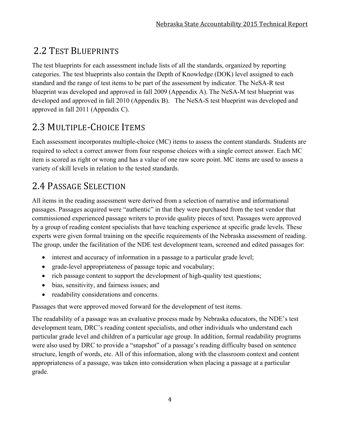# 2.2 TEST BLUEPRINTS

The test blueprints for each assessment include lists of all the standards, organized by reporting categories. The test blueprints also contain the Depth of Knowledge (DOK) level assigned to each standard and the range of test items to be part of the assessment by indicator. The NeSA-R test blueprint was developed and approved in fall 2009 (Appendix A). The NeSA-M test blueprint was developed and approved in fall 2010 (Appendix B). The NeSA-S test blueprint was developed and approved in fall 2011 (Appendix C).

# 2.3 MULTIPLE-CHOICE ITEMS

Each assessment incorporates multiple-choice (MC) items to assess the content standards. Students are required to select a correct answer from four response choices with a single correct answer. Each MC item is scored as right or wrong and has a value of one raw score point. MC items are used to assess a variety of skill levels in relation to the tested standards.

# 2.4 PASSAGE SELECTION

All items in the reading assessment were derived from a selection of narrative and informational passages. Passages acquired were "authentic" in that they were purchased from the test vendor that commissioned experienced passage writers to provide quality pieces of text. Passages were approved by a group of reading content specialists that have teaching experience at specific grade levels. These experts were given formal training on the specific requirements of the Nebraska assessment of reading. The group, under the facilitation of the NDE test development team, screened and edited passages for:

- interest and accuracy of information in a passage to a particular grade level;
- grade-level appropriateness of passage topic and vocabulary;
- rich passage content to support the development of high-quality test questions;
- bias, sensitivity, and fairness issues; and
- readability considerations and concerns.

Passages that were approved moved forward for the development of test items.

The readability of a passage was an evaluative process made by Nebraska educators, the NDE's test development team, DRC's reading content specialists, and other individuals who understand each particular grade level and children of a particular age group. In addition, formal readability programs were also used by DRC to provide a "snapshot" of a passage's reading difficulty based on sentence structure, length of words, etc. All of this information, along with the classroom context and content appropriateness of a passage, was taken into consideration when placing a passage at a particular grade.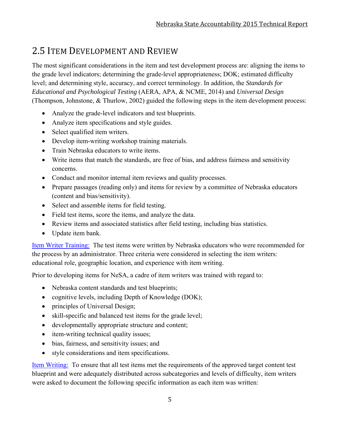## 2.5 ITEM DEVELOPMENT AND REVIEW

The most significant considerations in the item and test development process are: aligning the items to the grade level indicators; determining the grade-level appropriateness; DOK; estimated difficulty level; and determining style, accuracy, and correct terminology. In addition, the *Standards for Educational and Psychological Testing* (AERA, APA, & NCME, 2014) and *Universal Design* (Thompson, Johnstone, & Thurlow, 2002) guided the following steps in the item development process:

- Analyze the grade-level indicators and test blueprints.
- Analyze item specifications and style guides.
- Select qualified item writers.
- Develop item-writing workshop training materials.
- Train Nebraska educators to write items.
- Write items that match the standards, are free of bias, and address fairness and sensitivity concerns.
- Conduct and monitor internal item reviews and quality processes.
- Prepare passages (reading only) and items for review by a committee of Nebraska educators (content and bias/sensitivity).
- Select and assemble items for field testing.
- Field test items, score the items, and analyze the data.
- Review items and associated statistics after field testing, including bias statistics.
- Update item bank.

Item Writer Training: The test items were written by Nebraska educators who were recommended for the process by an administrator. Three criteria were considered in selecting the item writers: educational role, geographic location, and experience with item writing.

Prior to developing items for NeSA, a cadre of item writers was trained with regard to:

- Nebraska content standards and test blueprints;
- cognitive levels, including Depth of Knowledge (DOK);
- principles of Universal Design;
- skill-specific and balanced test items for the grade level;
- developmentally appropriate structure and content;
- item-writing technical quality issues;
- bias, fairness, and sensitivity issues; and
- style considerations and item specifications.

Item Writing: To ensure that all test items met the requirements of the approved target content test blueprint and were adequately distributed across subcategories and levels of difficulty, item writers were asked to document the following specific information as each item was written: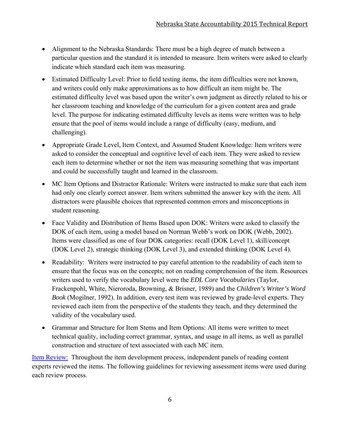- Alignment to the Nebraska Standards: There must be a high degree of match between a particular question and the standard it is intended to measure. Item writers were asked to clearly indicate which standard each item was measuring.
- Estimated Difficulty Level: Prior to field testing items, the item difficulties were not known, and writers could only make approximations as to how difficult an item might be. The estimated difficulty level was based upon the writer's own judgment as directly related to his or her classroom teaching and knowledge of the curriculum for a given content area and grade level. The purpose for indicating estimated difficulty levels as items were written was to help ensure that the pool of items would include a range of difficulty (easy, medium, and challenging).
- Appropriate Grade Level, Item Context, and Assumed Student Knowledge: Item writers were asked to consider the conceptual and cognitive level of each item. They were asked to review each item to determine whether or not the item was measuring something that was important and could be successfully taught and learned in the classroom.
- MC Item Options and Distractor Rationale: Writers were instructed to make sure that each item had only one clearly correct answer. Item writers submitted the answer key with the item. All distractors were plausible choices that represented common errors and misconceptions in student reasoning.
- Face Validity and Distribution of Items Based upon DOK: Writers were asked to classify the DOK of each item, using a model based on Norman Webb's work on DOK (Webb, 2002). Items were classified as one of four DOK categories: recall (DOK Level 1), skill/concept (DOK Level 2), strategic thinking (DOK Level 3), and extended thinking (DOK Level 4).
- Readability: Writers were instructed to pay careful attention to the readability of each item to ensure that the focus was on the concepts; not on reading comprehension of the item. Resources writers used to verify the vocabulary level were the *EDL Core Vocabularies* (Taylor, Frackenpohl, White, Nieroroda, Browning, & Brisner, 1989) and the *Children's Writer's Word Book* (Mogilner, 1992). In addition, every test item was reviewed by grade-level experts. They reviewed each item from the perspective of the students they teach, and they determined the validity of the vocabulary used.
- Grammar and Structure for Item Stems and Item Options: All items were written to meet technical quality, including correct grammar, syntax, and usage in all items, as well as parallel construction and structure of text associated with each MC item.

Item Review: Throughout the item development process, independent panels of reading content experts reviewed the items. The following guidelines for reviewing assessment items were used during each review process.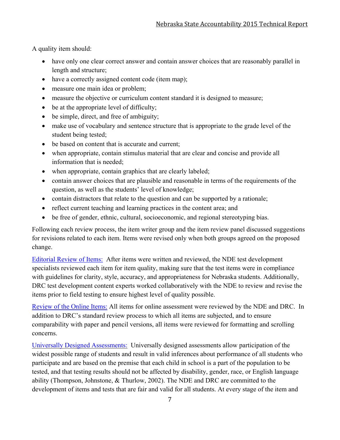A quality item should:

- have only one clear correct answer and contain answer choices that are reasonably parallel in length and structure;
- have a correctly assigned content code (item map);
- measure one main idea or problem;
- measure the objective or curriculum content standard it is designed to measure;
- be at the appropriate level of difficulty;
- be simple, direct, and free of ambiguity;
- make use of vocabulary and sentence structure that is appropriate to the grade level of the student being tested;
- be based on content that is accurate and current;
- when appropriate, contain stimulus material that are clear and concise and provide all information that is needed;
- when appropriate, contain graphics that are clearly labeled;
- contain answer choices that are plausible and reasonable in terms of the requirements of the question, as well as the students' level of knowledge;
- contain distractors that relate to the question and can be supported by a rationale;
- reflect current teaching and learning practices in the content area; and
- be free of gender, ethnic, cultural, socioeconomic, and regional stereotyping bias.

Following each review process, the item writer group and the item review panel discussed suggestions for revisions related to each item. Items were revised only when both groups agreed on the proposed change.

Editorial Review of Items: After items were written and reviewed, the NDE test development specialists reviewed each item for item quality, making sure that the test items were in compliance with guidelines for clarity, style, accuracy, and appropriateness for Nebraska students. Additionally, DRC test development content experts worked collaboratively with the NDE to review and revise the items prior to field testing to ensure highest level of quality possible.

Review of the Online Items: All items for online assessment were reviewed by the NDE and DRC. In addition to DRC's standard review process to which all items are subjected, and to ensure comparability with paper and pencil versions, all items were reviewed for formatting and scrolling concerns.

Universally Designed Assessments: Universally designed assessments allow participation of the widest possible range of students and result in valid inferences about performance of all students who participate and are based on the premise that each child in school is a part of the population to be tested, and that testing results should not be affected by disability, gender, race, or English language ability (Thompson, Johnstone, & Thurlow, 2002). The NDE and DRC are committed to the development of items and tests that are fair and valid for all students. At every stage of the item and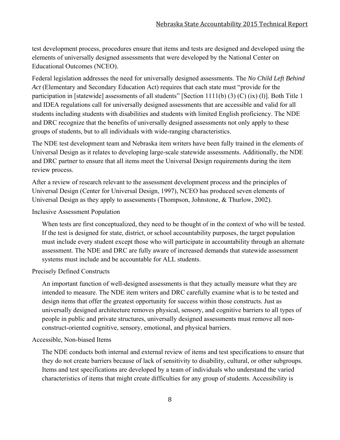test development process, procedures ensure that items and tests are designed and developed using the elements of universally designed assessments that were developed by the National Center on Educational Outcomes (NCEO).

Federal legislation addresses the need for universally designed assessments. The *No Child Left Behind Act* (Elementary and Secondary Education Act) requires that each state must "provide for the participation in [statewide] assessments of all students" [Section 1111(b) (3) (C) (ix) (l)]. Both Title 1 and IDEA regulations call for universally designed assessments that are accessible and valid for all students including students with disabilities and students with limited English proficiency. The NDE and DRC recognize that the benefits of universally designed assessments not only apply to these groups of students, but to all individuals with wide-ranging characteristics.

The NDE test development team and Nebraska item writers have been fully trained in the elements of Universal Design as it relates to developing large-scale statewide assessments. Additionally, the NDE and DRC partner to ensure that all items meet the Universal Design requirements during the item review process.

After a review of research relevant to the assessment development process and the principles of Universal Design (Center for Universal Design, 1997), NCEO has produced seven elements of Universal Design as they apply to assessments (Thompson, Johnstone, & Thurlow, 2002).

#### Inclusive Assessment Population

When tests are first conceptualized, they need to be thought of in the context of who will be tested. If the test is designed for state, district, or school accountability purposes, the target population must include every student except those who will participate in accountability through an alternate assessment. The NDE and DRC are fully aware of increased demands that statewide assessment systems must include and be accountable for ALL students.

#### Precisely Defined Constructs

An important function of well-designed assessments is that they actually measure what they are intended to measure. The NDE item writers and DRC carefully examine what is to be tested and design items that offer the greatest opportunity for success within those constructs. Just as universally designed architecture removes physical, sensory, and cognitive barriers to all types of people in public and private structures, universally designed assessments must remove all nonconstruct-oriented cognitive, sensory, emotional, and physical barriers.

#### Accessible, Non-biased Items

The NDE conducts both internal and external review of items and test specifications to ensure that they do not create barriers because of lack of sensitivity to disability, cultural, or other subgroups. Items and test specifications are developed by a team of individuals who understand the varied characteristics of items that might create difficulties for any group of students. Accessibility is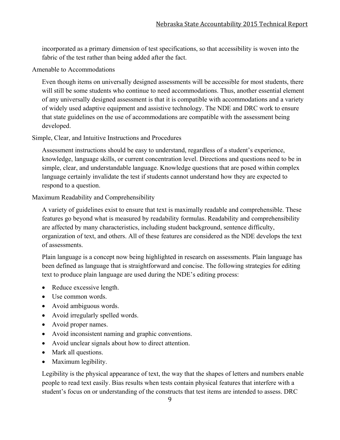incorporated as a primary dimension of test specifications, so that accessibility is woven into the fabric of the test rather than being added after the fact.

#### Amenable to Accommodations

Even though items on universally designed assessments will be accessible for most students, there will still be some students who continue to need accommodations. Thus, another essential element of any universally designed assessment is that it is compatible with accommodations and a variety of widely used adaptive equipment and assistive technology. The NDE and DRC work to ensure that state guidelines on the use of accommodations are compatible with the assessment being developed.

#### Simple, Clear, and Intuitive Instructions and Procedures

Assessment instructions should be easy to understand, regardless of a student's experience, knowledge, language skills, or current concentration level. Directions and questions need to be in simple, clear, and understandable language. Knowledge questions that are posed within complex language certainly invalidate the test if students cannot understand how they are expected to respond to a question.

#### Maximum Readability and Comprehensibility

A variety of guidelines exist to ensure that text is maximally readable and comprehensible. These features go beyond what is measured by readability formulas. Readability and comprehensibility are affected by many characteristics, including student background, sentence difficulty, organization of text, and others. All of these features are considered as the NDE develops the text of assessments.

Plain language is a concept now being highlighted in research on assessments. Plain language has been defined as language that is straightforward and concise. The following strategies for editing text to produce plain language are used during the NDE's editing process:

- Reduce excessive length.
- Use common words.
- Avoid ambiguous words.
- Avoid irregularly spelled words.
- Avoid proper names.
- Avoid inconsistent naming and graphic conventions.
- Avoid unclear signals about how to direct attention.
- Mark all questions.
- Maximum legibility.

Legibility is the physical appearance of text, the way that the shapes of letters and numbers enable people to read text easily. Bias results when tests contain physical features that interfere with a student's focus on or understanding of the constructs that test items are intended to assess. DRC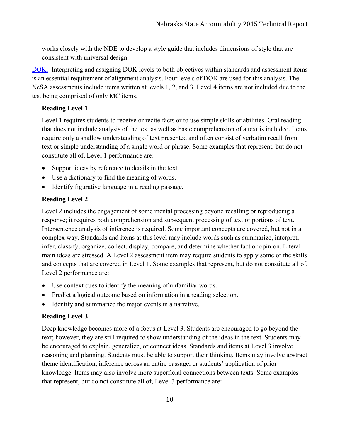works closely with the NDE to develop a style guide that includes dimensions of style that are consistent with universal design.

DOK: Interpreting and assigning DOK levels to both objectives within standards and assessment items is an essential requirement of alignment analysis. Four levels of DOK are used for this analysis. The NeSA assessments include items written at levels 1, 2, and 3. Level 4 items are not included due to the test being comprised of only MC items.

#### **Reading Level 1**

Level 1 requires students to receive or recite facts or to use simple skills or abilities. Oral reading that does not include analysis of the text as well as basic comprehension of a text is included. Items require only a shallow understanding of text presented and often consist of verbatim recall from text or simple understanding of a single word or phrase. Some examples that represent, but do not constitute all of, Level 1 performance are:

- Support ideas by reference to details in the text.
- Use a dictionary to find the meaning of words.
- Identify figurative language in a reading passage.

#### **Reading Level 2**

Level 2 includes the engagement of some mental processing beyond recalling or reproducing a response; it requires both comprehension and subsequent processing of text or portions of text. Intersentence analysis of inference is required. Some important concepts are covered, but not in a complex way. Standards and items at this level may include words such as summarize, interpret, infer, classify, organize, collect, display, compare, and determine whether fact or opinion. Literal main ideas are stressed. A Level 2 assessment item may require students to apply some of the skills and concepts that are covered in Level 1. Some examples that represent, but do not constitute all of, Level 2 performance are:

- Use context cues to identify the meaning of unfamiliar words.
- Predict a logical outcome based on information in a reading selection.
- Identify and summarize the major events in a narrative.

#### **Reading Level 3**

Deep knowledge becomes more of a focus at Level 3. Students are encouraged to go beyond the text; however, they are still required to show understanding of the ideas in the text. Students may be encouraged to explain, generalize, or connect ideas. Standards and items at Level 3 involve reasoning and planning. Students must be able to support their thinking. Items may involve abstract theme identification, inference across an entire passage, or students' application of prior knowledge. Items may also involve more superficial connections between texts. Some examples that represent, but do not constitute all of, Level 3 performance are: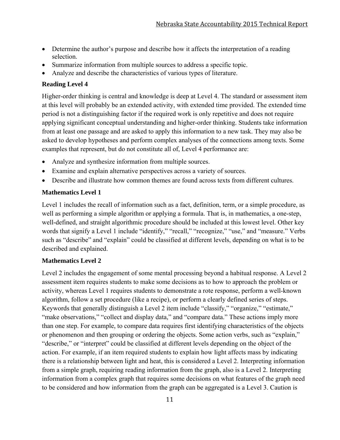- Determine the author's purpose and describe how it affects the interpretation of a reading selection.
- Summarize information from multiple sources to address a specific topic.
- Analyze and describe the characteristics of various types of literature.

#### **Reading Level 4**

Higher-order thinking is central and knowledge is deep at Level 4. The standard or assessment item at this level will probably be an extended activity, with extended time provided. The extended time period is not a distinguishing factor if the required work is only repetitive and does not require applying significant conceptual understanding and higher-order thinking. Students take information from at least one passage and are asked to apply this information to a new task. They may also be asked to develop hypotheses and perform complex analyses of the connections among texts. Some examples that represent, but do not constitute all of, Level 4 performance are:

- Analyze and synthesize information from multiple sources.
- Examine and explain alternative perspectives across a variety of sources.
- Describe and illustrate how common themes are found across texts from different cultures.

#### **Mathematics Level 1**

Level 1 includes the recall of information such as a fact, definition, term, or a simple procedure, as well as performing a simple algorithm or applying a formula. That is, in mathematics, a one-step, well-defined, and straight algorithmic procedure should be included at this lowest level. Other key words that signify a Level 1 include "identify," "recall," "recognize," "use," and "measure." Verbs such as "describe" and "explain" could be classified at different levels, depending on what is to be described and explained.

#### **Mathematics Level 2**

Level 2 includes the engagement of some mental processing beyond a habitual response. A Level 2 assessment item requires students to make some decisions as to how to approach the problem or activity, whereas Level 1 requires students to demonstrate a rote response, perform a well-known algorithm, follow a set procedure (like a recipe), or perform a clearly defined series of steps. Keywords that generally distinguish a Level 2 item include "classify," "organize," "estimate," "make observations," "collect and display data," and "compare data." These actions imply more than one step. For example, to compare data requires first identifying characteristics of the objects or phenomenon and then grouping or ordering the objects. Some action verbs, such as "explain," "describe," or "interpret" could be classified at different levels depending on the object of the action. For example, if an item required students to explain how light affects mass by indicating there is a relationship between light and heat, this is considered a Level 2. Interpreting information from a simple graph, requiring reading information from the graph, also is a Level 2. Interpreting information from a complex graph that requires some decisions on what features of the graph need to be considered and how information from the graph can be aggregated is a Level 3. Caution is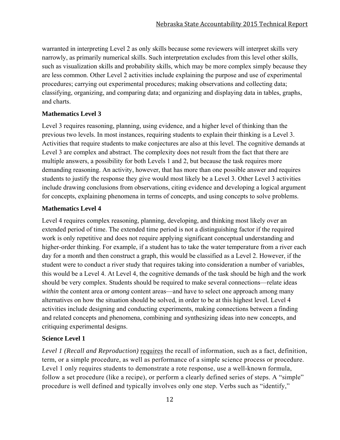warranted in interpreting Level 2 as only skills because some reviewers will interpret skills very narrowly, as primarily numerical skills. Such interpretation excludes from this level other skills, such as visualization skills and probability skills, which may be more complex simply because they are less common. Other Level 2 activities include explaining the purpose and use of experimental procedures; carrying out experimental procedures; making observations and collecting data; classifying, organizing, and comparing data; and organizing and displaying data in tables, graphs, and charts.

#### **Mathematics Level 3**

Level 3 requires reasoning, planning, using evidence, and a higher level of thinking than the previous two levels. In most instances, requiring students to explain their thinking is a Level 3. Activities that require students to make conjectures are also at this level. The cognitive demands at Level 3 are complex and abstract. The complexity does not result from the fact that there are multiple answers, a possibility for both Levels 1 and 2, but because the task requires more demanding reasoning. An activity, however, that has more than one possible answer and requires students to justify the response they give would most likely be a Level 3. Other Level 3 activities include drawing conclusions from observations, citing evidence and developing a logical argument for concepts, explaining phenomena in terms of concepts, and using concepts to solve problems.

#### **Mathematics Level 4**

Level 4 requires complex reasoning, planning, developing, and thinking most likely over an extended period of time. The extended time period is not a distinguishing factor if the required work is only repetitive and does not require applying significant conceptual understanding and higher-order thinking. For example, if a student has to take the water temperature from a river each day for a month and then construct a graph, this would be classified as a Level 2. However, if the student were to conduct a river study that requires taking into consideration a number of variables, this would be a Level 4. At Level 4, the cognitive demands of the task should be high and the work should be very complex. Students should be required to make several connections—relate ideas *within* the content area or *among* content areas—and have to select one approach among many alternatives on how the situation should be solved, in order to be at this highest level. Level 4 activities include designing and conducting experiments, making connections between a finding and related concepts and phenomena, combining and synthesizing ideas into new concepts, and critiquing experimental designs.

#### **Science Level 1**

*Level 1 (Recall and Reproduction)* requires the recall of information, such as a fact, definition, term, or a simple procedure, as well as performance of a simple science process or procedure. Level 1 only requires students to demonstrate a rote response, use a well-known formula, follow a set procedure (like a recipe), or perform a clearly defined series of steps. A "simple" procedure is well defined and typically involves only one step. Verbs such as "identify,"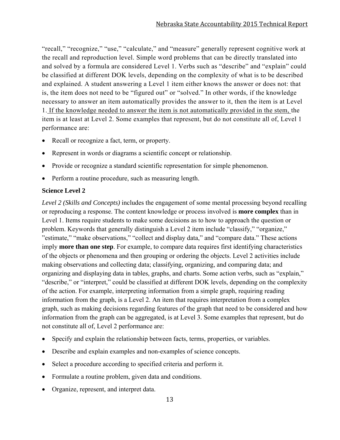"recall," "recognize," "use," "calculate," and "measure" generally represent cognitive work at the recall and reproduction level. Simple word problems that can be directly translated into and solved by a formula are considered Level 1. Verbs such as "describe" and "explain" could be classified at different DOK levels, depending on the complexity of what is to be described and explained. A student answering a Level 1 item either knows the answer or does not: that is, the item does not need to be "figured out" or "solved." In other words, if the knowledge necessary to answer an item automatically provides the answer to it, then the item is at Level 1. If the knowledge needed to answer the item is not automatically provided in the stem, the item is at least at Level 2. Some examples that represent, but do not constitute all of, Level 1 performance are:

- Recall or recognize a fact, term, or property.
- Represent in words or diagrams a scientific concept or relationship.
- Provide or recognize a standard scientific representation for simple phenomenon.
- Perform a routine procedure, such as measuring length.

#### **Science Level 2**

*Level 2 (Skills and Concepts)* includes the engagement of some mental processing beyond recalling or reproducing a response. The content knowledge or process involved is **more complex** than in Level 1. Items require students to make some decisions as to how to approach the question or problem. Keywords that generally distinguish a Level 2 item include "classify," "organize," "estimate," "make observations," "collect and display data," and "compare data." These actions imply **more than one step**. For example, to compare data requires first identifying characteristics of the objects or phenomena and then grouping or ordering the objects. Level 2 activities include making observations and collecting data; classifying, organizing, and comparing data; and organizing and displaying data in tables, graphs, and charts. Some action verbs, such as "explain," "describe," or "interpret," could be classified at different DOK levels, depending on the complexity of the action. For example, interpreting information from a simple graph, requiring reading information from the graph, is a Level 2. An item that requires interpretation from a complex graph, such as making decisions regarding features of the graph that need to be considered and how information from the graph can be aggregated, is at Level 3. Some examples that represent, but do not constitute all of, Level 2 performance are:

- Specify and explain the relationship between facts, terms, properties, or variables.
- Describe and explain examples and non-examples of science concepts.
- Select a procedure according to specified criteria and perform it.
- Formulate a routine problem, given data and conditions.
- Organize, represent, and interpret data.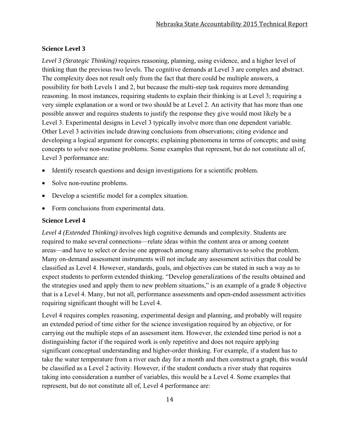#### **Science Level 3**

*Level 3 (Strategic Thinking)* requires reasoning, planning, using evidence, and a higher level of thinking than the previous two levels. The cognitive demands at Level 3 are complex and abstract. The complexity does not result only from the fact that there could be multiple answers, a possibility for both Levels 1 and 2, but because the multi-step task requires more demanding reasoning. In most instances, requiring students to explain their thinking is at Level 3; requiring a very simple explanation or a word or two should be at Level 2. An activity that has more than one possible answer and requires students to justify the response they give would most likely be a Level 3. Experimental designs in Level 3 typically involve more than one dependent variable. Other Level 3 activities include drawing conclusions from observations; citing evidence and developing a logical argument for concepts; explaining phenomena in terms of concepts; and using concepts to solve non-routine problems. Some examples that represent, but do not constitute all of, Level 3 performance are:

- Identify research questions and design investigations for a scientific problem.
- Solve non-routine problems.
- Develop a scientific model for a complex situation.
- Form conclusions from experimental data.

#### **Science Level 4**

*Level 4 (Extended Thinking)* involves high cognitive demands and complexity. Students are required to make several connections—relate ideas within the content area or among content areas—and have to select or devise one approach among many alternatives to solve the problem. Many on-demand assessment instruments will not include any assessment activities that could be classified as Level 4. However, standards, goals, and objectives can be stated in such a way as to expect students to perform extended thinking. "Develop generalizations of the results obtained and the strategies used and apply them to new problem situations," is an example of a grade 8 objective that is a Level 4. Many, but not all, performance assessments and open-ended assessment activities requiring significant thought will be Level 4.

Level 4 requires complex reasoning, experimental design and planning, and probably will require an extended period of time either for the science investigation required by an objective, or for carrying out the multiple steps of an assessment item. However, the extended time period is not a distinguishing factor if the required work is only repetitive and does not require applying significant conceptual understanding and higher-order thinking. For example, if a student has to take the water temperature from a river each day for a month and then construct a graph, this would be classified as a Level 2 activity. However, if the student conducts a river study that requires taking into consideration a number of variables, this would be a Level 4. Some examples that represent, but do not constitute all of, Level 4 performance are: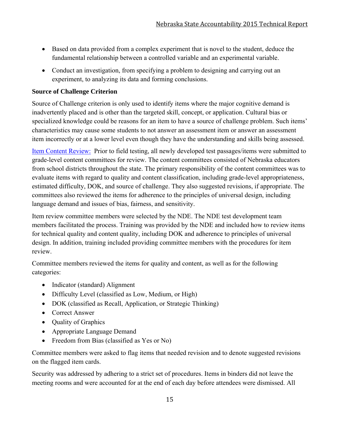- Based on data provided from a complex experiment that is novel to the student, deduce the fundamental relationship between a controlled variable and an experimental variable.
- Conduct an investigation, from specifying a problem to designing and carrying out an experiment, to analyzing its data and forming conclusions.

#### **Source of Challenge Criterion**

Source of Challenge criterion is only used to identify items where the major cognitive demand is inadvertently placed and is other than the targeted skill, concept, or application. Cultural bias or specialized knowledge could be reasons for an item to have a source of challenge problem. Such items' characteristics may cause some students to not answer an assessment item or answer an assessment item incorrectly or at a lower level even though they have the understanding and skills being assessed.

Item Content Review: Prior to field testing, all newly developed test passages/items were submitted to grade-level content committees for review. The content committees consisted of Nebraska educators from school districts throughout the state. The primary responsibility of the content committees was to evaluate items with regard to quality and content classification, including grade-level appropriateness, estimated difficulty, DOK, and source of challenge. They also suggested revisions, if appropriate. The committees also reviewed the items for adherence to the principles of universal design, including language demand and issues of bias, fairness, and sensitivity.

Item review committee members were selected by the NDE. The NDE test development team members facilitated the process. Training was provided by the NDE and included how to review items for technical quality and content quality, including DOK and adherence to principles of universal design. In addition, training included providing committee members with the procedures for item review.

Committee members reviewed the items for quality and content, as well as for the following categories:

- Indicator (standard) Alignment
- Difficulty Level (classified as Low, Medium, or High)
- DOK (classified as Recall, Application, or Strategic Thinking)
- Correct Answer
- Ouality of Graphics
- Appropriate Language Demand
- Freedom from Bias (classified as Yes or No)

Committee members were asked to flag items that needed revision and to denote suggested revisions on the flagged item cards.

Security was addressed by adhering to a strict set of procedures. Items in binders did not leave the meeting rooms and were accounted for at the end of each day before attendees were dismissed. All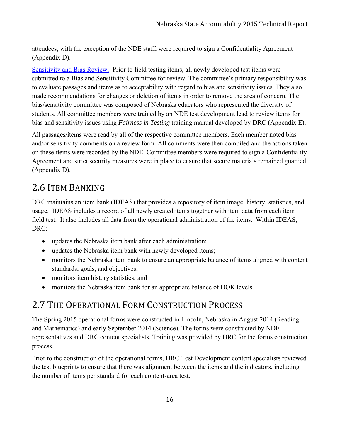attendees, with the exception of the NDE staff, were required to sign a Confidentiality Agreement (Appendix D).

Sensitivity and Bias Review: Prior to field testing items, all newly developed test items were submitted to a Bias and Sensitivity Committee for review. The committee's primary responsibility was to evaluate passages and items as to acceptability with regard to bias and sensitivity issues. They also made recommendations for changes or deletion of items in order to remove the area of concern. The bias/sensitivity committee was composed of Nebraska educators who represented the diversity of students. All committee members were trained by an NDE test development lead to review items for bias and sensitivity issues using *Fairness in Testing* training manual developed by DRC (Appendix E).

All passages/items were read by all of the respective committee members. Each member noted bias and/or sensitivity comments on a review form. All comments were then compiled and the actions taken on these items were recorded by the NDE. Committee members were required to sign a Confidentiality Agreement and strict security measures were in place to ensure that secure materials remained guarded (Appendix D).

# 2.6 ITEM BANKING

DRC maintains an item bank (IDEAS) that provides a repository of item image, history, statistics, and usage. IDEAS includes a record of all newly created items together with item data from each item field test. It also includes all data from the operational administration of the items. Within IDEAS, DRC:

- updates the Nebraska item bank after each administration;
- updates the Nebraska item bank with newly developed items;
- monitors the Nebraska item bank to ensure an appropriate balance of items aligned with content standards, goals, and objectives;
- monitors item history statistics; and
- monitors the Nebraska item bank for an appropriate balance of DOK levels.

# 2.7 THE OPERATIONAL FORM CONSTRUCTION PROCESS

The Spring 2015 operational forms were constructed in Lincoln, Nebraska in August 2014 (Reading and Mathematics) and early September 2014 (Science). The forms were constructed by NDE representatives and DRC content specialists. Training was provided by DRC for the forms construction process.

Prior to the construction of the operational forms, DRC Test Development content specialists reviewed the test blueprints to ensure that there was alignment between the items and the indicators, including the number of items per standard for each content-area test.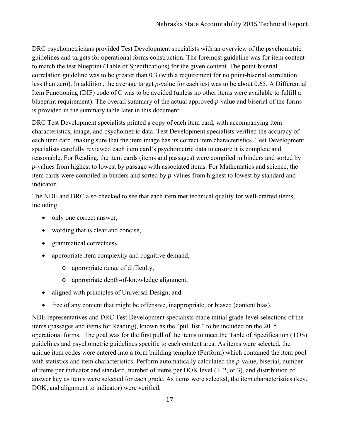DRC psychometricians provided Test Development specialists with an overview of the psychometric guidelines and targets for operational forms construction. The foremost guideline was for item content to match the test blueprint (Table of Specifications) for the given content. The point-biserial correlation guideline was to be greater than 0.3 (with a requirement for no point-biserial correlation less than zero). In addition, the average target *p*-value for each test was to be about 0.65. A Differential Item Functioning (DIF) code of C was to be avoided (unless no other items were available to fulfill a blueprint requirement). The overall summary of the actual approved *p*-value and biserial of the forms is provided in the summary table later in this document.

DRC Test Development specialists printed a copy of each item card, with accompanying item characteristics, image, and psychometric data. Test Development specialists verified the accuracy of each item card, making sure that the item image has its correct item characteristics. Test Development specialists carefully reviewed each item card's psychometric data to ensure it is complete and reasonable. For Reading, the item cards (items and passages) were compiled in binders and sorted by *p*-values from highest to lowest by passage with associated items. For Mathematics and science, the item cards were compiled in binders and sorted by *p*-values from highest to lowest by standard and indicator.

The NDE and DRC also checked to see that each item met technical quality for well-crafted items, including:

- only one correct answer,
- wording that is clear and concise,
- grammatical correctness,
- appropriate item complexity and cognitive demand,
	- o appropriate range of difficulty,
	- o appropriate depth-of-knowledge alignment,
- aligned with principles of Universal Design, and
- free of any content that might be offensive, inappropriate, or biased (content bias).

NDE representatives and DRC Test Development specialists made initial grade-level selections of the items (passages and items for Reading), known as the "pull list," to be included on the 2015 operational forms. The goal was for the first pull of the items to meet the Table of Specification (TOS) guidelines and psychometric guidelines specific to each content area. As items were selected, the unique item codes were entered into a form building template (Perform) which contained the item pool with statistics and item characteristics. Perform automatically calculated the *p*-value, biserial, number of items per indicator and standard, number of items per DOK level (1, 2, or 3), and distribution of answer key as items were selected for each grade. As items were selected, the item characteristics (key, DOK, and alignment to indicator) were verified.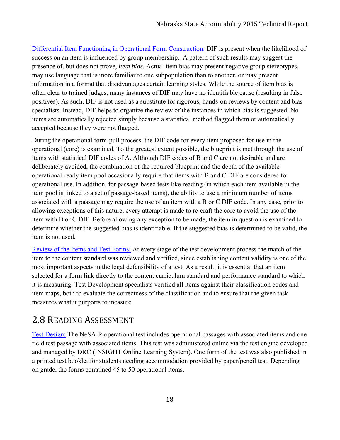Differential Item Functioning in Operational Form Construction: DIF is present when the likelihood of success on an item is influenced by group membership. A pattern of such results may suggest the presence of, but does not prove, *item bias*. Actual item bias may present negative group stereotypes, may use language that is more familiar to one subpopulation than to another, or may present information in a format that disadvantages certain learning styles. While the source of item bias is often clear to trained judges, many instances of DIF may have no identifiable cause (resulting in false positives). As such, DIF is not used as a substitute for rigorous, hands-on reviews by content and bias specialists. Instead, DIF helps to organize the review of the instances in which bias is suggested. No items are automatically rejected simply because a statistical method flagged them or automatically accepted because they were not flagged.

During the operational form-pull process, the DIF code for every item proposed for use in the operational (core) is examined. To the greatest extent possible, the blueprint is met through the use of items with statistical DIF codes of A. Although DIF codes of B and C are not desirable and are deliberately avoided, the combination of the required blueprint and the depth of the available operational-ready item pool occasionally require that items with B and C DIF are considered for operational use. In addition, for passage-based tests like reading (in which each item available in the item pool is linked to a set of passage-based items), the ability to use a minimum number of items associated with a passage may require the use of an item with a B or C DIF code. In any case, prior to allowing exceptions of this nature, every attempt is made to re-craft the core to avoid the use of the item with B or C DIF. Before allowing any exception to be made, the item in question is examined to determine whether the suggested bias is identifiable. If the suggested bias is determined to be valid, the item is not used.

Review of the Items and Test Forms: At every stage of the test development process the match of the item to the content standard was reviewed and verified, since establishing content validity is one of the most important aspects in the legal defensibility of a test. As a result, it is essential that an item selected for a form link directly to the content curriculum standard and performance standard to which it is measuring. Test Development specialists verified all items against their classification codes and item maps, both to evaluate the correctness of the classification and to ensure that the given task measures what it purports to measure.

# 2.8 READING ASSESSMENT

Test Design: The NeSA-R operational test includes operational passages with associated items and one field test passage with associated items. This test was administered online via the test engine developed and managed by DRC (INSIGHT Online Learning System). One form of the test was also published in a printed test booklet for students needing accommodation provided by paper/pencil test. Depending on grade, the forms contained 45 to 50 operational items.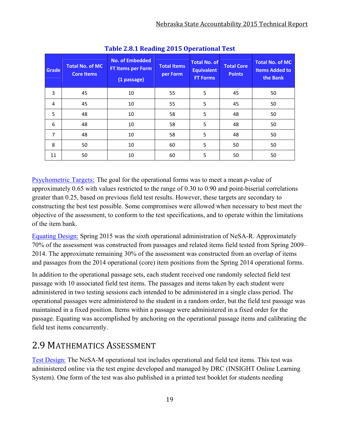| Grade          | <b>Total No. of MC</b><br><b>Core Items</b> | <b>No. of Embedded</b><br>FT Items per Form<br>(1 passage) | <b>Total Items</b><br>per Form | <b>Total No. of</b><br><b>Equivalent</b><br><b>FT Forms</b> | <b>Total Core</b><br><b>Points</b> | <b>Total No. of MC</b><br><b>Items Added to</b><br>the Bank |
|----------------|---------------------------------------------|------------------------------------------------------------|--------------------------------|-------------------------------------------------------------|------------------------------------|-------------------------------------------------------------|
| 3              | 45                                          | 10                                                         | 55                             | 5                                                           | 45                                 | 50                                                          |
| 4              | 45                                          | 10                                                         | 55                             | 5                                                           | 45                                 | 50                                                          |
| 5              | 48                                          | 10                                                         | 58                             | 5                                                           | 48                                 | 50                                                          |
| 6              | 48                                          | 10                                                         | 58                             | 5                                                           | 48                                 | 50                                                          |
| $\overline{7}$ | 48                                          | 10                                                         | 58                             | 5                                                           | 48                                 | 50                                                          |
| 8              | 50                                          | 10                                                         | 60                             | 5                                                           | 50                                 | 50                                                          |
| 11             | 50                                          | 10                                                         | 60                             | 5                                                           | 50                                 | 50                                                          |

**Table 2.8.1 Reading 2015 Operational Test**

Psychometric Targets: The goal for the operational forms was to meet a mean *p*-value of approximately 0.65 with values restricted to the range of 0.30 to 0.90 and point-biserial correlations greater than 0.25, based on previous field test results. However, these targets are secondary to constructing the best test possible. Some compromises were allowed when necessary to best meet the objective of the assessment, to conform to the test specifications, and to operate within the limitations of the item bank.

Equating Design: Spring 2015 was the sixth operational administration of NeSA-R. Approximately 70% of the assessment was constructed from passages and related items field tested from Spring 2009– 2014. The approximate remaining 30% of the assessment was constructed from an overlap of items and passages from the 2014 operational (core) item positions from the Spring 2014 operational forms.

In addition to the operational passage sets, each student received one randomly selected field test passage with 10 associated field test items. The passages and items taken by each student were administered in two testing sessions each intended to be administered in a single class period. The operational passages were administered to the student in a random order, but the field test passage was maintained in a fixed position. Items within a passage were administered in a fixed order for the passage. Equating was accomplished by anchoring on the operational passage items and calibrating the field test items concurrently.

## 2.9 MATHEMATICS ASSESSMENT

Test Design: The NeSA-M operational test includes operational and field test items. This test was administered online via the test engine developed and managed by DRC (INSIGHT Online Learning System). One form of the test was also published in a printed test booklet for students needing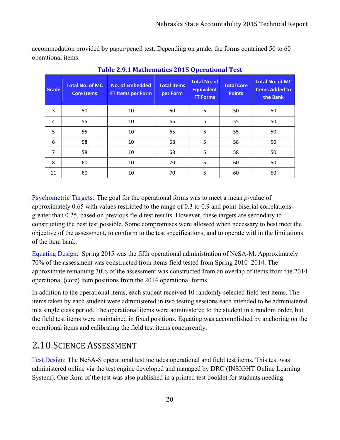accommodation provided by paper/pencil test. Depending on grade, the forms contained 50 to 60 operational items.

| Grade | <b>Total No. of MC</b><br><b>Core Items</b> | <b>No. of Embedded</b><br><b>FT Items per Form</b> | <b>Total Items</b><br>per Form | <b>Total No. of</b><br><b>Equivalent</b><br><b>FT Forms</b> | <b>Total Core</b><br><b>Points</b> | <b>Total No. of MC</b><br><b>Items Added to</b><br>the Bank |
|-------|---------------------------------------------|----------------------------------------------------|--------------------------------|-------------------------------------------------------------|------------------------------------|-------------------------------------------------------------|
| 3     | 50                                          | 10                                                 | 60                             | 5                                                           | 50                                 | 50                                                          |
| 4     | 55                                          | 10                                                 | 65                             | 5                                                           | 55                                 | 50                                                          |
| 5     | 55                                          | 10                                                 | 65                             | 5                                                           | 55                                 | 50                                                          |
| 6     | 58                                          | 10                                                 | 68                             | 5                                                           | 58                                 | 50                                                          |
| 7     | 58                                          | 10                                                 | 68                             | 5                                                           | 58                                 | 50                                                          |
| 8     | 60                                          | 10                                                 | 70                             | 5                                                           | 60                                 | 50                                                          |
| 11    | 60                                          | 10                                                 | 70                             | 5                                                           | 60                                 | 50                                                          |

**Table 2.9.1 Mathematics 2015 Operational Test**

Psychometric Targets: The goal for the operational forms was to meet a mean *p*-value of approximately 0.65 with values restricted to the range of 0.3 to 0.9 and point-biserial correlations greater than 0.25, based on previous field test results. However, these targets are secondary to constructing the best test possible. Some compromises were allowed when necessary to best meet the objective of the assessment, to conform to the test specifications, and to operate within the limitations of the item bank.

Equating Design: Spring 2015 was the fifth operational administration of NeSA-M. Approximately 70% of the assessment was constructed from items field tested from Spring 2010–2014. The approximate remaining 30% of the assessment was constructed from an overlap of items from the 2014 operational (core) item positions from the 2014 operational forms.

In addition to the operational items, each student received 10 randomly selected field test items. The items taken by each student were administered in two testing sessions each intended to be administered in a single class period. The operational items were administered to the student in a random order, but the field test items were maintained in fixed positions. Equating was accomplished by anchoring on the operational items and calibrating the field test items concurrently.

# 2.10 SCIENCE ASSESSMENT

Test Design: The NeSA-S operational test includes operational and field test items. This test was administered online via the test engine developed and managed by DRC (INSIGHT Online Learning System). One form of the test was also published in a printed test booklet for students needing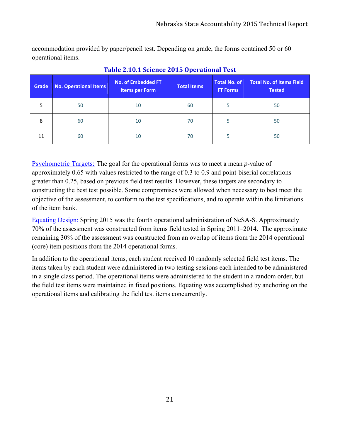accommodation provided by paper/pencil test. Depending on grade, the forms contained 50 or 60 operational items.

| Grade | <b>No. Operational Items</b> | <b>No. of Embedded FT</b><br><b>Items per Form</b> | <b>Total Items</b> | <b>Total No. of</b><br><b>FT Forms</b> | <b>Total No. of Items Field</b><br><b>Tested</b> |
|-------|------------------------------|----------------------------------------------------|--------------------|----------------------------------------|--------------------------------------------------|
| 5     | 50                           | 10                                                 | 60                 | 5                                      | 50                                               |
| 8     | 60                           | 10                                                 | 70                 | 5                                      | 50                                               |
| 11    | 60                           | 10                                                 | 70                 | 5                                      | 50                                               |

#### **Table 2.10.1 Science 2015 Operational Test**

Psychometric Targets: The goal for the operational forms was to meet a mean *p*-value of approximately 0.65 with values restricted to the range of 0.3 to 0.9 and point-biserial correlations greater than 0.25, based on previous field test results. However, these targets are secondary to constructing the best test possible. Some compromises were allowed when necessary to best meet the objective of the assessment, to conform to the test specifications, and to operate within the limitations of the item bank.

Equating Design: Spring 2015 was the fourth operational administration of NeSA-S. Approximately 70% of the assessment was constructed from items field tested in Spring 2011–2014. The approximate remaining 30% of the assessment was constructed from an overlap of items from the 2014 operational (core) item positions from the 2014 operational forms.

In addition to the operational items, each student received 10 randomly selected field test items. The items taken by each student were administered in two testing sessions each intended to be administered in a single class period. The operational items were administered to the student in a random order, but the field test items were maintained in fixed positions. Equating was accomplished by anchoring on the operational items and calibrating the field test items concurrently.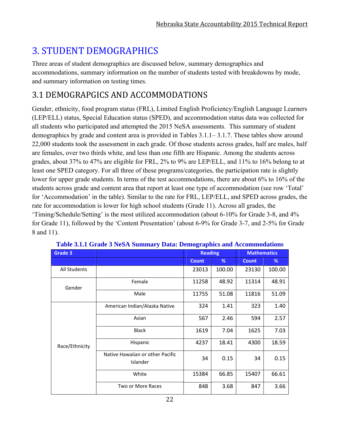# **3. STUDENT DEMOGRAPHICS**

Three areas of student demographics are discussed below, summary demographics and accommodations, summary information on the number of students tested with breakdowns by mode, and summary information on testing times.

## 3.1 DEMOGRAPGICS AND ACCOMMODATIONS

Gender, ethnicity, food program status (FRL), Limited English Proficiency/English Language Learners (LEP/ELL) status, Special Education status (SPED), and accommodation status data was collected for all students who participated and attempted the 2015 NeSA assessments. This summary of student demographics by grade and content area is provided in Tables 3.1.1– 3.1.7. These tables show around 22,000 students took the assessment in each grade. Of those students across grades, half are males, half are females, over two thirds white, and less than one fifth are Hispanic. Among the students across grades, about 37% to 47% are eligible for FRL, 2% to 9% are LEP/ELL, and 11% to 16% belong to at least one SPED category. For all three of these programs/categories, the participation rate is slightly lower for upper grade students. In terms of the test accommodations, there are about 6% to 16% of the students across grade and content area that report at least one type of accommodation (see row 'Total' for 'Accommodation' in the table). Similar to the rate for FRL, LEP/ELL, and SPED across grades, the rate for accommodation is lower for high school students (Grade 11). Across all grades, the 'Timing/Schedule/Setting' is the most utilized accommodation (about 6-10% for Grade 3-8, and 4% for Grade 11), followed by the 'Content Presentation' (about 6-9% for Grade 3-7, and 2-5% for Grade 8 and 11).

| Grade 3        |                                              | <b>Reading</b><br><b>Mathematics</b> |        |              |        |
|----------------|----------------------------------------------|--------------------------------------|--------|--------------|--------|
|                |                                              | <b>Count</b>                         | %      | <b>Count</b> | %      |
| All Students   |                                              | 23013                                | 100.00 | 23130        | 100.00 |
| Gender         | Female                                       | 11258                                | 48.92  | 11314        | 48.91  |
|                | Male                                         | 11755                                | 51.08  | 11816        | 51.09  |
|                | American Indian/Alaska Native                | 324                                  | 1.41   | 323          | 1.40   |
|                | Asian                                        | 567                                  | 2.46   | 594          | 2.57   |
|                | <b>Black</b>                                 | 1619                                 | 7.04   | 1625         | 7.03   |
| Race/Ethnicity | Hispanic                                     | 4237                                 | 18.41  | 4300         | 18.59  |
|                | Native Hawaiian or other Pacific<br>Islander | 34                                   | 0.15   | 34           | 0.15   |
|                | White                                        | 15384                                | 66.85  | 15407        | 66.61  |
|                | Two or More Races                            | 848                                  | 3.68   | 847          | 3.66   |

|  |  |  | Table 3.1.1 Grade 3 NeSA Summary Data: Demographics and Accommodations |
|--|--|--|------------------------------------------------------------------------|
|  |  |  |                                                                        |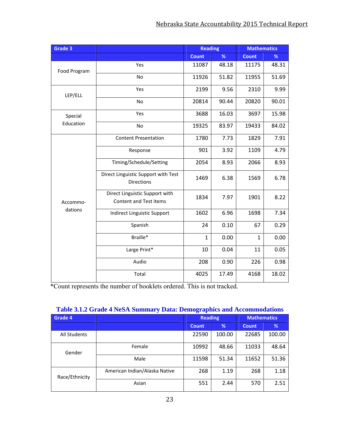| Grade 3      |                                                          | <b>Reading</b> |       | <b>Mathematics</b> |       |
|--------------|----------------------------------------------------------|----------------|-------|--------------------|-------|
|              |                                                          | <b>Count</b>   | %     | <b>Count</b>       | %     |
| Food Program | Yes                                                      | 11087          | 48.18 | 11175              | 48.31 |
|              | <b>No</b>                                                | 11926          | 51.82 | 11955              | 51.69 |
| LEP/ELL      | Yes                                                      | 2199           | 9.56  | 2310               | 9.99  |
|              | <b>No</b>                                                | 20814          | 90.44 | 20820              | 90.01 |
| Special      | Yes                                                      | 3688           | 16.03 | 3697               | 15.98 |
| Education    | No                                                       | 19325          | 83.97 | 19433              | 84.02 |
|              | <b>Content Presentation</b>                              | 1780           | 7.73  | 1829               | 7.91  |
|              | Response                                                 | 901            | 3.92  | 1109               | 4.79  |
|              | Timing/Schedule/Setting                                  | 2054           | 8.93  | 2066               | 8.93  |
|              | Direct Linguistic Support with Test<br><b>Directions</b> | 1469           | 6.38  | 1569               | 6.78  |
| Accommo-     | Direct Linguistic Support with<br>Content and Test items | 1834           | 7.97  | 1901               | 8.22  |
| dations      | Indirect Linguistic Support                              | 1602           | 6.96  | 1698               | 7.34  |
|              | Spanish                                                  | 24             | 0.10  | 67                 | 0.29  |
|              | Braille*                                                 | $\mathbf{1}$   | 0.00  | $\mathbf{1}$       | 0.00  |
|              | Large Print*                                             | 10             | 0.04  | 11                 | 0.05  |
|              | Audio                                                    | 208            | 0.90  | 226                | 0.98  |
|              | Total                                                    | 4025           | 17.49 | 4168               | 18.02 |

| <u>rabic 9.1.2 Grauc <del>+</del> rubA bunniary Data. Deniveraphics and Accommodations</u> |                               |                |        |                    |        |  |  |
|--------------------------------------------------------------------------------------------|-------------------------------|----------------|--------|--------------------|--------|--|--|
| <b>Grade 4</b>                                                                             |                               | <b>Reading</b> |        | <b>Mathematics</b> |        |  |  |
|                                                                                            |                               | <b>Count</b>   | %      | <b>Count</b>       | %      |  |  |
| All Students                                                                               |                               | 22590          | 100.00 | 22685              | 100.00 |  |  |
| Gender                                                                                     | Female                        | 10992          | 48.66  | 11033              | 48.64  |  |  |
|                                                                                            | Male                          | 11598          | 51.34  | 11652              | 51.36  |  |  |
| Race/Ethnicity                                                                             | American Indian/Alaska Native | 268            | 1.19   | 268                | 1.18   |  |  |
|                                                                                            | Asian                         | 551            | 2.44   | 570                | 2.51   |  |  |

#### **Table 3.1.2 Grade 4 NeSA Summary Data: Demographics and Accommodations**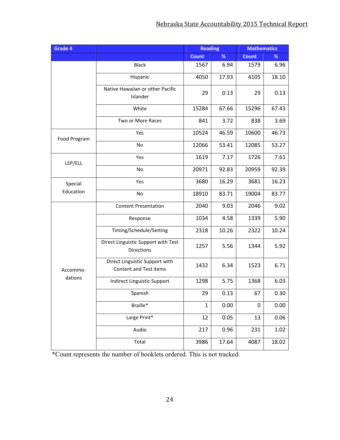| Grade 4      |                                                          | <b>Reading</b> |       | <b>Mathematics</b> |       |
|--------------|----------------------------------------------------------|----------------|-------|--------------------|-------|
|              |                                                          |                | %     | <b>Count</b>       | %     |
|              | <b>Black</b>                                             | 1567           | 6.94  | 1579               | 6.96  |
|              | Hispanic                                                 | 4050           | 17.93 | 4105               | 18.10 |
|              | Native Hawaiian or other Pacific<br>Islander             | 29             | 0.13  | 29                 | 0.13  |
|              | White                                                    | 15284          | 67.66 | 15296              | 67.43 |
|              | Two or More Races                                        | 841            | 3.72  | 838                | 3.69  |
| Food Program | Yes                                                      | 10524          | 46.59 | 10600              | 46.73 |
|              | No                                                       | 12066          | 53.41 | 12085              | 53.27 |
| LEP/ELL      | Yes                                                      | 1619           | 7.17  | 1726               | 7.61  |
|              | No                                                       | 20971          | 92.83 | 20959              | 92.39 |
| Special      | Yes                                                      | 3680           | 16.29 | 3681               | 16.23 |
| Education    | No                                                       | 18910          | 83.71 | 19004              | 83.77 |
|              | <b>Content Presentation</b>                              | 2040           | 9.03  | 2046               | 9.02  |
|              | Response                                                 | 1034           | 4.58  | 1339               | 5.90  |
|              | Timing/Schedule/Setting                                  | 2318           | 10.26 | 2322               | 10.24 |
|              | Direct Linguistic Support with Test<br><b>Directions</b> | 1257           | 5.56  | 1344               | 5.92  |
| Accommo-     | Direct Linguistic Support with<br>Content and Test items | 1432           | 6.34  | 1523               | 6.71  |
| dations      | Indirect Linguistic Support                              | 1298           | 5.75  | 1368               | 6.03  |
|              | Spanish                                                  | 29             | 0.13  | 67                 | 0.30  |
|              | Braille*                                                 | $\mathbf{1}$   | 0.00  | $\boldsymbol{0}$   | 0.00  |
|              | Large Print*                                             | 12             | 0.05  | 13                 | 0.06  |
|              | Audio                                                    | 217            | 0.96  | 231                | 1.02  |
|              | Total                                                    | 3986           | 17.64 | 4087               | 18.02 |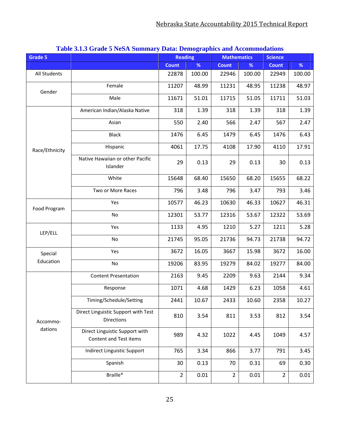| Grade 5        |                                                          | <b>Reading</b> |        | $2 \pi$ and $2 \pi$ $\pi$ $\mu$ and $\pi$ $\sigma$ $\sigma$ $\sigma$ $\sigma$ $\sigma$<br><b>Mathematics</b> |        | <b>Science</b> |        |
|----------------|----------------------------------------------------------|----------------|--------|--------------------------------------------------------------------------------------------------------------|--------|----------------|--------|
|                |                                                          | <b>Count</b>   | %      | <b>Count</b>                                                                                                 | $\%$   | <b>Count</b>   | %      |
| All Students   |                                                          | 22878          | 100.00 | 22946                                                                                                        | 100.00 | 22949          | 100.00 |
| Gender         | Female                                                   | 11207          | 48.99  | 11231                                                                                                        | 48.95  | 11238          | 48.97  |
|                | Male                                                     | 11671          | 51.01  | 11715                                                                                                        | 51.05  | 11711          | 51.03  |
|                | American Indian/Alaska Native                            | 318            | 1.39   | 318                                                                                                          | 1.39   | 318            | 1.39   |
|                | Asian                                                    | 550            | 2.40   | 566                                                                                                          | 2.47   | 567            | 2.47   |
|                | <b>Black</b>                                             | 1476           | 6.45   | 1479                                                                                                         | 6.45   | 1476           | 6.43   |
| Race/Ethnicity | Hispanic                                                 | 4061           | 17.75  | 4108                                                                                                         | 17.90  | 4110           | 17.91  |
|                | Native Hawaiian or other Pacific<br>Islander             | 29             | 0.13   | 29                                                                                                           | 0.13   | 30             | 0.13   |
|                | White                                                    | 15648          | 68.40  | 15650                                                                                                        | 68.20  | 15655          | 68.22  |
|                | Two or More Races                                        | 796            | 3.48   | 796                                                                                                          | 3.47   | 793            | 3.46   |
| Food Program   | Yes                                                      | 10577          | 46.23  | 10630                                                                                                        | 46.33  | 10627          | 46.31  |
|                | No                                                       | 12301          | 53.77  | 12316                                                                                                        | 53.67  | 12322          | 53.69  |
| LEP/ELL        | Yes                                                      | 1133           | 4.95   | 1210                                                                                                         | 5.27   | 1211           | 5.28   |
|                | No                                                       | 21745          | 95.05  | 21736                                                                                                        | 94.73  | 21738          | 94.72  |
| Special        | Yes                                                      | 3672           | 16.05  | 3667                                                                                                         | 15.98  | 3672           | 16.00  |
| Education      | No                                                       | 19206          | 83.95  | 19279                                                                                                        | 84.02  | 19277          | 84.00  |
|                | <b>Content Presentation</b>                              | 2163           | 9.45   | 2209                                                                                                         | 9.63   | 2144           | 9.34   |
|                | Response                                                 | 1071           | 4.68   | 1429                                                                                                         | 6.23   | 1058           | 4.61   |
|                | Timing/Schedule/Setting                                  | 2441           | 10.67  | 2433                                                                                                         | 10.60  | 2358           | 10.27  |
| Accommo-       | Direct Linguistic Support with Test<br><b>Directions</b> | 810            | 3.54   | 811                                                                                                          | 3.53   | 812            | 3.54   |
| dations        | Direct Linguistic Support with<br>Content and Test items | 989            | 4.32   | 1022                                                                                                         | 4.45   | 1049           | 4.57   |
|                | <b>Indirect Linguistic Support</b>                       | 765            | 3.34   | 866                                                                                                          | 3.77   | 791            | 3.45   |
|                | Spanish                                                  | 30             | 0.13   | 70                                                                                                           | 0.31   | 69             | 0.30   |
|                | Braille*                                                 | $\overline{2}$ | 0.01   | $\overline{2}$                                                                                               | 0.01   | $\overline{2}$ | 0.01   |

#### **Table 3.1.3 Grade 5 NeSA Summary Data: Demographics and Accommodations**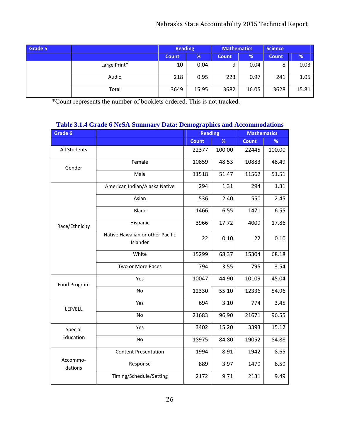#### Nebraska State Accountability 2015 Technical Report

| Grade 5 |              | <b>Reading</b> |       | <b>Mathematics</b> |       | <b>Science</b> |       |
|---------|--------------|----------------|-------|--------------------|-------|----------------|-------|
|         |              | <b>Count</b>   | %     | <b>Count</b>       | %     | Count          | %     |
|         | Large Print* | 10             | 0.04  | 9                  | 0.04  | 8              | 0.03  |
|         | Audio        | 218            | 0.95  | 223                | 0.97  | 241            | 1.05  |
|         | Total        | 3649           | 15.95 | 3682               | 16.05 | 3628           | 15.81 |

\*Count represents the number of booklets ordered. This is not tracked.

#### **Grade 6 Reading Mathematics Construction Construction Construction Reading <b>Mathematics Count % Count %** All Students | 22377 | 22377 | 200.00 | 22445 | 100.00 Gender Female 10859 48.53 10883 48.49 Male 11518 51.47 11562 51.51 Race/Ethnicity American Indian/Alaska Native | 294 | 1.31 294 | 1.31 Asian 536 2.40 550 2.45 Black 1466 6.55 1471 6.55 Hispanic 13966 17.72 4009 17.86 Native Hawaiian or other Pacific Islander  $22 | 0.10 | 22 | 0.10$ White 15299 68.37 15304 68.18 Two or More Races | 794 | 3.55 | 795 | 3.54 Food Program Yes 10047 44.90 10109 45.04 No 12330 55.10 12336 54.96 LEP/ELL Yes 694 3.10 774 3.45 No 21683 96.90 21671 96.55 Special Education Yes 3402 15.20 3393 15.12 No 18975 84.80 19052 84.88 Accommo‐ dations Content Presentation | 1994 | 8.91 | 1942 | 8.65 Response | 889 3.97 | 1479 6.59 Timing/Schedule/Setting | 2172 | 9.71 | 2131 | 9.49

#### **Table 3.1.4 Grade 6 NeSA Summary Data: Demographics and Accommodations**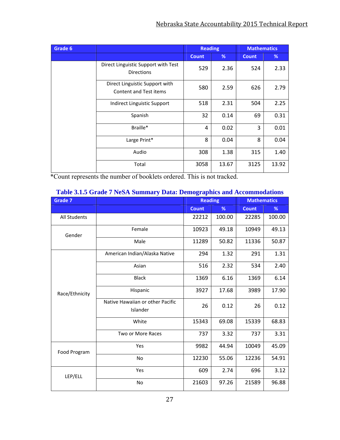| Grade 6 |                                                                 | <b>Reading</b> |       | <b>Mathematics</b> |       |  |
|---------|-----------------------------------------------------------------|----------------|-------|--------------------|-------|--|
|         |                                                                 | <b>Count</b>   | %     | <b>Count</b>       | %     |  |
|         | Direct Linguistic Support with Test<br><b>Directions</b>        | 529            | 2.36  | 524                | 2.33  |  |
|         | Direct Linguistic Support with<br><b>Content and Test items</b> | 580            | 2.59  | 626                | 2.79  |  |
|         | Indirect Linguistic Support                                     | 518            | 2.31  | 504                | 2.25  |  |
|         | Spanish                                                         | 32             | 0.14  | 69                 | 0.31  |  |
|         | Braille*                                                        | 4              | 0.02  | 3                  | 0.01  |  |
|         | Large Print*                                                    | 8              | 0.04  | 8                  | 0.04  |  |
|         | Audio                                                           | 308            | 1.38  | 315                | 1.40  |  |
|         | Total                                                           | 3058           | 13.67 | 3125               | 13.92 |  |

| <b>Grade 7</b> |                                              | <b>Reading</b> |        | <b>Mathematics</b> |        |
|----------------|----------------------------------------------|----------------|--------|--------------------|--------|
|                |                                              | <b>Count</b>   | %      | <b>Count</b>       | %      |
| All Students   |                                              | 22212          | 100.00 | 22285              | 100.00 |
| Gender         | Female                                       | 10923          | 49.18  | 10949              | 49.13  |
|                | Male                                         | 11289          | 50.82  | 11336              | 50.87  |
|                | American Indian/Alaska Native                | 294            | 1.32   | 291                | 1.31   |
|                | Asian                                        | 516            | 2.32   | 534                | 2.40   |
|                | <b>Black</b>                                 | 1369           | 6.16   | 1369               | 6.14   |
| Race/Ethnicity | Hispanic                                     | 3927           | 17.68  | 3989               | 17.90  |
|                | Native Hawaiian or other Pacific<br>Islander | 26             | 0.12   | 26                 | 0.12   |
|                | White                                        | 15343          | 69.08  | 15339              | 68.83  |
|                | <b>Two or More Races</b>                     | 737            | 3.32   | 737                | 3.31   |
| Food Program   | Yes                                          | 9982           | 44.94  | 10049              | 45.09  |
|                | <b>No</b>                                    | 12230          | 55.06  | 12236              | 54.91  |
| LEP/ELL        | Yes                                          | 609            | 2.74   | 696                | 3.12   |
|                | No                                           | 21603          | 97.26  | 21589              | 96.88  |

#### **Table 3.1.5 Grade 7 NeSA Summary Data: Demographics and Accommodations**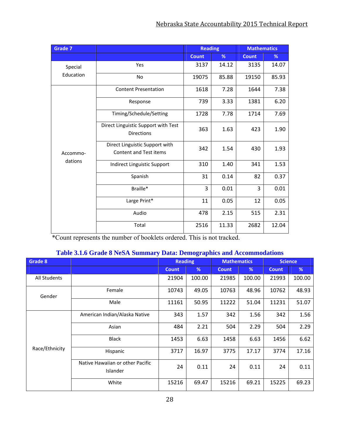| <b>Grade 7</b> |                                                                 | <b>Reading</b> |       | <b>Mathematics</b> |       |
|----------------|-----------------------------------------------------------------|----------------|-------|--------------------|-------|
|                |                                                                 | <b>Count</b>   | %     | <b>Count</b>       | %     |
| Special        | Yes                                                             | 3137           | 14.12 | 3135               | 14.07 |
| Education      | <b>No</b>                                                       | 19075          | 85.88 | 19150              | 85.93 |
|                | <b>Content Presentation</b>                                     | 1618           | 7.28  | 1644               | 7.38  |
|                | Response                                                        | 739            | 3.33  | 1381               | 6.20  |
|                | Timing/Schedule/Setting                                         | 1728           | 7.78  | 1714               | 7.69  |
|                | Direct Linguistic Support with Test<br><b>Directions</b>        | 363            | 1.63  | 423                | 1.90  |
| Accommo-       | Direct Linguistic Support with<br><b>Content and Test items</b> | 342            | 1.54  | 430                | 1.93  |
| dations        | Indirect Linguistic Support                                     | 310            | 1.40  | 341                | 1.53  |
|                | Spanish                                                         | 31             | 0.14  | 82                 | 0.37  |
|                | Braille*                                                        | 3              | 0.01  | 3                  | 0.01  |
|                | Large Print*                                                    | 11             | 0.05  | 12                 | 0.05  |
|                | Audio                                                           | 478            | 2.15  | 515                | 2.31  |
|                | Total                                                           | 2516           | 11.33 | 2682               | 12.04 |

#### **Table 3.1.6 Grade 8 NeSA Summary Data: Demographics and Accommodations**

| Grade 8             |                                              |              | <b>Reading</b> |              | <b>Mathematics</b> |              |        |  | <b>Science</b> |
|---------------------|----------------------------------------------|--------------|----------------|--------------|--------------------|--------------|--------|--|----------------|
|                     |                                              | <b>Count</b> | %              | <b>Count</b> | %                  | <b>Count</b> | %      |  |                |
| <b>All Students</b> |                                              | 21904        | 100.00         | 21985        | 100.00             | 21993        | 100.00 |  |                |
| Gender              | Female                                       | 10743        | 49.05          | 10763        | 48.96              | 10762        | 48.93  |  |                |
|                     | Male                                         | 11161        | 50.95          | 11222        | 51.04              | 11231        | 51.07  |  |                |
|                     | American Indian/Alaska Native                | 343          | 1.57           | 342          | 1.56               | 342          | 1.56   |  |                |
|                     | Asian                                        | 484          | 2.21           | 504          | 2.29               | 504          | 2.29   |  |                |
|                     | <b>Black</b>                                 | 1453         | 6.63           | 1458         | 6.63               | 1456         | 6.62   |  |                |
| Race/Ethnicity      | Hispanic                                     | 3717         | 16.97          | 3775         | 17.17              | 3774         | 17.16  |  |                |
|                     | Native Hawaiian or other Pacific<br>Islander | 24           | 0.11           | 24           | 0.11               | 24           | 0.11   |  |                |
|                     | White                                        | 15216        | 69.47          | 15216        | 69.21              | 15225        | 69.23  |  |                |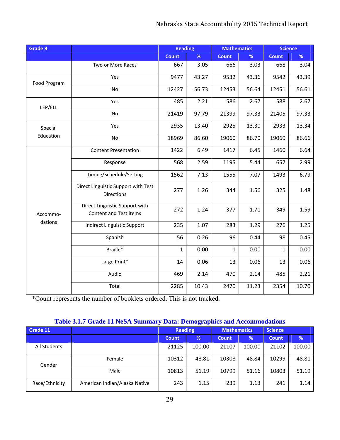| Grade 8      |                                                          | <b>Reading</b> |       | <b>Mathematics</b> |       | Science      |       |
|--------------|----------------------------------------------------------|----------------|-------|--------------------|-------|--------------|-------|
|              |                                                          | <b>Count</b>   | %     | <b>Count</b>       | %     | <b>Count</b> | %     |
|              | Two or More Races                                        | 667            | 3.05  | 666                | 3.03  | 668          | 3.04  |
| Food Program | Yes                                                      | 9477           | 43.27 | 9532               | 43.36 | 9542         | 43.39 |
|              | No                                                       | 12427          | 56.73 | 12453              | 56.64 | 12451        | 56.61 |
| LEP/ELL      | Yes                                                      | 485            | 2.21  | 586                | 2.67  | 588          | 2.67  |
|              | No                                                       | 21419          | 97.79 | 21399              | 97.33 | 21405        | 97.33 |
| Special      | Yes                                                      | 2935           | 13.40 | 2925               | 13.30 | 2933         | 13.34 |
| Education    | No                                                       | 18969          | 86.60 | 19060              | 86.70 | 19060        | 86.66 |
|              | <b>Content Presentation</b>                              | 1422           | 6.49  | 1417               | 6.45  | 1460         | 6.64  |
|              | Response                                                 | 568            | 2.59  | 1195               | 5.44  | 657          | 2.99  |
|              | Timing/Schedule/Setting                                  | 1562           | 7.13  | 1555               | 7.07  | 1493         | 6.79  |
|              | Direct Linguistic Support with Test<br><b>Directions</b> | 277            | 1.26  | 344                | 1.56  | 325          | 1.48  |
| Accommo-     | Direct Linguistic Support with<br>Content and Test items | 272            | 1.24  | 377                | 1.71  | 349          | 1.59  |
| dations      | Indirect Linguistic Support                              | 235            | 1.07  | 283                | 1.29  | 276          | 1.25  |
|              | Spanish                                                  | 56             | 0.26  | 96                 | 0.44  | 98           | 0.45  |
|              | Braille*                                                 | $\mathbf{1}$   | 0.00  | $\mathbf{1}$       | 0.00  | $\mathbf{1}$ | 0.00  |
|              | Large Print*                                             | 14             | 0.06  | 13                 | 0.06  | 13           | 0.06  |
|              | Audio                                                    | 469            | 2.14  | 470                | 2.14  | 485          | 2.21  |
|              | Total                                                    | 2285           | 10.43 | 2470               | 11.23 | 2354         | 10.70 |

#### **Table 3.1.7 Grade 11 NeSA Summary Data: Demographics and Accommodations**

| Grade 11       |                               | <b>Reading</b> |               | <b>Mathematics</b> |        |              |        | <b>Science</b> |  |
|----------------|-------------------------------|----------------|---------------|--------------------|--------|--------------|--------|----------------|--|
|                |                               | <b>Count</b>   | $\frac{9}{6}$ | <b>Count</b>       | %      | <b>Count</b> | %      |                |  |
| All Students   |                               | 21125          | 100.00        | 21107              | 100.00 | 21102        | 100.00 |                |  |
| Gender         | Female                        | 10312          | 48.81         | 10308              | 48.84  | 10299        | 48.81  |                |  |
|                | Male                          | 10813          | 51.19         | 10799              | 51.16  | 10803        | 51.19  |                |  |
| Race/Ethnicity | American Indian/Alaska Native | 243            | 1.15          | 239                | 1.13   | 241          | 1.14   |                |  |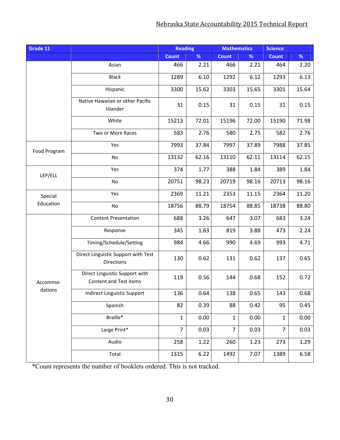| Grade 11     |                                                          | <b>Reading</b> |       | <b>Mathematics</b> |       | <b>Science</b> |       |
|--------------|----------------------------------------------------------|----------------|-------|--------------------|-------|----------------|-------|
|              |                                                          | <b>Count</b>   | $\%$  | <b>Count</b>       | %     | <b>Count</b>   | %     |
|              | Asian                                                    | 466            | 2.21  | 466                | 2.21  | 464            | 2.20  |
|              | <b>Black</b>                                             | 1289           | 6.10  | 1292               | 6.12  | 1293           | 6.13  |
|              | Hispanic                                                 | 3300           | 15.62 | 3303               | 15.65 | 3301           | 15.64 |
|              | Native Hawaiian or other Pacific<br>Islander             | 31             | 0.15  | 31                 | 0.15  | 31             | 0.15  |
|              | White                                                    | 15213          | 72.01 | 15196              | 72.00 | 15190          | 71.98 |
|              | Two or More Races                                        | 583            | 2.76  | 580                | 2.75  | 582            | 2.76  |
| Food Program | Yes                                                      | 7993           | 37.84 | 7997               | 37.89 | 7988           | 37.85 |
|              | No                                                       | 13132          | 62.16 | 13110              | 62.11 | 13114          | 62.15 |
| LEP/ELL      | Yes                                                      | 374            | 1.77  | 388                | 1.84  | 389            | 1.84  |
|              | No                                                       | 20751          | 98.23 | 20719              | 98.16 | 20713          | 98.16 |
| Special      | Yes                                                      | 2369           | 11.21 | 2353               | 11.15 | 2364           | 11.20 |
| Education    | No                                                       | 18756          | 88.79 | 18754              | 88.85 | 18738          | 88.80 |
|              | <b>Content Presentation</b>                              | 688            | 3.26  | 647                | 3.07  | 683            | 3.24  |
|              | Response                                                 | 345            | 1.63  | 819                | 3.88  | 473            | 2.24  |
|              | Timing/Schedule/Setting                                  | 984            | 4.66  | 990                | 4.69  | 993            | 4.71  |
|              | Direct Linguistic Support with Test<br><b>Directions</b> | 130            | 0.62  | 131                | 0.62  | 137            | 0.65  |
| Accommo-     | Direct Linguistic Support with<br>Content and Test items | 119            | 0.56  | 144                | 0.68  | 152            | 0.72  |
| dations      | Indirect Linguistic Support                              | 136            | 0.64  | 138                | 0.65  | 143            | 0.68  |
|              | Spanish                                                  | 82             | 0.39  | 88                 | 0.42  | 95             | 0.45  |
|              | Braille*                                                 | $\mathbf 1$    | 0.00  | $\mathbf 1$        | 0.00  | $\mathbf{1}$   | 0.00  |
|              | Large Print*                                             | $\overline{7}$ | 0.03  | $\overline{7}$     | 0.03  | $\overline{7}$ | 0.03  |
|              | Audio                                                    | 258            | 1.22  | 260                | 1.23  | 273            | 1.29  |
|              | Total                                                    | 1315           | 6.22  | 1492               | 7.07  | 1389           | 6.58  |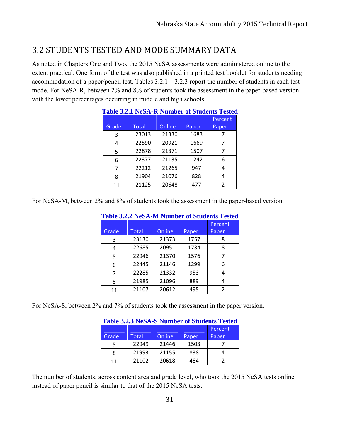# 3.2 STUDENTS TESTED AND MODE SUMMARY DATA

As noted in Chapters One and Two, the 2015 NeSA assessments were administered online to the extent practical. One form of the test was also published in a printed test booklet for students needing accommodation of a paper/pencil test. Tables  $3.2.1 - 3.2.3$  report the number of students in each test mode. For NeSA-R, between 2% and 8% of students took the assessment in the paper-based version with the lower percentages occurring in middle and high schools.

|       |       |        |       | <b>Table 3.2.1 NeSA-R Number of Students Tested</b> |
|-------|-------|--------|-------|-----------------------------------------------------|
|       |       |        |       | Percent                                             |
| Grade | Total | Online | Paper | Paper                                               |
| 3     | 23013 | 21330  | 1683  |                                                     |
| 4     | 22590 | 20921  | 1669  |                                                     |
| 5     | 22878 | 21371  | 1507  | 7                                                   |
| 6     | 22377 | 21135  | 1242  | 6                                                   |
| 7     | 22212 | 21265  | 947   | 4                                                   |
| 8     | 21904 | 21076  | 828   | 4                                                   |
| 11    | 21125 | 20648  | 477   | 2                                                   |

## **Table 3.2.1 NeSA-R Number of Students Tested**

For NeSA-M, between 2% and 8% of students took the assessment in the paper-based version.

|       |              |               |       | Percent |
|-------|--------------|---------------|-------|---------|
| Grade | <b>Total</b> | <b>Online</b> | Paper | Paper   |
| 3     | 23130        | 21373         | 1757  | 8       |
| 4     | 22685        | 20951         | 1734  | 8       |
| 5     | 22946        | 21370         | 1576  | 7       |
| 6     | 22445        | 21146         | 1299  | 6       |
| 7     | 22285        | 21332         | 953   | 4       |
| 8     | 21985        | 21096         | 889   | 4       |
| 11    | 21107        | 20612         | 495   | 2       |

#### **Table 3.2.2 NeSA-M Number of Students Tested**

For NeSA-S, between 2% and 7% of students took the assessment in the paper version.

|       |       |               |       | Table 3.2.3 NeSA-S Number of Students' Lested |
|-------|-------|---------------|-------|-----------------------------------------------|
|       |       |               |       | Percent                                       |
| Grade | Total | <b>Online</b> | Paper | Paper                                         |
|       | 22949 | 21446         | 1503  |                                               |
| 8     | 21993 | 21155         | 838   |                                               |
| 11    | 21102 | 20618         | 484   |                                               |

## **Table 3.2.3 NeSA-S Number of Students Tested**

The number of students, across content area and grade level, who took the 2015 NeSA tests online instead of paper pencil is similar to that of the 2015 NeSA tests.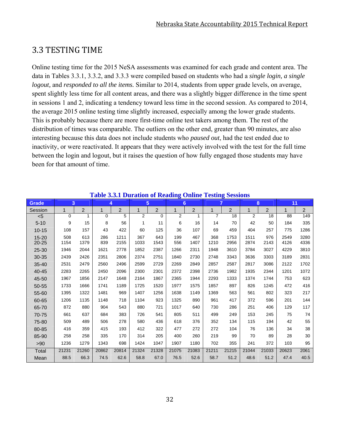## 3.3 TESTING TIME

Online testing time for the 2015 NeSA assessments was examined for each grade and content area. The data in Tables 3.3.1, 3.3.2, and 3.3.3 were compiled based on students who had a *single login, a single logout,* and *responded to all the items.* Similar to 2014, students from upper grade levels, on average, spent slightly less time for all content areas, and there was a slightly bigger difference in the time spent in sessions 1 and 2, indicating a tendency toward less time in the second session. As compared to 2014, the average 2015 online testing time slightly increased, especially among the lower grade students. This is probably because there are more first-time online test takers among them. The rest of the distribution of times was comparable. The outliers on the other end, greater than 90 minutes, are also interesting because this data does not include students who *paused out*, had the test ended due to inactivity, or were reactivated. It appears that they were actively involved with the test for the full time between the login and logout, but it raises the question of how fully engaged those students may have been for that amount of time.

|              |             | Table 5.3.1 Duration of Keauing Omine Testing bessions |              |       |       |                |                |                |                |                |       |                |       |                |
|--------------|-------------|--------------------------------------------------------|--------------|-------|-------|----------------|----------------|----------------|----------------|----------------|-------|----------------|-------|----------------|
| <b>Grade</b> | 3           |                                                        |              | 4     |       | 5              |                | 6              |                | 7              |       | 8              | 11    |                |
| Session      | $\mathbf 1$ | $\overline{2}$                                         | $\mathbf{1}$ | 2     | 1     | $\overline{2}$ | $\mathbf 1$    | $\overline{2}$ | 1              | $\overline{c}$ | 1     | $\overline{2}$ |       | $\overline{2}$ |
| < 5          | 0           | 1                                                      | 0            | 5     | 2     | $\Omega$       | $\overline{2}$ |                | $\overline{7}$ | 18             | 2     | 18             | 88    | 149            |
| $5 - 10$     | 9           | 15                                                     | 8            | 56    | 1     | 11             | 6              | 16             | 14             | 70             | 42    | 50             | 184   | 335            |
| $10 - 15$    | 108         | 157                                                    | 43           | 422   | 60    | 125            | 36             | 107            | 69             | 459            | 404   | 257            | 775   | 1286           |
| $15 - 20$    | 508         | 613                                                    | 286          | 1211  | 367   | 643            | 199            | 467            | 368            | 1753           | 1511  | 976            | 2549  | 3280           |
| $20 - 25$    | 1154        | 1379                                                   | 839          | 2155  | 1033  | 1543           | 556            | 1407           | 1210           | 2956           | 2874  | 2143           | 4126  | 4336           |
| $25 - 30$    | 1946        | 2044                                                   | 1621         | 2778  | 1852  | 2387           | 1266           | 2311           | 1948           | 3610           | 3784  | 3027           | 4229  | 3810           |
| 30-35        | 2439        | 2426                                                   | 2351         | 2806  | 2374  | 2751           | 1840           | 2730           | 2748           | 3343           | 3636  | 3303           | 3189  | 2831           |
| $35 - 40$    | 2531        | 2479                                                   | 2560         | 2496  | 2599  | 2729           | 2269           | 2849           | 2857           | 2587           | 2817  | 3086           | 2122  | 1702           |
| 40-45        | 2283        | 2265                                                   | 2450         | 2096  | 2300  | 2301           | 2372           | 2398           | 2736           | 1982           | 1935  | 2344           | 1201  | 1072           |
| 45-50        | 1967        | 1856                                                   | 2147         | 1648  | 2164  | 1867           | 2365           | 1944           | 2293           | 1333           | 1374  | 1744           | 753   | 623            |
| 50-55        | 1733        | 1666                                                   | 1741         | 1189  | 1725  | 1520           | 1977           | 1575           | 1857           | 897            | 826   | 1245           | 472   | 416            |
| 55-60        | 1395        | 1322                                                   | 1481         | 969   | 1407  | 1256           | 1638           | 1149           | 1369           | 563            | 561   | 802            | 323   | 217            |
| 60-65        | 1206        | 1135                                                   | 1148         | 718   | 1104  | 923            | 1325           | 890            | 961            | 417            | 372   | 596            | 201   | 144            |
| 65-70        | 872         | 880                                                    | 904          | 543   | 880   | 721            | 1017           | 640            | 730            | 286            | 251   | 406            | 129   | 117            |
| 70-75        | 661         | 637                                                    | 684          | 383   | 726   | 541            | 805            | 511            | 499            | 249            | 153   | 245            | 75    | 74             |
| 75-80        | 509         | 489                                                    | 506          | 278   | 580   | 436            | 618            | 376            | 352            | 134            | 115   | 194            | 42    | 55             |
| 80-85        | 416         | 359                                                    | 415          | 193   | 412   | 322            | 477            | 272            | 272            | 104            | 76    | 136            | 34    | 38             |
| 85-90        | 258         | 258                                                    | 335          | 170   | 314   | 205            | 400            | 260            | 219            | 99             | 70    | 89             | 28    | 30             |
| >90          | 1236        | 1279                                                   | 1343         | 698   | 1424  | 1047           | 1907           | 1180           | 702            | 355            | 241   | 372            | 103   | 95             |
| Total        | 21231       | 21260                                                  | 20862        | 20814 | 21324 | 21328          | 21075          | 21083          | 21211          | 21215          | 21044 | 21033          | 20623 | 2061           |
| Mean         | 88.5        | 66.3                                                   | 74.5         | 62.6  | 58.8  | 67.0           | 76.5           | 52.6           | 58.7           | 51.2           | 48.6  | 51.2           | 47.4  | 40.5           |

#### **Table 3.3.1 Duration of Reading Online Testing Sessions**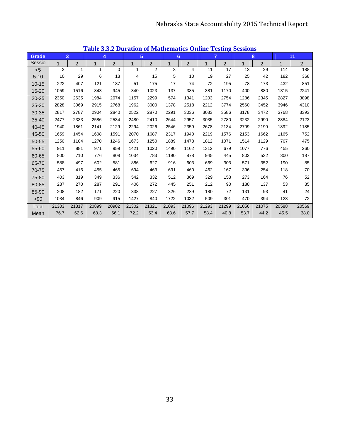|           |              |                |       |             |       | <b>Table 3.3.2 Duration of mathematics Omnie Testing Sessions</b><br>5 |       |                | $\overline{7}$ |                |       |                |       |       |
|-----------|--------------|----------------|-------|-------------|-------|------------------------------------------------------------------------|-------|----------------|----------------|----------------|-------|----------------|-------|-------|
| Grade     |              | 3              |       | 4           |       |                                                                        |       | 6              |                |                |       | 8              |       | 11    |
| Sessio    | $\mathbf{1}$ | $\overline{2}$ | 1     | 2           | 1     | $\overline{2}$                                                         |       | $\overline{2}$ | $\mathbf{1}$   | $\overline{2}$ | 1     | $\overline{2}$ | 1     | 2     |
| $< 5$     | 3            | 1              | 1     | $\mathbf 0$ | 1     | $\overline{2}$                                                         | 3     | 4              | 11             | 17             | 13    | 29             | 114   | 188   |
| $5 - 10$  | 10           | 29             | 6     | 13          | 4     | 15                                                                     | 5     | 10             | 19             | 27             | 25    | 42             | 182   | 368   |
| $10 - 15$ | 222          | 407            | 121   | 187         | 51    | 175                                                                    | 17    | 74             | 72             | 195            | 78    | 173            | 432   | 851   |
| 15-20     | 1059         | 1516           | 843   | 945         | 340   | 1023                                                                   | 137   | 385            | 381            | 1170           | 400   | 880            | 1315  | 2241  |
| 20-25     | 2350         | 2635           | 1984  | 2074        | 1157  | 2299                                                                   | 574   | 1341           | 1203           | 2754           | 1286  | 2345           | 2827  | 3898  |
| 25-30     | 2828         | 3069           | 2915  | 2768        | 1962  | 3000                                                                   | 1378  | 2518           | 2212           | 3774           | 2560  | 3452           | 3946  | 4310  |
| 30-35     | 2817         | 2787           | 2904  | 2840        | 2522  | 2870                                                                   | 2291  | 3036           | 3033           | 3586           | 3178  | 3472           | 3768  | 3393  |
| 35-40     | 2477         | 2333           | 2586  | 2534        | 2480  | 2410                                                                   | 2644  | 2957           | 3035           | 2780           | 3232  | 2990           | 2884  | 2123  |
| 40-45     | 1940         | 1861           | 2141  | 2129        | 2294  | 2026                                                                   | 2546  | 2359           | 2678           | 2134           | 2709  | 2199           | 1892  | 1185  |
| 45-50     | 1659         | 1454           | 1608  | 1591        | 2070  | 1687                                                                   | 2317  | 1940           | 2219           | 1576           | 2153  | 1662           | 1165  | 752   |
| 50-55     | 1250         | 1104           | 1270  | 1246        | 1673  | 1250                                                                   | 1889  | 1478           | 1812           | 1071           | 1514  | 1129           | 707   | 475   |
| 55-60     | 911          | 881            | 971   | 959         | 1421  | 1020                                                                   | 1490  | 1162           | 1312           | 679            | 1077  | 776            | 455   | 260   |
| 60-65     | 800          | 710            | 776   | 808         | 1034  | 783                                                                    | 1190  | 878            | 945            | 445            | 802   | 532            | 300   | 187   |
| 65-70     | 588          | 497            | 602   | 581         | 886   | 627                                                                    | 916   | 603            | 669            | 303            | 571   | 352            | 190   | 85    |
| 70-75     | 457          | 416            | 455   | 465         | 694   | 463                                                                    | 691   | 460            | 462            | 167            | 396   | 254            | 118   | 70    |
| 75-80     | 403          | 319            | 349   | 336         | 542   | 332                                                                    | 512   | 369            | 329            | 158            | 273   | 164            | 76    | 52    |
| 80-85     | 287          | 270            | 287   | 291         | 406   | 272                                                                    | 445   | 251            | 212            | 90             | 188   | 137            | 53    | 35    |
| 85-90     | 208          | 182            | 171   | 220         | 338   | 227                                                                    | 326   | 239            | 180            | 72             | 131   | 93             | 41    | 24    |
| >90       | 1034         | 846            | 909   | 915         | 1427  | 840                                                                    | 1722  | 1032           | 509            | 301            | 470   | 394            | 123   | 72    |
| Total     | 21303        | 21317          | 20899 | 20902       | 21302 | 21321                                                                  | 21093 | 21096          | 21293          | 21299          | 21056 | 21075          | 20588 | 20569 |
| Mean      | 76.7         | 62.6           | 68.3  | 56.1        | 72.2  | 53.4                                                                   | 63.6  | 57.7           | 58.4           | 40.8           | 53.7  | 44.2           | 45.5  | 38.0  |

**Table 3.3.2 Duration of Mathematics Online Testing Sessions**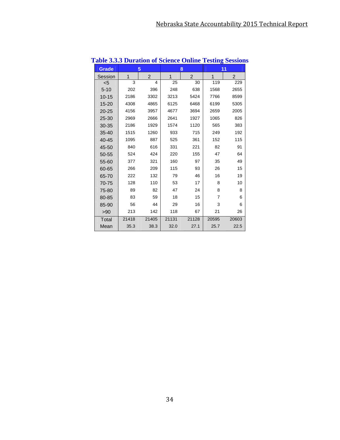| <b>Grade</b> |       | 5              |       | 8     |              | 11    |
|--------------|-------|----------------|-------|-------|--------------|-------|
| Session      | 1     | $\overline{2}$ | 1     | 2     | $\mathbf{1}$ | 2     |
| $5$          | 3     | 4              | 25    | 30    | 119          | 229   |
| $5 - 10$     | 202   | 396            | 248   | 638   | 1568         | 2655  |
| $10 - 15$    | 2186  | 3302           | 3213  | 5424  | 7766         | 8599  |
| $15 - 20$    | 4308  | 4865           | 6125  | 6468  | 6199         | 5305  |
| $20 - 25$    | 4156  | 3957           | 4677  | 3694  | 2659         | 2005  |
| 25-30        | 2969  | 2666           | 2641  | 1927  | 1065         | 826   |
| 30-35        | 2186  | 1929           | 1574  | 1120  | 565          | 383   |
| $35 - 40$    | 1515  | 1260           | 933   | 715   | 249          | 192   |
| 40-45        | 1095  | 887            | 525   | 361   | 152          | 115   |
| 45-50        | 840   | 616            | 331   | 221   | 82           | 91    |
| 50-55        | 524   | 424            | 220   | 155   | 47           | 64    |
| 55-60        | 377   | 321            | 160   | 97    | 35           | 49    |
| 60-65        | 266   | 209            | 115   | 93    | 26           | 15    |
| 65-70        | 222   | 132            | 79    | 46    | 16           | 19    |
| 70-75        | 128   | 110            | 53    | 17    | 8            | 10    |
| 75-80        | 89    | 82             | 47    | 24    | 8            | 8     |
| 80-85        | 83    | 59             | 18    | 15    | 7            | 6     |
| 85-90        | 56    | 44             | 29    | 16    | 3            | 6     |
| >90          | 213   | 142            | 118   | 67    | 21           | 26    |
| Total        | 21418 | 21405          | 21131 | 21128 | 20595        | 20603 |
| Mean         | 35.3  | 38.3           | 32.0  | 27.1  | 25.7         | 22.5  |

## **Table 3.3.3 Duration of Science Online Testing Sessions**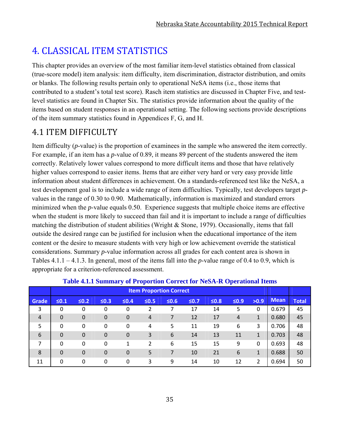# 4. CLASSICAL ITEM STATISTICS

This chapter provides an overview of the most familiar item-level statistics obtained from classical (true-score model) item analysis: item difficulty, item discrimination, distractor distribution, and omits or blanks. The following results pertain only to operational NeSA items (i.e., those items that contributed to a student's total test score). Rasch item statistics are discussed in Chapter Five, and testlevel statistics are found in Chapter Six. The statistics provide information about the quality of the items based on student responses in an operational setting. The following sections provide descriptions of the item summary statistics found in Appendices F, G, and H.

# 4.1 ITEM DIFFICULTY

Item difficulty (*p*-value) is the proportion of examinees in the sample who answered the item correctly. For example, if an item has a *p*-value of 0.89, it means 89 percent of the students answered the item correctly. Relatively lower values correspond to more difficult items and those that have relatively higher values correspond to easier items. Items that are either very hard or very easy provide little information about student differences in achievement. On a standards-referenced test like the NeSA, a test development goal is to include a wide range of item difficulties. Typically, test developers target *p*values in the range of 0.30 to 0.90. Mathematically, information is maximized and standard errors minimized when the *p*-value equals 0.50. Experience suggests that multiple choice items are effective when the student is more likely to succeed than fail and it is important to include a range of difficulties matching the distribution of student abilities (Wright & Stone, 1979). Occasionally, items that fall outside the desired range can be justified for inclusion when the educational importance of the item content or the desire to measure students with very high or low achievement override the statistical considerations. Summary *p*-value information across all grades for each content area is shown in Tables 4.1.1 – 4.1.3. In general, most of the items fall into the *p*-value range of 0.4 to 0.9, which is appropriate for a criterion-referenced assessment.

|                |             |                  |              |             |            | <b>Item Proportion Correct</b> |            |            |            |              |             |              |
|----------------|-------------|------------------|--------------|-------------|------------|--------------------------------|------------|------------|------------|--------------|-------------|--------------|
| Grade          | $\leq 0.1$  | $\leq 0.2$       | $\leq 0.3$   | $\leq 0.4$  | $\leq 0.5$ | $\leq 0.6$                     | $\leq 0.7$ | $\leq 0.8$ | $\leq 0.9$ | >0.9         | <b>Mean</b> | <b>Total</b> |
| 3              | 0           | 0                | $\mathbf 0$  | $\mathbf 0$ | 2          |                                | 17         | 14         | 5          | 0            | 0.679       | 45           |
| $\overline{4}$ | $\mathbf 0$ | 0                | $\mathbf{0}$ | 0           | 4          |                                | 12         | 17         | 4          | 1            | 0.680       | 45           |
| 5              | 0           | 0                | 0            | 0           | 4          | 5                              | 11         | 19         | 6          | 3            | 0.706       | 48           |
| 6              | $\mathbf 0$ | $\boldsymbol{0}$ | $\mathbf 0$  | 0           | 3          | 6                              | 14         | 13         | 11         | $\mathbf{1}$ | 0.703       | 48           |
| 7              | 0           | 0                | 0            | 1           | 2          | 6                              | 15         | 15         | 9          | 0            | 0.693       | 48           |
| 8              | $\mathbf 0$ | $\mathbf 0$      | $\mathbf 0$  | 0           | 5          | 7                              | 10         | 21         | 6          | $\mathbf{1}$ | 0.688       | 50           |
| 11             | 0           | 0                | 0            | 0           | 3          | 9                              | 14         | 10         | 12         | 2            | 0.694       | 50           |

### **Table 4.1.1 Summary of Proportion Correct for NeSA-R Operational Items**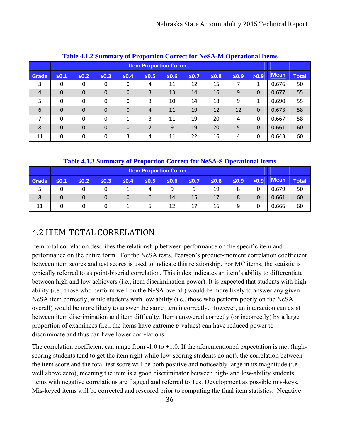|                |            |             |                |             | Table 4.1.2 Summary of Proportion Correct for NeSA-M Operational Items |            |        |            |            |              |       |              |
|----------------|------------|-------------|----------------|-------------|------------------------------------------------------------------------|------------|--------|------------|------------|--------------|-------|--------------|
|                |            |             |                |             | <b>Item Proportion Correct</b>                                         |            |        |            |            |              |       |              |
| Grade          | $\leq 0.1$ | $\leq 0.2$  | $\leq 0.3$     | $\leq 0.4$  | $\leq 0.5$                                                             | $\leq 0.6$ | $≤0.7$ | $\leq 0.8$ | $\leq 0.9$ | >0.9         | Mean  | <b>Total</b> |
| 3              | 0          | 0           | 0              | 0           | 4                                                                      | 11         | 12     | 15         | 7          |              | 0.676 | 50           |
| $\overline{4}$ | 0          | $\mathbf 0$ | $\overline{0}$ | $\mathbf 0$ | 3                                                                      | 13         | 14     | 16         | 9          | $\Omega$     | 0.677 | 55           |
| 5              | 0          | 0           | 0              | 0           | 3                                                                      | 10         | 14     | 18         | 9          | 1            | 0.690 | 55           |
| 6              | $\Omega$   | $\Omega$    | $\overline{0}$ | $\mathbf 0$ | 4                                                                      | 11         | 19     | 12         | 12         | $\Omega$     | 0.673 | 58           |
| 7              | $\Omega$   | $\Omega$    | 0              | 1           | 3                                                                      | 11         | 19     | 20         | 4          | $\Omega$     | 0.667 | 58           |
| 8              | $\Omega$   | $\mathbf 0$ | $\mathbf 0$    | $\mathbf 0$ | 7                                                                      | 9          | 19     | 20         | 5          | $\Omega$     | 0.661 | 60           |
| 11             | 0          | 0           | 0              | 3           | 4                                                                      | 11         | 22     | 16         | 4          | $\mathbf{0}$ | 0.643 | 60           |

#### **Table 4.1.2 Summary of Proportion Correct for NeSA-M Operational Items**

### **Table 4.1.3 Summary of Proportion Correct for NeSA-S Operational Items**

|       |            |            |            |        |             |        |            |        | -          |          |             |       |
|-------|------------|------------|------------|--------|-------------|--------|------------|--------|------------|----------|-------------|-------|
|       |            |            |            |        |             |        |            |        |            |          |             |       |
| Grade | $\leq 0.1$ | $\leq 0.2$ | $\leq 0.3$ | $≤0.4$ | $\leq 0.5$  | $≤0.6$ | $\leq 0.7$ | $≤0.8$ | $\leq 0.9$ | >0.9     | <b>Mean</b> | Total |
|       |            |            |            |        | 4           | q      | 9          | 19     | 8          |          | 0.679       | 50    |
| 8     | 0          | 0          | $\Omega$   | 0      | $\mathbf b$ | 14     | 15         | 17     | 8          | $\Omega$ | 0.661       | 60    |
| 11    |            |            | 0          |        |             | 12     | 17         | 16     | 9          |          | 0.666       | 60    |

# 4.2 ITEM‐TOTAL CORRELATION

Item-total correlation describes the relationship between performance on the specific item and performance on the entire form. For the NeSA tests, Pearson's product-moment correlation coefficient between item scores and test scores is used to indicate this relationship. For MC items, the statistic is typically referred to as point-biserial correlation. This index indicates an item's ability to differentiate between high and low achievers (i.e., item discrimination power). It is expected that students with high ability (i.e., those who perform well on the NeSA overall) would be more likely to answer any given NeSA item correctly, while students with low ability (i.e., those who perform poorly on the NeSA overall) would be more likely to answer the same item incorrectly. However, an interaction can exist between item discrimination and item difficulty. Items answered correctly (or incorrectly) by a large proportion of examinees (i.e., the items have extreme *p*-values) can have reduced power to discriminate and thus can have lower correlations.

The correlation coefficient can range from  $-1.0$  to  $+1.0$ . If the aforementioned expectation is met (highscoring students tend to get the item right while low-scoring students do not), the correlation between the item score and the total test score will be both positive and noticeably large in its magnitude (i.e., well above zero), meaning the item is a good discriminator between high- and low-ability students. Items with negative correlations are flagged and referred to Test Development as possible mis-keys. Mis-keyed items will be corrected and rescored prior to computing the final item statistics. Negative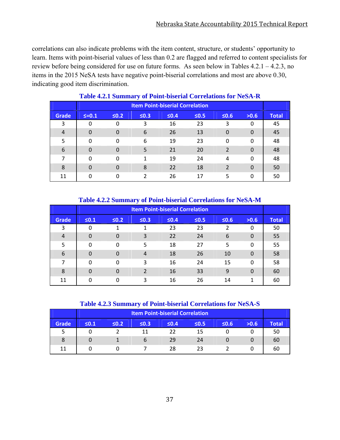correlations can also indicate problems with the item content, structure, or students' opportunity to learn. Items with point-biserial values of less than 0.2 are flagged and referred to content specialists for review before being considered for use on future forms. As seen below in Tables 4.2.1 – 4.2.3, no items in the 2015 NeSA tests have negative point-biserial correlations and most are above 0.30, indicating good item discrimination.

| <b>Item Point-biserial Correlation</b> |           |            |            |        |            |                |          |              |  |  |  |
|----------------------------------------|-----------|------------|------------|--------|------------|----------------|----------|--------------|--|--|--|
| <b>Grade</b>                           | $5 = 0.1$ | $\leq 0.2$ | $\leq 0.3$ | $≤0.4$ | $\leq 0.5$ | $\leq 0.6$     | >0.6     | <b>Total</b> |  |  |  |
| 3                                      | 0         | 0          | 3          | 16     | 23         | 3              | 0        | 45           |  |  |  |
| $\overline{4}$                         | 0         | $\Omega$   | 6          | 26     | 13         | $\Omega$       | $\Omega$ | 45           |  |  |  |
| 5                                      | 0         | 0          | 6          | 19     | 23         | $\Omega$       | 0        | 48           |  |  |  |
| 6                                      | 0         |            | 5          | 21     | 20         | 2              | 0        | 48           |  |  |  |
| 7                                      | 0         | 0          | 1          | 19     | 24         | 4              | 0        | 48           |  |  |  |
| 8                                      | 0         | $\Omega$   | 8          | 22     | 18         | $\overline{2}$ | $\Omega$ | 50           |  |  |  |
| 11                                     | 0         |            | າ          | 26     | 17         | 5              | 0        | 50           |  |  |  |

#### **Table 4.2.1 Summary of Point-biserial Correlations for NeSA-R**

|                |                |            | $\overline{\phantom{a}}$ | <b>Item Point-biserial Correlation</b> |            |            |          |              |
|----------------|----------------|------------|--------------------------|----------------------------------------|------------|------------|----------|--------------|
| <b>Grade</b>   | $\leq 0.1$     | $\leq 0.2$ | $\leq 0.3$               | $≤0.4$                                 | $\leq 0.5$ | $\leq 0.6$ | >0.6     | <b>Total</b> |
| 3              | 0              |            | 1                        | 23                                     | 23         | 2          | 0        | 50           |
| $\overline{4}$ | $\overline{0}$ | $\Omega$   | 3                        | 22                                     | 24         | 6          | $\Omega$ | 55           |
| 5              | 0              | 0          | 5                        | 18                                     | 27         | 5          | 0        | 55           |
| 6              | $\Omega$       | $\Omega$   | 4                        | 18                                     | 26         | 10         | 0        | 58           |
| 7              | 0              | 0          | 3                        | 16                                     | 24         | 15         | $\Omega$ | 58           |
| 8              | $\Omega$       | $\Omega$   | $\mathcal{P}$            | 16                                     | 33         | 9          | $\Omega$ | 60           |
| 11             | 0              | 0          | 3                        | 16                                     | 26         | 14         |          | 60           |

#### **Table 4.2.2 Summary of Point-biserial Correlations for NeSA-M**

#### **Table 4.2.3 Summary of Point-biserial Correlations for NeSA-S**

| <b>Item Point-biserial Correlation</b> |            |            |            |            |            |            |      |              |  |  |  |
|----------------------------------------|------------|------------|------------|------------|------------|------------|------|--------------|--|--|--|
| <b>Grade</b>                           | $\leq 0.1$ | $\leq 0.2$ | $\leq 0.3$ | $\leq 0.4$ | $\leq 0.5$ | $\leq 0.6$ | >0.6 | <b>Total</b> |  |  |  |
| כ                                      |            |            | 11         | 22         | 15         |            |      | 50           |  |  |  |
| 8                                      |            |            | b          | 29         | 24         |            |      | 60           |  |  |  |
| 11                                     |            |            |            | 28         | つっ         |            |      | 60           |  |  |  |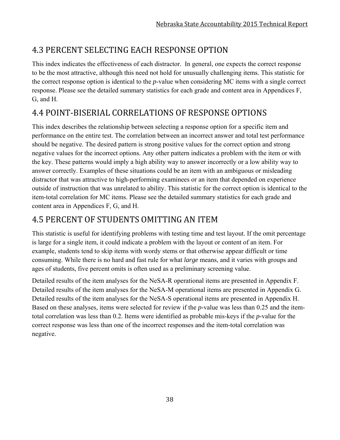# 4.3 PERCENT SELECTING EACH RESPONSE OPTION

This index indicates the effectiveness of each distractor. In general, one expects the correct response to be the most attractive, although this need not hold for unusually challenging items. This statistic for the correct response option is identical to the *p*-value when considering MC items with a single correct response. Please see the detailed summary statistics for each grade and content area in Appendices F, G, and H.

# 4.4 POINT‐BISERIAL CORRELATIONS OF RESPONSE OPTIONS

This index describes the relationship between selecting a response option for a specific item and performance on the entire test. The correlation between an incorrect answer and total test performance should be negative. The desired pattern is strong positive values for the correct option and strong negative values for the incorrect options. Any other pattern indicates a problem with the item or with the key. These patterns would imply a high ability way to answer incorrectly or a low ability way to answer correctly. Examples of these situations could be an item with an ambiguous or misleading distractor that was attractive to high-performing examinees or an item that depended on experience outside of instruction that was unrelated to ability. This statistic for the correct option is identical to the item-total correlation for MC items. Please see the detailed summary statistics for each grade and content area in Appendices F, G, and H.

# 4.5 PERCENT OF STUDENTS OMITTING AN ITEM

This statistic is useful for identifying problems with testing time and test layout. If the omit percentage is large for a single item, it could indicate a problem with the layout or content of an item. For example, students tend to skip items with wordy stems or that otherwise appear difficult or time consuming. While there is no hard and fast rule for what *large* means, and it varies with groups and ages of students, five percent omits is often used as a preliminary screening value.

Detailed results of the item analyses for the NeSA-R operational items are presented in Appendix F. Detailed results of the item analyses for the NeSA-M operational items are presented in Appendix G. Detailed results of the item analyses for the NeSA-S operational items are presented in Appendix H. Based on these analyses, items were selected for review if the *p-*value was less than 0.25 and the itemtotal correlation was less than 0.2. Items were identified as probable mis-keys if the *p-*value for the correct response was less than one of the incorrect responses and the item-total correlation was negative.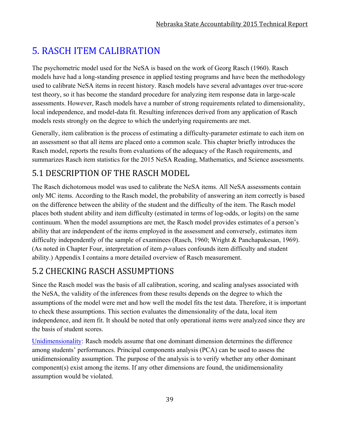# 5. RASCH ITEM CALIBRATION

The psychometric model used for the NeSA is based on the work of Georg Rasch (1960). Rasch models have had a long-standing presence in applied testing programs and have been the methodology used to calibrate NeSA items in recent history. Rasch models have several advantages over true-score test theory, so it has become the standard procedure for analyzing item response data in large-scale assessments. However, Rasch models have a number of strong requirements related to dimensionality, local independence, and model-data fit. Resulting inferences derived from any application of Rasch models rests strongly on the degree to which the underlying requirements are met.

Generally, item calibration is the process of estimating a difficulty-parameter estimate to each item on an assessment so that all items are placed onto a common scale. This chapter briefly introduces the Rasch model, reports the results from evaluations of the adequacy of the Rasch requirements, and summarizes Rasch item statistics for the 2015 NeSA Reading, Mathematics, and Science assessments.

# 5.1 DESCRIPTION OF THE RASCH MODEL

The Rasch dichotomous model was used to calibrate the NeSA items. All NeSA assessments contain only MC items. According to the Rasch model, the probability of answering an item correctly is based on the difference between the ability of the student and the difficulty of the item. The Rasch model places both student ability and item difficulty (estimated in terms of log-odds, or logits) on the same continuum. When the model assumptions are met, the Rasch model provides estimates of a person's ability that are independent of the items employed in the assessment and conversely, estimates item difficulty independently of the sample of examinees (Rasch, 1960; Wright & Panchapakesan, 1969). (As noted in Chapter Four, interpretation of item *p*-values confounds item difficulty and student ability.) Appendix I contains a more detailed overview of Rasch measurement.

# 5.2 CHECKING RASCH ASSUMPTIONS

Since the Rasch model was the basis of all calibration, scoring, and scaling analyses associated with the NeSA, the validity of the inferences from these results depends on the degree to which the assumptions of the model were met and how well the model fits the test data. Therefore, it is important to check these assumptions. This section evaluates the dimensionality of the data, local item independence, and item fit. It should be noted that only operational items were analyzed since they are the basis of student scores.

Unidimensionality: Rasch models assume that one dominant dimension determines the difference among students' performances. Principal components analysis (PCA) can be used to assess the unidimensionality assumption. The purpose of the analysis is to verify whether any other dominant component(s) exist among the items. If any other dimensions are found, the unidimensionality assumption would be violated.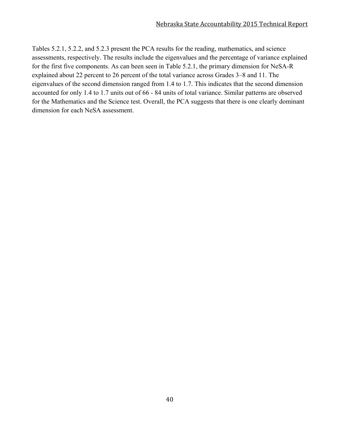Tables 5.2.1, 5.2.2, and 5.2.3 present the PCA results for the reading, mathematics, and science assessments, respectively. The results include the eigenvalues and the percentage of variance explained for the first five components. As can been seen in Table 5.2.1, the primary dimension for NeSA-R explained about 22 percent to 26 percent of the total variance across Grades 3–8 and 11. The eigenvalues of the second dimension ranged from 1.4 to 1.7. This indicates that the second dimension accounted for only 1.4 to 1.7 units out of 66 - 84 units of total variance. Similar patterns are observed for the Mathematics and the Science test. Overall, the PCA suggests that there is one clearly dominant dimension for each NeSA assessment.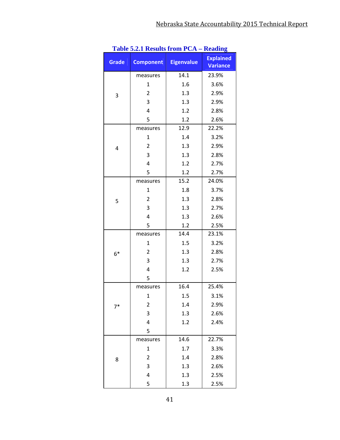|              | <b>Table 3.4.1 Results II 0111 I UA -</b> |                   | - кеаших                            |
|--------------|-------------------------------------------|-------------------|-------------------------------------|
| <b>Grade</b> | <b>Component</b>                          | <b>Eigenvalue</b> | <b>Explained</b><br><b>Variance</b> |
|              | measures                                  | 14.1              | 23.9%                               |
|              | $\mathbf{1}$                              | 1.6               | 3.6%                                |
| 3            | 2                                         | 1.3               | 2.9%                                |
|              | 3                                         | 1.3               | 2.9%                                |
|              | 4                                         | 1.2               | 2.8%                                |
|              | 5                                         | 1.2               | 2.6%                                |
|              | measures                                  | 12.9              | 22.2%                               |
|              | $\mathbf{1}$                              | 1.4               | 3.2%                                |
| 4            | 2                                         | 1.3               | 2.9%                                |
|              | 3                                         | 1.3               | 2.8%                                |
|              | 4                                         | 1.2               | 2.7%                                |
|              | 5                                         | 1.2               | 2.7%                                |
|              | measures                                  | 15.2              | 24.0%                               |
|              | $\mathbf{1}$                              | 1.8               | 3.7%                                |
| 5            | $\overline{2}$                            | 1.3               | 2.8%                                |
|              | 3                                         | 1.3               | 2.7%                                |
|              | 4                                         | 1.3               | 2.6%                                |
|              | 5                                         | 1.2               | 2.5%                                |
|              | measures                                  | 14.4              | 23.1%                               |
|              | $\mathbf{1}$                              | 1.5               | 3.2%                                |
| $6*$         | 2                                         | 1.3               | 2.8%                                |
|              | 3                                         | 1.3               | 2.7%                                |
|              | 4                                         | 1.2               | 2.5%                                |
|              | 5                                         |                   |                                     |
|              | measures                                  | 16.4              | 25.4%                               |
|              | $\mathbf 1$                               | 1.5               | 3.1%                                |
| $7*$         | 2                                         | 1.4               | 2.9%                                |
|              | 3                                         | 1.3               | 2.6%                                |
|              | 4                                         | 1.2               | 2.4%                                |
|              | 5                                         |                   |                                     |
|              | measures                                  | 14.6              | 22.7%                               |
|              | $\mathbf{1}$                              | 1.7               | 3.3%                                |
| 8            | 2                                         | 1.4               | 2.8%                                |
|              | 3                                         | 1.3               | 2.6%                                |
|              | 4                                         | 1.3               | 2.5%                                |
|              | 5                                         | 1.3               | 2.5%                                |

| <b>Table 5.2.1 Results from PCA - Reading</b> |  |  |  |  |
|-----------------------------------------------|--|--|--|--|
|-----------------------------------------------|--|--|--|--|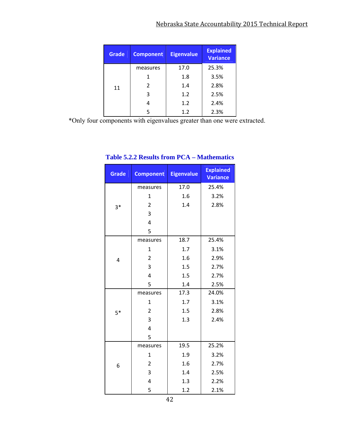| <b>Grade</b> | <b>Component</b> | <b>Eigenvalue</b> | <b>Explained</b><br><b>Variance</b> |
|--------------|------------------|-------------------|-------------------------------------|
|              | measures         | 17.0              | 25.3%                               |
|              |                  | 1.8               | 3.5%                                |
| 11           | 2                | 1.4               | 2.8%                                |
|              | 3                | 1.2               | 2.5%                                |
|              | 4                | 1.2               | 2.4%                                |
|              | 5                | 1.2               | 2.3%                                |

\*Only four components with eigenvalues greater than one were extracted.

| <b>Grade</b> | <b>Component</b> | <b>Eigenvalue</b> | <b>Explained</b><br><b>Variance</b> |
|--------------|------------------|-------------------|-------------------------------------|
|              | measures         | 17.0              | 25.4%                               |
|              | 1                | 1.6               | 3.2%                                |
| $3*$         | $\overline{2}$   | 1.4               | 2.8%                                |
|              | 3                |                   |                                     |
|              | 4                |                   |                                     |
|              | 5                |                   |                                     |
|              | measures         | 18.7              | 25.4%                               |
|              | $\mathbf 1$      | 1.7               | 3.1%                                |
| 4            | $\overline{2}$   | 1.6               | 2.9%                                |
|              | 3                | 1.5               | 2.7%                                |
|              | 4                | 1.5               | 2.7%                                |
|              | 5                | 1.4               | 2.5%                                |
|              | measures         | 17.3              | 24.0%                               |
|              | 1                | 1.7               | 3.1%                                |
| $5*$         | $\overline{2}$   | 1.5               | 2.8%                                |
|              | 3                | 1.3               | 2.4%                                |
|              | 4                |                   |                                     |
|              | 5                |                   |                                     |
|              | measures         | 19.5              | 25.2%                               |
|              | $\mathbf{1}$     | 1.9               | 3.2%                                |
| 6            | 2                | 1.6               | 2.7%                                |
|              | 3                | 1.4               | 2.5%                                |
|              | 4                | 1.3               | 2.2%                                |
|              | 5                | 1.2               | 2.1%                                |

## **Table 5.2.2 Results from PCA – Mathematics**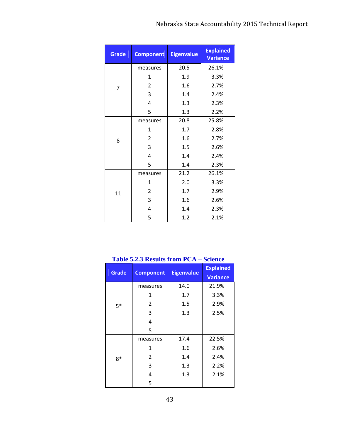| <b>Grade</b> | <b>Component</b> | <b>Eigenvalue</b> | <b>Explained</b><br><b>Variance</b> |
|--------------|------------------|-------------------|-------------------------------------|
|              | measures         | 20.5              | 26.1%                               |
|              | 1                | 1.9               | 3.3%                                |
| 7            | $\overline{2}$   | 1.6               | 2.7%                                |
|              | 3                | 1.4               | 2.4%                                |
|              | 4                | 1.3               | 2.3%                                |
|              | 5                | 1.3               | 2.2%                                |
|              | measures         | 20.8              | 25.8%                               |
|              | 1                | 1.7               | 2.8%                                |
| 8            | $\overline{2}$   | 1.6               | 2.7%                                |
|              | 3                | 1.5               | 2.6%                                |
|              | 4                | 1.4               | 2.4%                                |
|              | 5                | 1.4               | 2.3%                                |
|              | measures         | 21.2              | 26.1%                               |
|              | 1                | 2.0               | 3.3%                                |
| 11           | 2                | 1.7               | 2.9%                                |
|              | 3                | 1.6               | 2.6%                                |
|              | 4                | 1.4               | 2.3%                                |
|              | 5                | 1.2               | 2.1%                                |

## **Table 5.2.3 Results from PCA – Science**

| <b>Grade</b> |                  | <b>Eigenvalue</b> | <b>Explained</b> |
|--------------|------------------|-------------------|------------------|
|              | <b>Component</b> |                   | <b>Variance</b>  |
|              | measures         | 14.0              | 21.9%            |
|              | 1                | 1.7               | 3.3%             |
| $5*$         | $\overline{2}$   | $1.5\,$           | 2.9%             |
|              | 3                | 1.3               | 2.5%             |
|              | 4                |                   |                  |
|              | 5                |                   |                  |
|              | measures         | 17.4              | 22.5%            |
|              | 1                | 1.6               | 2.6%             |
| $8*$         | $\overline{2}$   | 1.4               | 2.4%             |
|              | 3                | 1.3               | 2.2%             |
|              | 4                | $1.3\,$           | 2.1%             |
|              | 5                |                   |                  |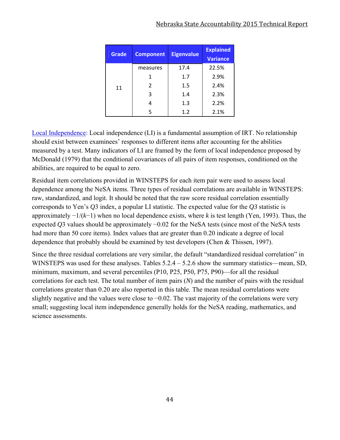#### Nebraska State Accountability 2015 Technical Report

| <b>Grade</b> | <b>Component</b> | <b>Eigenvalue</b> | <b>Explained</b> |
|--------------|------------------|-------------------|------------------|
|              |                  |                   | <b>Variance</b>  |
|              | measures         | 17.4              | 22.5%            |
|              | 1                | 1.7               | 2.9%             |
| 11           | $\overline{2}$   | 1.5               | 2.4%             |
|              | 3                | 1.4               | 2.3%             |
|              |                  | 1.3               | 2.2%             |
|              | 5                | 1.2               | 2.1%             |

Local Independence: Local independence (LI) is a fundamental assumption of IRT. No relationship should exist between examinees' responses to different items after accounting for the abilities measured by a test. Many indicators of LI are framed by the form of local independence proposed by McDonald (1979) that the conditional covariances of all pairs of item responses, conditioned on the abilities, are required to be equal to zero.

Residual item correlations provided in WINSTEPS for each item pair were used to assess local dependence among the NeSA items. Three types of residual correlations are available in WINSTEPS: raw, standardized, and logit. It should be noted that the raw score residual correlation essentially corresponds to Yen's *Q*3 index, a popular LI statistic. The expected value for the *Q3* statistic is approximately −1/(*k*−1) when no local dependence exists, where *k* is test length (Yen, 1993). Thus, the expected *Q*3 values should be approximately −0.02 for the NeSA tests (since most of the NeSA tests had more than 50 core items). Index values that are greater than 0.20 indicate a degree of local dependence that probably should be examined by test developers (Chen & Thissen, 1997).

Since the three residual correlations are very similar, the default "standardized residual correlation" in WINSTEPS was used for these analyses. Tables  $5.2.4 - 5.2.6$  show the summary statistics—mean, SD, minimum, maximum, and several percentiles (P10, P25, P50, P75, P90)—for all the residual correlations for each test. The total number of item pairs (*N*) and the number of pairs with the residual correlations greater than 0.20 are also reported in this table. The mean residual correlations were slightly negative and the values were close to −0.02. The vast majority of the correlations were very small; suggesting local item independence generally holds for the NeSA reading, mathematics, and science assessments.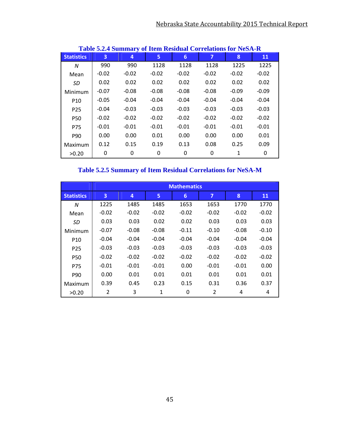| Table 9.2.4 Building y of Iren Intsidual Correlations for IntbA-In |         |         |         |         |         |         |         |  |  |
|--------------------------------------------------------------------|---------|---------|---------|---------|---------|---------|---------|--|--|
| <b>Statistics</b>                                                  | 3       | 4       | 5.      | 6       | 7       | 8       | 11      |  |  |
| N                                                                  | 990     | 990     | 1128    | 1128    | 1128    | 1225    | 1225    |  |  |
| Mean                                                               | $-0.02$ | $-0.02$ | $-0.02$ | $-0.02$ | $-0.02$ | $-0.02$ | $-0.02$ |  |  |
| SD                                                                 | 0.02    | 0.02    | 0.02    | 0.02    | 0.02    | 0.02    | 0.02    |  |  |
| Minimum                                                            | $-0.07$ | $-0.08$ | $-0.08$ | $-0.08$ | $-0.08$ | $-0.09$ | $-0.09$ |  |  |
| P <sub>10</sub>                                                    | $-0.05$ | $-0.04$ | $-0.04$ | $-0.04$ | $-0.04$ | $-0.04$ | $-0.04$ |  |  |
| P <sub>25</sub>                                                    | $-0.04$ | $-0.03$ | $-0.03$ | $-0.03$ | $-0.03$ | $-0.03$ | $-0.03$ |  |  |
| P50                                                                | $-0.02$ | $-0.02$ | $-0.02$ | $-0.02$ | $-0.02$ | $-0.02$ | $-0.02$ |  |  |
| P75                                                                | $-0.01$ | $-0.01$ | $-0.01$ | $-0.01$ | $-0.01$ | $-0.01$ | $-0.01$ |  |  |
| P90                                                                | 0.00    | 0.00    | 0.01    | 0.00    | 0.00    | 0.00    | 0.01    |  |  |
| Maximum                                                            | 0.12    | 0.15    | 0.19    | 0.13    | 0.08    | 0.25    | 0.09    |  |  |
| >0.20                                                              | 0       | 0       | 0       | 0       | 0       | 1       | 0       |  |  |

## **Table 5.2.4 Summary of Item Residual Correlations for NeSA-R**

**Table 5.2.5 Summary of Item Residual Correlations for NeSA-M** 

|                   | <b>Mathematics</b> |         |         |         |         |         |         |  |  |  |
|-------------------|--------------------|---------|---------|---------|---------|---------|---------|--|--|--|
| <b>Statistics</b> | 3                  | 4       | 5       | 6       | 7       | 8       | 11      |  |  |  |
| N                 | 1225               | 1485    | 1485    | 1653    | 1653    | 1770    | 1770    |  |  |  |
| Mean              | $-0.02$            | $-0.02$ | $-0.02$ | $-0.02$ | $-0.02$ | $-0.02$ | $-0.02$ |  |  |  |
| SD                | 0.03               | 0.03    | 0.02    | 0.02    | 0.03    | 0.03    | 0.03    |  |  |  |
| Minimum           | $-0.07$            | $-0.08$ | $-0.08$ | $-0.11$ | $-0.10$ | $-0.08$ | $-0.10$ |  |  |  |
| P <sub>10</sub>   | $-0.04$            | $-0.04$ | $-0.04$ | $-0.04$ | $-0.04$ | $-0.04$ | $-0.04$ |  |  |  |
| P <sub>25</sub>   | $-0.03$            | $-0.03$ | $-0.03$ | $-0.03$ | $-0.03$ | $-0.03$ | $-0.03$ |  |  |  |
| P <sub>50</sub>   | $-0.02$            | $-0.02$ | $-0.02$ | $-0.02$ | $-0.02$ | $-0.02$ | $-0.02$ |  |  |  |
| P75               | $-0.01$            | $-0.01$ | $-0.01$ | 0.00    | $-0.01$ | $-0.01$ | 0.00    |  |  |  |
| P90               | 0.00               | 0.01    | 0.01    | 0.01    | 0.01    | 0.01    | 0.01    |  |  |  |
| Maximum           | 0.39               | 0.45    | 0.23    | 0.15    | 0.31    | 0.36    | 0.37    |  |  |  |
| >0.20             | 2                  | 3       | 1       | 0       | 2       | 4       | 4       |  |  |  |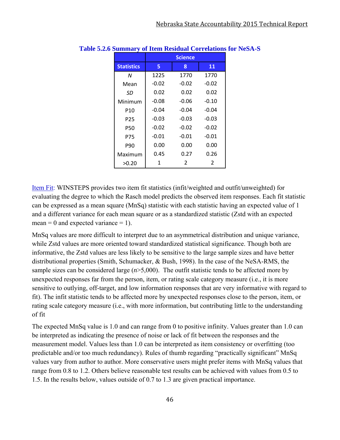|                   |         | <b>Science</b> |         |
|-------------------|---------|----------------|---------|
| <b>Statistics</b> | 5       | 8              | 11      |
| N                 | 1225    | 1770           | 1770    |
| Mean              | $-0.02$ | $-0.02$        | $-0.02$ |
| SD                | 0.02    | 0.02           | 0.02    |
| Minimum           | $-0.08$ | -0.06          | $-0.10$ |
| P10               | $-0.04$ | $-0.04$        | $-0.04$ |
| P <sub>25</sub>   | $-0.03$ | $-0.03$        | $-0.03$ |
| P50               | $-0.02$ | $-0.02$        | $-0.02$ |
| P75               | -0.01   | $-0.01$        | $-0.01$ |
| P90               | 0.00    | 0.00           | 0.00    |
| Maximum           | 0.45    | 0.27           | 0.26    |
| >0.20             | 1       | 2              | 2       |

#### **Table 5.2.6 Summary of Item Residual Correlations for NeSA-S**

Item Fit: WINSTEPS provides two item fit statistics (infit/weighted and outfit/unweighted) for evaluating the degree to which the Rasch model predicts the observed item responses. Each fit statistic can be expressed as a mean square (MnSq) statistic with each statistic having an expected value of 1 and a different variance for each mean square or as a standardized statistic (Zstd with an expected mean = 0 and expected variance = 1).

MnSq values are more difficult to interpret due to an asymmetrical distribution and unique variance, while Zstd values are more oriented toward standardized statistical significance. Though both are informative, the Zstd values are less likely to be sensitive to the large sample sizes and have better distributional properties (Smith, Schumacker, & Bush, 1998). In the case of the NeSA-RMS, the sample sizes can be considered large  $(n>5,000)$ . The outfit statistic tends to be affected more by unexpected responses far from the person, item, or rating scale category measure (i.e., it is more sensitive to outlying, off-target, and low information responses that are very informative with regard to fit). The infit statistic tends to be affected more by unexpected responses close to the person, item, or rating scale category measure (i.e., with more information, but contributing little to the understanding of fit

The expected MnSq value is 1.0 and can range from 0 to positive infinity. Values greater than 1.0 can be interpreted as indicating the presence of noise or lack of fit between the responses and the measurement model. Values less than 1.0 can be interpreted as item consistency or overfitting (too predictable and/or too much redundancy). Rules of thumb regarding "practically significant" MnSq values vary from author to author. More conservative users might prefer items with MnSq values that range from 0.8 to 1.2. Others believe reasonable test results can be achieved with values from 0.5 to 1.5. In the results below, values outside of 0.7 to 1.3 are given practical importance.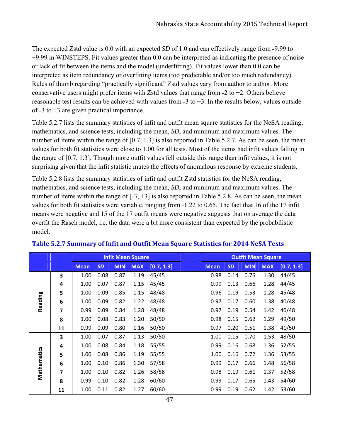The expected Zstd value is 0.0 with an expected *SD* of 1.0 and can effectively range from -9.99 to +9.99 in WINSTEPS. Fit values greater than 0.0 can be interpreted as indicating the presence of noise or lack of fit between the items and the model (underfitting). Fit values lower than 0.0 can be interpreted as item redundancy or overfitting items (too predictable and/or too much redundancy). Rules of thumb regarding "practically significant" Zstd values vary from author to author. More conservative users might prefer items with Zstd values that range from  $-2$  to  $+2$ . Others believe reasonable test results can be achieved with values from  $-3$  to  $+3$ . In the results below, values outside of  $-3$  to  $+3$  are given practical importance.

Table 5.2.7 lists the summary statistics of infit and outfit mean square statistics for the NeSA reading, mathematics, and science tests, including the mean, *SD*, and minimum and maximum values. The number of items within the range of [0.7, 1.3] is also reported in Table 5.2.7. As can be seen, the mean values for both fit statistics were close to 1.00 for all tests. Most of the items had infit values falling in the range of [0.7, 1.3]. Though more outfit values fell outside this range than infit values, it is not surprising given that the infit statistic mutes the effects of anomalous response by extreme students.

Table 5.2.8 lists the summary statistics of infit and outfit Zstd statistics for the NeSA reading, mathematics, and science tests, including the mean, *SD*, and minimum and maximum values. The number of items within the range of  $[-3, +3]$  is also reported in Table 5.2.8. As can be seen, the mean values for both fit statistics were variable, ranging from  $-1.22$  to 0.65. The fact that 16 of the 17 infit means were negative and 15 of the 17 outfit means were negative suggests that on average the data overfit the Rasch model, i.e. the data were a bit more consistent than expected by the probabilistic model.

|             |    |             |           |            | <b>Infit Mean Square</b> |            |             |           |            | <b>Outfit Mean Square</b> |            |
|-------------|----|-------------|-----------|------------|--------------------------|------------|-------------|-----------|------------|---------------------------|------------|
|             |    | <b>Mean</b> | <b>SD</b> | <b>MIN</b> | <b>MAX</b>               | [0.7, 1.3] | <b>Mean</b> | <b>SD</b> | <b>MIN</b> | <b>MAX</b>                | [0.7, 1.3] |
|             | 3  | 1.00        | 0.08      | 0.87       | 1.19                     | 45/45      | 0.98        | 0.14      | 0.76       | 1.30                      | 44/45      |
|             | 4  | 1.00        | 0.07      | 0.87       | 1.15                     | 45/45      | 0.99        | 0.13      | 0.66       | 1.28                      | 44/45      |
|             | 5  | 1.00        | 0.09      | 0.85       | 1.15                     | 48/48      | 0.96        | 0.19      | 0.53       | 1.28                      | 45/48      |
| Reading     | 6  | 1.00        | 0.09      | 0.82       | 1.22                     | 48/48      | 0.97        | 0.17      | 0.60       | 1.38                      | 40/48      |
|             | 7  | 0.99        | 0.09      | 0.84       | 1.28                     | 48/48      | 0.97        | 0.19      | 0.54       | 1.42                      | 40/48      |
|             | 8  | 1.00        | 0.08      | 0.83       | 1.20                     | 50/50      | 0.98        | 0.15      | 0.62       | 1.29                      | 49/50      |
|             | 11 | 0.99        | 0.09      | 0.80       | 1.16                     | 50/50      | 0.97        | 0.20      | 0.51       | 1.38                      | 41/50      |
|             | 3  | 1.00        | 0.07      | 0.87       | 1.13                     | 50/50      | 1.00        | 0.15      | 0.70       | 1.53                      | 48/50      |
|             | 4  | 1.00        | 0.08      | 0.84       | 1.18                     | 55/55      | 0.99        | 0.16      | 0.68       | 1.36                      | 52/55      |
|             | 5  | 1.00        | 0.08      | 0.86       | 1.19                     | 55/55      | 1.00        | 0.16      | 0.72       | 1.36                      | 53/55      |
|             | 6  | 1.00        | 0.10      | 0.86       | 1.30                     | 57/58      | 0.99        | 0.17      | 0.66       | 1.48                      | 56/58      |
| Mathematics | 7  | 1.00        | 0.10      | 0.82       | 1.26                     | 58/58      | 0.98        | 0.19      | 0.61       | 1.37                      | 52/58      |
|             | 8  | 0.99        | 0.10      | 0.82       | 1.28                     | 60/60      | 0.99        | 0.17      | 0.65       | 1.43                      | 54/60      |
|             | 11 | 1.00        | 0.11      | 0.82       | 1.27                     | 60/60      | 0.99        | 0.19      | 0.62       | 1.42                      | 53/60      |

#### **Table 5.2.7 Summary of Infit and Outfit Mean Square Statistics for 2014 NeSA Tests**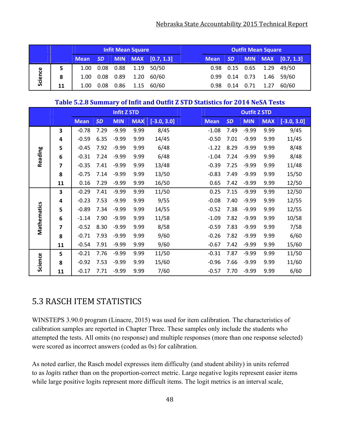|         | <b>Infit Mean Square</b> |             |           |      |                      |            |             |                  | <b>Outfit Mean Square</b> |      |                                    |
|---------|--------------------------|-------------|-----------|------|----------------------|------------|-------------|------------------|---------------------------|------|------------------------------------|
|         |                          | <b>Mean</b> | <b>SD</b> |      | MIN MAX <sup>1</sup> | [0.7, 1.3] | <b>Mean</b> | SD <sub>1</sub>  |                           |      | $\vert$ MIN $\vert$ MAX [0.7, 1.3] |
|         | 5                        | 1.00        | 0.08      | 0.88 | 1.19                 | 50/50      |             | $0.98$ 0.15 0.65 |                           | 1.29 | 49/50                              |
| Science | 8                        | 1.00        | 0.08      | 0.89 | 1.20                 | 60/60      |             | $0.99$ 0.14      | 0.73                      |      | 1.46 59/60                         |
|         | 11                       | 1.00        | 0.08      | 0.86 | 1.15                 | 60/60      | 0.98        | 0.14             | 0.71                      | 1.27 | 60/60                              |

#### **Table 5.2.8 Summary of Infit and Outfit Z STD Statistics for 2014 NeSA Tests**

|             |    |             |           | <b>Infit Z STD</b> |            |               |             |           | <b>Outfit Z STD</b> |            |               |
|-------------|----|-------------|-----------|--------------------|------------|---------------|-------------|-----------|---------------------|------------|---------------|
|             |    | <b>Mean</b> | <b>SD</b> | <b>MIN</b>         | <b>MAX</b> | $[-3.0, 3.0]$ | <b>Mean</b> | <b>SD</b> | <b>MIN</b>          | <b>MAX</b> | $[-3.0, 3.0]$ |
|             | 3  | $-0.78$     | 7.29      | $-9.99$            | 9.99       | 8/45          | $-1.08$     | 7.49      | $-9.99$             | 9.99       | 9/45          |
|             | 4  | $-0.59$     | 6.35      | $-9.99$            | 9.99       | 14/45         | $-0.50$     | 7.01      | $-9.99$             | 9.99       | 11/45         |
|             | 5  | $-0.45$     | 7.92      | $-9.99$            | 9.99       | 6/48          | $-1.22$     | 8.29      | $-9.99$             | 9.99       | 8/48          |
| Reading     | 6  | $-0.31$     | 7.24      | $-9.99$            | 9.99       | 6/48          | $-1.04$     | 7.24      | $-9.99$             | 9.99       | 8/48          |
|             | 7  | $-0.35$     | 7.41      | $-9.99$            | 9.99       | 13/48         | $-0.39$     | 7.25      | $-9.99$             | 9.99       | 11/48         |
|             | 8  | $-0.75$     | 7.14      | $-9.99$            | 9.99       | 13/50         | $-0.83$     | 7.49      | $-9.99$             | 9.99       | 15/50         |
|             | 11 | 0.16        | 7.29      | $-9.99$            | 9.99       | 16/50         | 0.65        | 7.42      | $-9.99$             | 9.99       | 12/50         |
|             | 3  | $-0.29$     | 7.41      | $-9.99$            | 9.99       | 11/50         | 0.25        | 7.15      | $-9.99$             | 9.99       | 12/50         |
|             | 4  | $-0.23$     | 7.53      | $-9.99$            | 9.99       | 9/55          | $-0.08$     | 7.40      | $-9.99$             | 9.99       | 12/55         |
|             | 5  | $-0.89$     | 7.34      | $-9.99$            | 9.99       | 14/55         | $-0.52$     | 7.38      | $-9.99$             | 9.99       | 12/55         |
| Mathematics | 6  | $-1.14$     | 7.90      | $-9.99$            | 9.99       | 11/58         | $-1.09$     | 7.82      | $-9.99$             | 9.99       | 10/58         |
|             | 7  | $-0.52$     | 8.30      | $-9.99$            | 9.99       | 8/58          | $-0.59$     | 7.83      | $-9.99$             | 9.99       | 7/58          |
|             | 8  | $-0.71$     | 7.93      | $-9.99$            | 9.99       | 9/60          | $-0.26$     | 7.82      | $-9.99$             | 9.99       | 6/60          |
|             | 11 | $-0.54$     | 7.91      | $-9.99$            | 9.99       | 9/60          | $-0.67$     | 7.42      | $-9.99$             | 9.99       | 15/60         |
|             | 5  | $-0.21$     | 7.76      | $-9.99$            | 9.99       | 11/50         | $-0.31$     | 7.87      | $-9.99$             | 9.99       | 11/50         |
| Science     | 8  | $-0.92$     | 7.53      | $-9.99$            | 9.99       | 15/60         | $-0.96$     | 7.66      | $-9.99$             | 9.99       | 11/60         |
|             | 11 | $-0.17$     | 7.71      | $-9.99$            | 9.99       | 7/60          | $-0.57$     | 7.70      | $-9.99$             | 9.99       | 6/60          |

## 5.3 RASCH ITEM STATISTICS

WINSTEPS 3.90.0 program (Linacre, 2015) was used for item calibration. The characteristics of calibration samples are reported in Chapter Three. These samples only include the students who attempted the tests. All omits (no response) and multiple responses (more than one response selected) were scored as incorrect answers (coded as 0s) for calibration.

As noted earlier, the Rasch model expresses item difficulty (and student ability) in units referred to as *logits* rather than on the proportion-correct metric. Large negative logits represent easier items while large positive logits represent more difficult items. The logit metrics is an interval scale,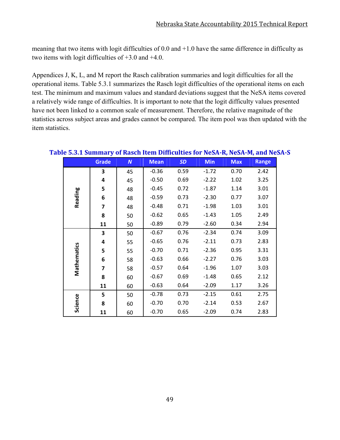meaning that two items with logit difficulties of 0.0 and +1.0 have the same difference in difficulty as two items with logit difficulties of +3.0 and +4.0.

Appendices J, K, L, and M report the Rasch calibration summaries and logit difficulties for all the operational items. Table 5.3.1 summarizes the Rasch logit difficulties of the operational items on each test. The minimum and maximum values and standard deviations suggest that the NeSA items covered a relatively wide range of difficulties. It is important to note that the logit difficulty values presented have not been linked to a common scale of measurement. Therefore, the relative magnitude of the statistics across subject areas and grades cannot be compared. The item pool was then updated with the item statistics.

|             | <b>Grade</b> | N  | <b>Mean</b> | <b>SD</b> | <b>Min</b> | <b>Max</b> | <b>Range</b> |
|-------------|--------------|----|-------------|-----------|------------|------------|--------------|
|             | 3            | 45 | $-0.36$     | 0.59      | $-1.72$    | 0.70       | 2.42         |
|             | 4            | 45 | $-0.50$     | 0.69      | $-2.22$    | 1.02       | 3.25         |
|             | 5            | 48 | $-0.45$     | 0.72      | $-1.87$    | 1.14       | 3.01         |
| Reading     | 6            | 48 | $-0.59$     | 0.73      | $-2.30$    | 0.77       | 3.07         |
|             | 7            | 48 | $-0.48$     | 0.71      | $-1.98$    | 1.03       | 3.01         |
|             | 8            | 50 | $-0.62$     | 0.65      | $-1.43$    | 1.05       | 2.49         |
|             | 11           | 50 | $-0.89$     | 0.79      | $-2.60$    | 0.34       | 2.94         |
|             | 3            | 50 | $-0.67$     | 0.76      | $-2.34$    | 0.74       | 3.09         |
|             | 4            | 55 | $-0.65$     | 0.76      | $-2.11$    | 0.73       | 2.83         |
| Mathematics | 5            | 55 | $-0.70$     | 0.71      | $-2.36$    | 0.95       | 3.31         |
|             | 6            | 58 | $-0.63$     | 0.66      | $-2.27$    | 0.76       | 3.03         |
|             | 7            | 58 | $-0.57$     | 0.64      | $-1.96$    | 1.07       | 3.03         |
|             | 8            | 60 | $-0.67$     | 0.69      | $-1.48$    | 0.65       | 2.12         |
|             | 11           | 60 | $-0.63$     | 0.64      | $-2.09$    | 1.17       | 3.26         |
|             | 5            | 50 | $-0.78$     | 0.73      | $-2.15$    | 0.61       | 2.75         |
| Science     | 8            | 60 | $-0.70$     | 0.70      | $-2.14$    | 0.53       | 2.67         |
|             | 11           | 60 | $-0.70$     | 0.65      | $-2.09$    | 0.74       | 2.83         |

#### **Table 5.3.1 Summary of Rasch Item Difficulties for NeSA‐R, NeSA‐M, and NeSA‐S**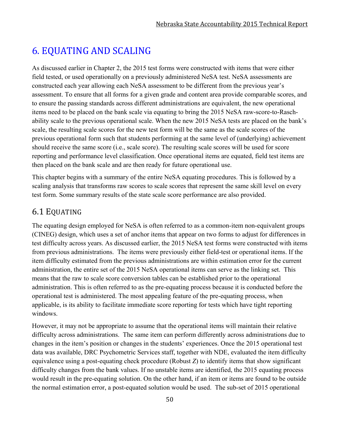# 6. EQUATING AND SCALING

As discussed earlier in Chapter 2, the 2015 test forms were constructed with items that were either field tested, or used operationally on a previously administered NeSA test. NeSA assessments are constructed each year allowing each NeSA assessment to be different from the previous year's assessment. To ensure that all forms for a given grade and content area provide comparable scores, and to ensure the passing standards across different administrations are equivalent, the new operational items need to be placed on the bank scale via equating to bring the 2015 NeSA raw-score-to-Raschability scale to the previous operational scale. When the new 2015 NeSA tests are placed on the bank's scale, the resulting scale scores for the new test form will be the same as the scale scores of the previous operational form such that students performing at the same level of (underlying) achievement should receive the same score (i.e., scale score). The resulting scale scores will be used for score reporting and performance level classification. Once operational items are equated, field test items are then placed on the bank scale and are then ready for future operational use.

This chapter begins with a summary of the entire NeSA equating procedures. This is followed by a scaling analysis that transforms raw scores to scale scores that represent the same skill level on every test form. Some summary results of the state scale score performance are also provided.

## 6.1 EQUATING

The equating design employed for NeSA is often referred to as a common-item non-equivalent groups (CINEG) design, which uses a set of anchor items that appear on two forms to adjust for differences in test difficulty across years. As discussed earlier, the 2015 NeSA test forms were constructed with items from previous administrations. The items were previously either field-test or operational items. If the item difficulty estimated from the previous administrations are within estimation error for the current administration, the entire set of the 2015 NeSA operational items can serve as the linking set. This means that the raw to scale score conversion tables can be established prior to the operational administration. This is often referred to as the pre-equating process because it is conducted before the operational test is administered. The most appealing feature of the pre-equating process, when applicable, is its ability to facilitate immediate score reporting for tests which have tight reporting windows.

However, it may not be appropriate to assume that the operational items will maintain their relative difficulty across administrations. The same item can perform differently across administrations due to changes in the item's position or changes in the students' experiences. Once the 2015 operational test data was available, DRC Psychometric Services staff, together with NDE, evaluated the item difficulty equivalence using a post-equating check procedure (Robust *Z*) to identify items that show significant difficulty changes from the bank values. If no unstable items are identified, the 2015 equating process would result in the pre-equating solution. On the other hand, if an item or items are found to be outside the normal estimation error, a post-equated solution would be used. The sub-set of 2015 operational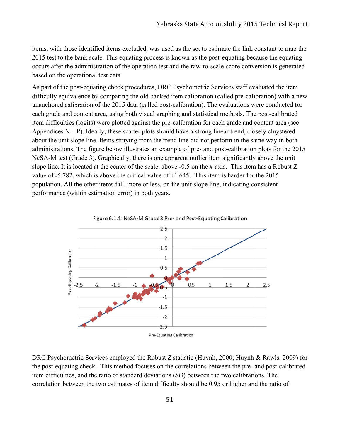items, with those identified items excluded, was used as the set to estimate the link constant to map the 2015 test to the bank scale. This equating process is known as the post-equating because the equating occurs after the administration of the operation test and the raw-to-scale-score conversion is generated based on the operational test data.

As part of the post-equating check procedures, DRC Psychometric Services staff evaluated the item difficulty equivalence by comparing the old banked item calibration (called pre-calibration) with a new unanchored calibration of the 2015 data (called post-calibration). The evaluations were conducted for each grade and content area, using both visual graphing and statistical methods. The post-calibrated item difficulties (logits) were plotted against the pre-calibration for each grade and content area (see Appendices  $N - P$ ). Ideally, these scatter plots should have a strong linear trend, closely cluystered about the unit slope line. Items straying from the trend line did not perform in the same way in both administrations. The figure below illustrates an example of pre- and post-calibration plots for the 2015 NeSA-M test (Grade 3). Graphically, there is one apparent outlier item significantly above the unit slope line. It is located at the center of the scale, above -0.5 on the *x*-axis. This item has a Robust Z value of  $-5.782$ , which is above the critical value of  $\pm 1.645$ . This item is harder for the 2015 population. All the other items fall, more or less, on the unit slope line, indicating consistent performance (within estimation error) in both years.



DRC Psychometric Services employed the Robust *Z* statistic (Huynh, 2000; Huynh & Rawls, 2009) for the post-equating check. This method focuses on the correlations between the pre- and post-calibrated item difficulties, and the ratio of standard deviations (SD) between the two calibrations. The correlation between the two estimates of item difficulty should be 0.95 or higher and the ratio of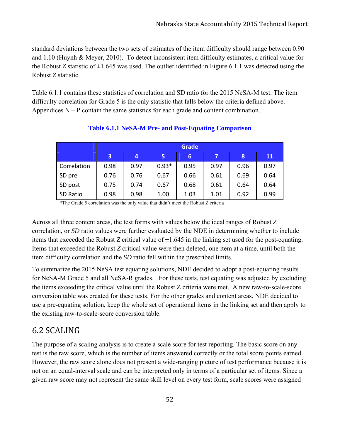standard deviations between the two sets of estimates of the item difficulty should range between 0.90 and 1.10 (Huynh & Meyer, 2010). To detect inconsistent item difficulty estimates, a critical value for the Robust *Z* statistic of  $\pm 1.645$  was used. The outlier identified in Figure 6.1.1 was detected using the Robust *Z* statistic.

Table 6.1.1 contains these statistics of correlation and SD ratio for the 2015 NeSA-M test. The item difficulty correlation for Grade 5 is the only statistic that falls below the criteria defined above. Appendices  $N - P$  contain the same statistics for each grade and content combination.

|             |      | <b>Grade</b> |         |      |      |      |      |  |  |  |  |
|-------------|------|--------------|---------|------|------|------|------|--|--|--|--|
|             | 3    | 4            | 5       | 6    |      | 8    | 11   |  |  |  |  |
| Correlation | 0.98 | 0.97         | $0.93*$ | 0.95 | 0.97 | 0.96 | 0.97 |  |  |  |  |
| SD pre      | 0.76 | 0.76         | 0.67    | 0.66 | 0.61 | 0.69 | 0.64 |  |  |  |  |
| SD post     | 0.75 | 0.74         | 0.67    | 0.68 | 0.61 | 0.64 | 0.64 |  |  |  |  |
| SD Ratio    | 0.98 | 0.98         | 1.00    | 1.03 | 1.01 | 0.92 | 0.99 |  |  |  |  |

## **Table 6.1.1 NeSA-M Pre- and Post-Equating Comparison**

\*The Grade 5 correlation was the only value that didn't meet the Robust Z criteria

Across all three content areas, the test forms with values below the ideal ranges of Robust *Z* correlation, or *SD* ratio values were further evaluated by the NDE in determining whether to include items that exceeded the Robust *Z* critical value of  $\pm 1.645$  in the linking set used for the post-equating. Items that exceeded the Robust *Z* critical value were then deleted, one item at a time, until both the item difficulty correlation and the *SD* ratio fell within the prescribed limits.

To summarize the 2015 NeSA test equating solutions, NDE decided to adopt a post-equating results for NeSA-M Grade 5 and all NeSA-R grades. For these tests, test equating was adjusted by excluding the items exceeding the critical value until the Robust Z criteria were met. A new raw-to-scale-score conversion table was created for these tests. For the other grades and content areas, NDE decided to use a pre-equating solution, keep the whole set of operational items in the linking set and then apply to the existing raw-to-scale-score conversion table.

## 6.2 SCALING

The purpose of a scaling analysis is to create a scale score for test reporting. The basic score on any test is the raw score, which is the number of items answered correctly or the total score points earned. However, the raw score alone does not present a wide-ranging picture of test performance because it is not on an equal-interval scale and can be interpreted only in terms of a particular set of items. Since a given raw score may not represent the same skill level on every test form, scale scores were assigned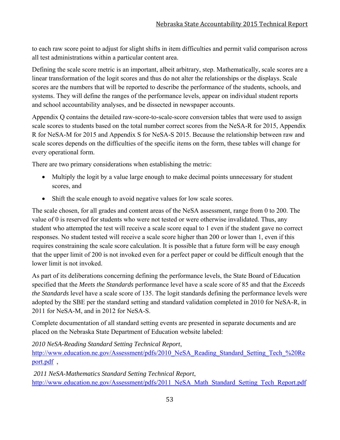to each raw score point to adjust for slight shifts in item difficulties and permit valid comparison across all test administrations within a particular content area.

Defining the scale score metric is an important, albeit arbitrary, step. Mathematically, scale scores are a linear transformation of the logit scores and thus do not alter the relationships or the displays. Scale scores are the numbers that will be reported to describe the performance of the students, schools, and systems. They will define the ranges of the performance levels, appear on individual student reports and school accountability analyses, and be dissected in newspaper accounts.

Appendix Q contains the detailed raw-score-to-scale-score conversion tables that were used to assign scale scores to students based on the total number correct scores from the NeSA-R for 2015, Appendix R for NeSA-M for 2015 and Appendix S for NeSA-S 2015. Because the relationship between raw and scale scores depends on the difficulties of the specific items on the form, these tables will change for every operational form.

There are two primary considerations when establishing the metric:

- Multiply the logit by a value large enough to make decimal points unnecessary for student scores, and
- Shift the scale enough to avoid negative values for low scale scores.

The scale chosen, for all grades and content areas of the NeSA assessment, range from 0 to 200. The value of 0 is reserved for students who were not tested or were otherwise invalidated. Thus, any student who attempted the test will receive a scale score equal to 1 even if the student gave no correct responses. No student tested will receive a scale score higher than 200 or lower than 1, even if this requires constraining the scale score calculation. It is possible that a future form will be easy enough that the upper limit of 200 is not invoked even for a perfect paper or could be difficult enough that the lower limit is not invoked.

As part of its deliberations concerning defining the performance levels, the State Board of Education specified that the *Meets the Standards* performance level have a scale score of 85 and that the *Exceeds the Standards* level have a scale score of 135. The logit standards defining the performance levels were adopted by the SBE per the standard setting and standard validation completed in 2010 for NeSA-R, in 2011 for NeSA-M, and in 2012 for NeSA-S.

Complete documentation of all standard setting events are presented in separate documents and are placed on the Nebraska State Department of Education website labeled:

*2010 NeSA-Reading Standard Setting Technical Report*,

http://www.education.ne.gov/Assessment/pdfs/2010\_NeSA\_Reading\_Standard\_Setting\_Tech\_%20Re port.pdf ,

 *2011 NeSA-Mathematics Standard Setting Technical Report*, http://www.education.ne.gov/Assessment/pdfs/2011\_NeSA\_Math\_Standard\_Setting\_Tech\_Report.pdf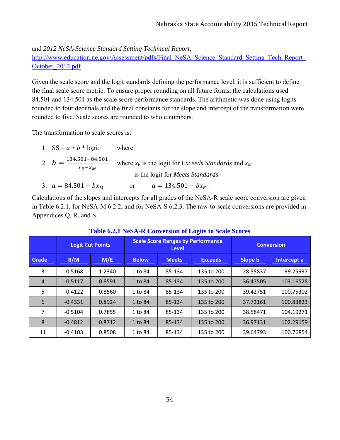and *2012 NeSA-Science Standard Setting Technical Report*,

http://www.education.ne.gov/Assessment/pdfs/Final\_NeSA\_Science\_Standard\_Setting\_Tech\_Report October\_2012.pdf

Given the scale score and the logit standards defining the performance level, it is sufficient to define the final scale score metric. To ensure proper rounding on all future forms, the calculations used 84.501 and 134.501 as the scale score performance standards. The arithmetic was done using logits rounded to four decimals and the final constants for the slope and intercept of the transformation were rounded to five. Scale scores are rounded to whole numbers.

The transformation to scale scores is:

| 1. $SS = a + b * logit$                                  | where:                                                          |
|----------------------------------------------------------|-----------------------------------------------------------------|
| 2. $b = \frac{134.501 - 84.501}{ }$<br>$\chi_F - \chi_M$ | where $x_E$ is the logit for <i>Exceeds Standards</i> and $x_M$ |
|                                                          | is the logit for <i>Meets Standards</i> .                       |
| 3. $a = 84.501 - bx_M$                                   | $a = 134.501 - bx_E$ .<br><sub>or</sub>                         |

Calculations of the slopes and intercepts for all grades of the NeSA-R scale score conversion are given in Table 6.2.1, for NeSA-M 6.2.2, and for NeSA-S 6.2.3. The raw-to-scale conversions are provided in Appendices Q, R, and S.

|              | ້         |                         |              |                                                          |                   |          |             |  |  |  |
|--------------|-----------|-------------------------|--------------|----------------------------------------------------------|-------------------|----------|-------------|--|--|--|
|              |           | <b>Logit Cut Points</b> |              | <b>Scale Score Ranges by Performance</b><br><b>Level</b> | <b>Conversion</b> |          |             |  |  |  |
| <b>Grade</b> | B/M       | M/E                     | <b>Below</b> | <b>Meets</b>                                             | <b>Exceeds</b>    | Slope b  | Intercept a |  |  |  |
| 3            | $-0.5168$ | 1.2340                  | 1 to 84      | 85-134                                                   | 135 to 200        | 28.55837 | 99.25997    |  |  |  |
| 4            | $-0.5117$ | 0.8591                  | 1 to 84      | 85-134                                                   | 135 to 200        | 36.47505 | 103.16528   |  |  |  |
| 5            | $-0.4122$ | 0.8560                  | 1 to 84      | 85-134                                                   | 135 to 200        | 39.42751 | 100.75302   |  |  |  |
| 6            | $-0.4331$ | 0.8924                  | 1 to 84      | 85-134                                                   | 135 to 200        | 37.72161 | 100.83823   |  |  |  |
| 7            | $-0.5104$ | 0.7855                  | 1 to 84      | 85-134                                                   | 135 to 200        | 38.58471 | 104.19271   |  |  |  |
| 8            | $-0.4812$ | 0.8712                  | 1 to 84      | 85-134                                                   | 135 to 200        | 36.97131 | 102.29159   |  |  |  |
| 11           | $-0.4103$ | 0.8508                  | 1 to 84      | 85-134                                                   | 135 to 200        | 39.64793 | 100.76854   |  |  |  |

#### **Table 6.2.1 NeSA-R Conversion of Logits to Scale Scores**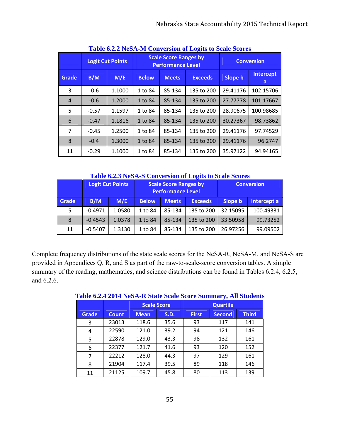|                | <u>Fabit 0.2.2 INSA-IN CONVELSION OF LOGIES to SCAR SCOTES</u> |                         |              |                                                          |                   |                |                |  |  |  |  |  |  |
|----------------|----------------------------------------------------------------|-------------------------|--------------|----------------------------------------------------------|-------------------|----------------|----------------|--|--|--|--|--|--|
|                |                                                                | <b>Logit Cut Points</b> |              | <b>Scale Score Ranges by</b><br><b>Performance Level</b> | <b>Conversion</b> |                |                |  |  |  |  |  |  |
| Grade          | B/M                                                            | M/E                     | <b>Below</b> | <b>Meets</b>                                             | <b>Exceeds</b>    | <b>Slope b</b> | Intercept<br>a |  |  |  |  |  |  |
| 3              | $-0.6$                                                         | 1.1000                  | 1 to 84      | 85-134                                                   | 135 to 200        | 29.41176       | 102.15706      |  |  |  |  |  |  |
| $\overline{4}$ | $-0.6$                                                         | 1.2000                  | 1 to 84      | 85-134                                                   | 135 to 200        | 27.77778       | 101.17667      |  |  |  |  |  |  |
| 5              | $-0.57$                                                        | 1.1597                  | 1 to 84      | 85-134                                                   | 135 to 200        | 28.90675       | 100.98685      |  |  |  |  |  |  |
| 6              | $-0.47$                                                        | 1.1816                  | 1 to 84      | 85-134                                                   | 135 to 200        | 30.27367       | 98.73862       |  |  |  |  |  |  |
| 7              | $-0.45$                                                        | 1.2500                  | 1 to 84      | 85-134                                                   | 135 to 200        | 29.41176       | 97.74529       |  |  |  |  |  |  |
| 8              | $-0.4$                                                         | 1.3000                  | 1 to 84      | 85-134                                                   | 135 to 200        | 29.41176       | 96.2747        |  |  |  |  |  |  |
| 11             | $-0.29$                                                        | 1.1000                  | 1 to 84      | 85-134                                                   | 135 to 200        | 35.97122       | 94.94165       |  |  |  |  |  |  |

**Table 6.2.2 NeSA-M Conversion of Logits to Scale Scores** 

**Table 6.2.3 NeSA-S Conversion of Logits to Scale Scores**

|              |            | <b>Logit Cut Points</b> |              | <b>Scale Score Ranges by</b><br><b>Performance Level</b> | <b>Conversion</b> |          |             |
|--------------|------------|-------------------------|--------------|----------------------------------------------------------|-------------------|----------|-------------|
| <b>Grade</b> | B/M<br>M/E |                         | <b>Below</b> | <b>Meets</b>                                             | <b>Exceeds</b>    | Slope b  | Intercept a |
| 5            | $-0.4971$  | 1.0580                  | 1 to 84      | 85-134                                                   | 135 to 200        | 32.15095 | 100.49331   |
| 8            | $-0.4543$  | 1.0378                  | 1 to 84      | 85-134                                                   | 135 to 200        | 33.50958 | 99.73252    |
| 11           | $-0.5407$  | 1.3130                  | 1 to 84      | 85-134                                                   | 135 to 200        | 26.97256 | 99.09502    |

Complete frequency distributions of the state scale scores for the NeSA-R, NeSA-M, and NeSA-S are provided in Appendices Q, R, and S as part of the raw-to-scale-score conversion tables. A simple summary of the reading, mathematics, and science distributions can be found in Tables 6.2.4, 6.2.5, and 6.2.6.

|              | Tuble olan Fave Friedrich Deute Deute Deutschmittel Jahre Deutsche |             |                    |                 |               |              |  |  |  |  |  |  |
|--------------|--------------------------------------------------------------------|-------------|--------------------|-----------------|---------------|--------------|--|--|--|--|--|--|
|              |                                                                    |             | <b>Scale Score</b> | <b>Quartile</b> |               |              |  |  |  |  |  |  |
| <b>Grade</b> | <b>Count</b>                                                       | <b>Mean</b> | S.D.               | <b>First</b>    | <b>Second</b> | <b>Third</b> |  |  |  |  |  |  |
| 3            | 23013                                                              | 118.6       | 35.6               | 93              | 117           | 141          |  |  |  |  |  |  |
| 4            | 22590                                                              | 121.0       | 39.2               | 94              | 121           | 146          |  |  |  |  |  |  |
| 5            | 22878                                                              | 129.0       | 43.3               | 98              | 132           | 161          |  |  |  |  |  |  |
| 6            | 22377                                                              | 121.7       | 41.6               | 93              | 120           | 152          |  |  |  |  |  |  |
| 7            | 22212                                                              | 128.0       | 44.3               | 97              | 129           | 161          |  |  |  |  |  |  |
| 8            | 21904                                                              | 117.4       | 39.5               | 89              | 118           | 146          |  |  |  |  |  |  |
| 11           | 21125                                                              | 109.7       | 45.8               | 80              | 113           | 139          |  |  |  |  |  |  |

**Table 6.2.4 2014 NeSA-R State Scale Score Summary, All Students**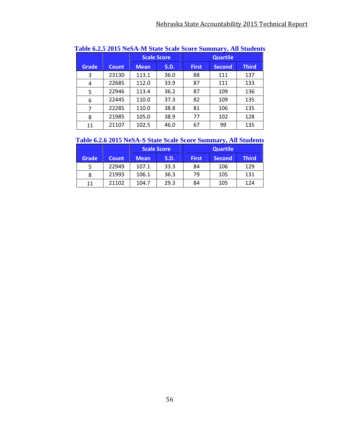|              |              |             | <b>Scale Score</b> | <b>Quartile</b> |               |              |  |
|--------------|--------------|-------------|--------------------|-----------------|---------------|--------------|--|
| <b>Grade</b> | <b>Count</b> | <b>Mean</b> | <b>S.D.</b>        | <b>First</b>    | <b>Second</b> | <b>Third</b> |  |
| 3            | 23130        | 113.1       | 36.0               | 88              | 111           | 137          |  |
| 4            | 22685        | 112.0       | 33.9               | 87              | 111           | 133          |  |
| 5            | 22946        | 113.4       | 36.2               | 87              | 109           | 136          |  |
| 6            | 22445        | 110.0       | 37.3               | 82              | 109           | 135          |  |
| 7            | 22285        | 110.0       | 38.8               | 81              | 106           | 135          |  |
| 8            | 21985        | 105.0       | 38.9               | 77              | 102           | 128          |  |
| 11           | 21107        | 102.5       | 46.0               | 67              | 99            | 135          |  |

| Table 6.2.5 2015 NeSA-M State Scale Score Summary, All Students |  |
|-----------------------------------------------------------------|--|
|-----------------------------------------------------------------|--|

## **Table 6.2.6 2015 NeSA-S State Scale Score Summary, All Students**

|       |              | <b>Scale Score</b> |      | <b>Quartile</b> |               |              |  |
|-------|--------------|--------------------|------|-----------------|---------------|--------------|--|
| Grade | <b>Count</b> | <b>Mean</b>        | S.D. | <b>First</b>    | <b>Second</b> | <b>Third</b> |  |
| 5     | 22949        | 107.1              | 33.3 | 84              | 106           | 129          |  |
| 8     | 21993        | 106.1              | 36.3 | 79              | 105           | 131          |  |
| 11    | 21102        | 104.7              | 29.3 | 84              | 105           | 124          |  |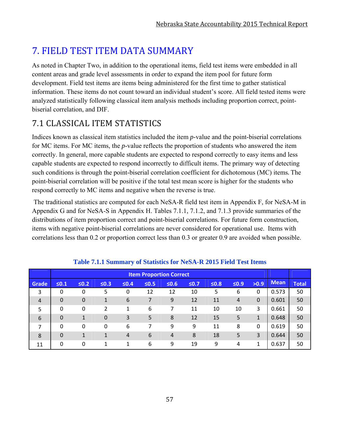# **7. FIELD TEST ITEM DATA SUMMARY**

As noted in Chapter Two, in addition to the operational items, field test items were embedded in all content areas and grade level assessments in order to expand the item pool for future form development. Field test items are items being administered for the first time to gather statistical information. These items do not count toward an individual student's score. All field tested items were analyzed statistically following classical item analysis methods including proportion correct, pointbiserial correlation, and DIF.

# 7.1 CLASSICAL ITEM STATISTICS

Indices known as classical item statistics included the item *p*-value and the point-biserial correlations for MC items. For MC items, the *p*-value reflects the proportion of students who answered the item correctly. In general, more capable students are expected to respond correctly to easy items and less capable students are expected to respond incorrectly to difficult items. The primary way of detecting such conditions is through the point-biserial correlation coefficient for dichotomous (MC) items. The point-biserial correlation will be positive if the total test mean score is higher for the students who respond correctly to MC items and negative when the reverse is true.

 The traditional statistics are computed for each NeSA-R field test item in Appendix F, for NeSA-M in Appendix G and for NeSA-S in Appendix H. Tables 7.1.1, 7.1.2, and 7.1.3 provide summaries of the distributions of item proportion correct and point-biserial correlations. For future form construction, items with negative point-biserial correlations are never considered for operational use. Items with correlations less than 0.2 or proportion correct less than 0.3 or greater 0.9 are avoided when possible.

|                |             | <b>Item Proportion Correct</b> |                |        |            |                |            |            |            |              |             |              |
|----------------|-------------|--------------------------------|----------------|--------|------------|----------------|------------|------------|------------|--------------|-------------|--------------|
| Grade          | $\leq 0.1$  | $≤0.2$                         | $\leq 0.3$     | $≤0.4$ | $\leq 0.5$ | $\leq 0.6$     | $\leq 0.7$ | $\leq 0.8$ | $\leq 0.9$ | >0.9         | <b>Mean</b> | <b>Total</b> |
| 3              | 0           | 0                              | 5              | 0      | 12         | 12             | 10         | 5          | 6          | 0            | 0.573       | 50           |
| $\overline{4}$ | $\mathbf 0$ | 0                              | 1              | 6      | 7          | 9              | 12         | 11         | 4          | $\mathbf 0$  | 0.601       | 50           |
| 5              | 0           | 0                              | 2              | 1      | 6          |                | 11         | 10         | 10         | 3            | 0.661       | 50           |
| 6              | $\mathbf 0$ | $\mathbf 1$                    | $\overline{0}$ | 3      | 5          | 8              | 12         | 15         | 5          | $\mathbf{1}$ | 0.648       | 50           |
| 7              | 0           | 0                              | 0              | 6      | 7          | 9              | 9          | 11         | 8          | $\Omega$     | 0.619       | 50           |
| 8              | $\Omega$    | 1                              | 1              | 4      | 6          | $\overline{4}$ | 8          | 18         | 5          | 3            | 0.644       | 50           |
| 11             | 0           | 0                              | 1              | 1      | 6          | 9              | 19         | 9          | 4          | 1            | 0.637       | 50           |

#### **Table 7.1.1 Summary of Statistics for NeSA-R 2015 Field Test Items**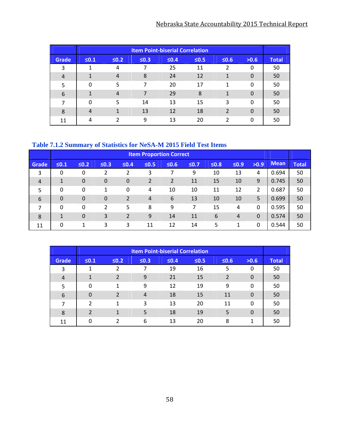## Nebraska State Accountability 2015 Technical Report

|                |                |                |            | <b>Item Point-biserial Correlation</b> |            |                |          |              |
|----------------|----------------|----------------|------------|----------------------------------------|------------|----------------|----------|--------------|
| <b>Grade</b>   | $\leq 0.1$     | $\leq 0.2$     | $\leq 0.3$ | $\leq 0.4$                             | $\leq 0.5$ | $\leq 0.6$     | >0.6     | <b>Total</b> |
| 3              |                | 4              |            | 25                                     | 11         | 2              | 0        | 50           |
| $\overline{4}$ | 1              | $\overline{4}$ | 8          | 24                                     | 12         | 1              | 0        | 50           |
| 5              | 0              | 5              | 7          | 20                                     | 17         | 1              | 0        | 50           |
| 6              |                | 4              | 7          | 29                                     | 8          | 1              | $\Omega$ | 50           |
| $\overline{ }$ | 0              | 5              | 14         | 13                                     | 15         | 3              | 0        | 50           |
| 8              | $\overline{4}$ |                | 13         | 12                                     | 18         | $\overline{2}$ | $\Omega$ | 50           |
| 11             | 4              | ົາ             | 9          | 13                                     | 20         | າ              | $\Omega$ | 50           |

## **Table 7.1.2 Summary of Statistics for NeSA-M 2015 Field Test Items**

|                 |                |                  |                  |            | <b>Item Proportion Correct</b> |                |            |            |            |          |             |              |
|-----------------|----------------|------------------|------------------|------------|--------------------------------|----------------|------------|------------|------------|----------|-------------|--------------|
| <b>Grade</b>    | $\leq 0.1$     | $\leq 0.2$       | $\leq 0.3$       | $\leq 0.4$ | $\leq 0.5$                     | $≤0.6$         | $\leq 0.7$ | $\leq 0.8$ | $\leq 0.9$ | >0.9     | <b>Mean</b> | <b>Total</b> |
| 3               | 0              | 0                | 2                | 2          | 3                              |                | 9          | 10         | 13         | 4        | 0.694       | 50           |
| $\overline{4}$  | 1              | $\boldsymbol{0}$ | $\boldsymbol{0}$ | 0          | 2                              | $\overline{2}$ | 11         | 15         | 10         | 9        | 0.745       | 50           |
| 5               | 0              | 0                | 1                | 0          | $\overline{4}$                 | 10             | 10         | 11         | 12         | 2        | 0.687       | 50           |
| $6\phantom{1}6$ | $\overline{0}$ | $\boldsymbol{0}$ | $\mathbf 0$      | 2          | $\overline{4}$                 | 6              | 13         | 10         | 10         | 5        | 0.699       | 50           |
| $\overline{7}$  | 0              | 0                | 2                | 5          | 8                              | 9              | 7          | 15         | 4          | $\Omega$ | 0.595       | 50           |
| 8               | 1              | $\overline{0}$   | 3                | 2          | 9                              | 14             | 11         | 6          | 4          | $\Omega$ | 0.574       | 50           |
| 11              | 0              | 1                | 3                | 3          | 11                             | 12             | 14         | 5          | 1          | $\Omega$ | 0.544       | 50           |

|                |                |                |                | <b>Item Point-biserial Correlation</b> |            |                |          |              |
|----------------|----------------|----------------|----------------|----------------------------------------|------------|----------------|----------|--------------|
| <b>Grade</b>   | $\leq 0.1$     | $\leq 0.2$     | $\leq 0.3$     | $\leq 0.4$                             | $\leq 0.5$ | $≤0.6$         | >0.6     | <b>Total</b> |
| 3              |                |                |                | 19                                     | 16         | 5              | 0        | 50           |
| $\overline{4}$ | 1              | $\overline{2}$ | 9              | 21                                     | 15         | $\overline{2}$ | 0        | 50           |
| 5              | 0              | 1              | 9              | 12                                     | 19         | 9              | 0        | 50           |
| 6              | $\Omega$       | $\mathfrak{p}$ | $\overline{4}$ | 18                                     | 15         | 11             | 0        | 50           |
| 7              | $\mathfrak{p}$ | 1              | 3              | 13                                     | 20         | 11             | 0        | 50           |
| 8              | $\mathfrak{p}$ |                | 5              | 18                                     | 19         | 5              | $\Omega$ | 50           |
| 11             | n              | າ              | 6              | 13                                     | 20         | 8              | 1        | 50           |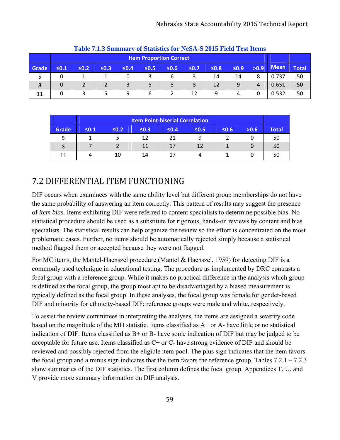|       | Table 7.1.5 Summary of Statistics for NeSA-S 2015 Field Test Reflis |                                |            |            |            |            |            |            |            |      |             |              |  |
|-------|---------------------------------------------------------------------|--------------------------------|------------|------------|------------|------------|------------|------------|------------|------|-------------|--------------|--|
|       |                                                                     | <b>Item Proportion Correct</b> |            |            |            |            |            |            |            |      |             |              |  |
| Grade | $\leq 0.1$                                                          | $\leq 0.2$                     | $\leq 0.3$ | $\leq 0.4$ | $\leq 0.5$ | $\leq 0.6$ | $\leq 0.7$ | $\leq 0.8$ | $\leq 0.9$ | >0.9 | <b>Mean</b> | <b>Total</b> |  |
|       | 0                                                                   |                                |            |            |            |            |            | 14         | 14         | 8    | 0.737       | 50           |  |
| 8     | 0                                                                   |                                |            |            |            |            | 8          | 12         | 9          | 4    | 0.651       | 50           |  |
| 11    | 0                                                                   |                                | 5          | 9          | 6          |            | 12         | 9          |            |      | 0.532       | 50           |  |

| Table 7.1.3 Summary of Statistics for NeSA-S 2015 Field Test Items |  |  |  |
|--------------------------------------------------------------------|--|--|--|
|--------------------------------------------------------------------|--|--|--|

|       | <b>Item Point-biserial Correlation</b> |            |            |            |            |      |      |              |  |  |  |
|-------|----------------------------------------|------------|------------|------------|------------|------|------|--------------|--|--|--|
| Grade | $\leq 0.1$                             | $\leq 0.2$ | $\leq 0.3$ | $\leq 0.4$ | $\leq 0.5$ | 50.6 | >0.6 | <b>Total</b> |  |  |  |
|       |                                        |            | 12         |            |            |      |      | 50           |  |  |  |
| 8     |                                        |            |            | 17         | 12         |      |      | 50           |  |  |  |
|       |                                        | 10         | 14         | 17         |            |      |      | 50           |  |  |  |

# 7.2 DIFFERENTIAL ITEM FUNCTIONING

DIF occurs when examinees with the same ability level but different group memberships do not have the same probability of answering an item correctly. This pattern of results may suggest the presence of *item bias*. Items exhibiting DIF were referred to content specialists to determine possible bias. No statistical procedure should be used as a substitute for rigorous, hands-on reviews by content and bias specialists. The statistical results can help organize the review so the effort is concentrated on the most problematic cases. Further, no items should be automatically rejected simply because a statistical method flagged them or accepted because they were not flagged.

For MC items, the Mantel-Haenszel procedure (Mantel & Haenszel, 1959) for detecting DIF is a commonly used technique in educational testing. The procedure as implemented by DRC contrasts a focal group with a reference group. While it makes no practical difference in the analysis which group is defined as the focal group, the group most apt to be disadvantaged by a biased measurement is typically defined as the focal group. In these analyses, the focal group was female for gender-based DIF and minority for ethnicity-based DIF; reference groups were male and white, respectively.

To assist the review committees in interpreting the analyses, the items are assigned a severity code based on the magnitude of the MH statistic. Items classified as A+ or A- have little or no statistical indication of DIF. Items classified as  $B+$  or B- have some indication of DIF but may be judged to be acceptable for future use. Items classified as  $C+$  or  $C-$  have strong evidence of DIF and should be reviewed and possibly rejected from the eligible item pool. The plus sign indicates that the item favors the focal group and a minus sign indicates that the item favors the reference group. Tables  $7.2.1 - 7.2.3$ show summaries of the DIF statistics. The first column defines the focal group. Appendices T, U, and V provide more summary information on DIF analysis.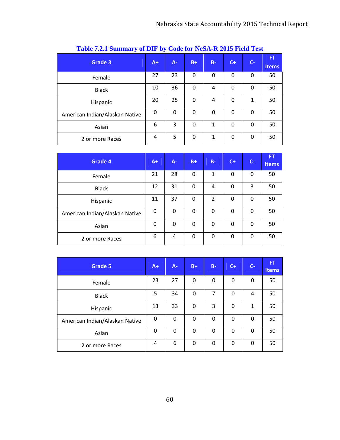| Grade 3                        | $A+$ | $A -$ | $B+$     | $B -$ | $C+$ | $C -$ | FT<br><b>Items</b> |
|--------------------------------|------|-------|----------|-------|------|-------|--------------------|
| Female                         | 27   | 23    | 0        | 0     | 0    | 0     | 50                 |
| <b>Black</b>                   | 10   | 36    | 0        | 4     | 0    | 0     | 50                 |
| Hispanic                       | 20   | 25    | 0        | 4     | 0    | 1     | 50                 |
| American Indian/Alaskan Native | 0    | 0     | 0        | 0     | 0    | 0     | 50                 |
| Asian                          | 6    | 3     | 0        | 1     | 0    | 0     | 50                 |
| 2 or more Races                | 4    | 5     | $\Omega$ | 1     | 0    | 0     | 50                 |

## **Table 7.2.1 Summary of DIF by Code for NeSA-R 2015 Field Test**

| Grade 4                        | $A+$     | A- | $B+$     | $B -$          | $C+$ | $C -$ | FT,<br><b>Items</b> |
|--------------------------------|----------|----|----------|----------------|------|-------|---------------------|
| Female                         | 21       | 28 | 0        | 1              | 0    | 0     | 50                  |
| <b>Black</b>                   | 12       | 31 | 0        | 4              | 0    | 3     | 50                  |
| Hispanic                       | 11       | 37 | $\Omega$ | $\overline{2}$ | 0    | 0     | 50                  |
| American Indian/Alaskan Native | $\Omega$ | 0  | 0        | 0              | 0    | 0     | 50                  |
| Asian                          | 0        | 0  | 0        | 0              | 0    | 0     | 50                  |
| 2 or more Races                | 6        | 4  | 0        | 0              | 0    | 0     | 50                  |

| <b>Grade 5</b>                 | $A+$ | $A -$ | $B+$     | $B -$    | $C+$        | $C-$ | <b>FT</b><br><b>Items</b> |
|--------------------------------|------|-------|----------|----------|-------------|------|---------------------------|
| Female                         | 23   | 27    | 0        | 0        | $\mathbf 0$ | 0    | 50                        |
| <b>Black</b>                   | 5    | 34    | 0        | 7        | 0           | 4    | 50                        |
| Hispanic                       | 13   | 33    | $\Omega$ | 3        | 0           | 1    | 50                        |
| American Indian/Alaskan Native | 0    | 0     | 0        | $\Omega$ | 0           | 0    | 50                        |
| Asian                          | 0    | 0     | 0        | $\Omega$ | 0           | 0    | 50                        |
| 2 or more Races                | 4    | 6     | $\Omega$ | $\Omega$ | 0           | 0    | 50                        |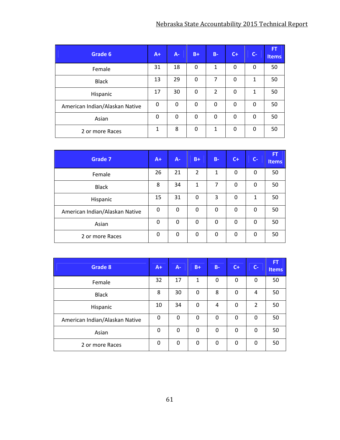| Grade 6                        | $A+$     | $A -$    | $B+$     | $B -$          | $C+$ | $C-$ | <b>FT</b><br><b>Items</b> |
|--------------------------------|----------|----------|----------|----------------|------|------|---------------------------|
| Female                         | 31       | 18       | 0        | 1              | 0    | 0    | 50                        |
| <b>Black</b>                   | 13       | 29       | $\Omega$ | 7              | 0    | 1    | 50                        |
| Hispanic                       | 17       | 30       | 0        | $\overline{2}$ | 0    | 1    | 50                        |
| American Indian/Alaskan Native | $\Omega$ | $\Omega$ | 0        | 0              | 0    | 0    | 50                        |
| Asian                          | 0        | 0        | 0        | 0              | 0    | 0    | 50                        |
| 2 or more Races                | 1        | 8        | 0        | 1              | 0    | 0    | 50                        |

| Grade 7                        | $A+$     | A- | $B+$     | $B -$ | $C+$ | $C-$     | <b>FT</b><br><b>Items</b> |
|--------------------------------|----------|----|----------|-------|------|----------|---------------------------|
| Female                         | 26       | 21 | 2        | 1     | 0    | 0        | 50                        |
| <b>Black</b>                   | 8        | 34 | 1        | 7     | 0    | 0        | 50                        |
| Hispanic                       | 15       | 31 | 0        | 3     | 0    | 1        | 50                        |
| American Indian/Alaskan Native | $\Omega$ | 0  | $\Omega$ | 0     | 0    | $\Omega$ | 50                        |
| Asian                          | $\Omega$ | 0  | 0        | 0     | 0    | $\Omega$ | 50                        |
| 2 or more Races                | 0        | 0  | 0        | 0     | 0    | 0        | 50                        |

| Grade 8                        | $A+$     | $A -$ | $B+$ | $B -$ | $C +$ | $C-$           | <b>FT</b><br>Items |
|--------------------------------|----------|-------|------|-------|-------|----------------|--------------------|
| Female                         | 32       | 17    | 1    | 0     | 0     | 0              | 50                 |
| <b>Black</b>                   | 8        | 30    | 0    | 8     | 0     | 4              | 50                 |
| Hispanic                       | 10       | 34    | 0    | 4     | 0     | $\overline{2}$ | 50                 |
| American Indian/Alaskan Native | 0        | 0     | 0    | 0     | 0     | $\Omega$       | 50                 |
| Asian                          | $\Omega$ | 0     | 0    | 0     | 0     | 0              | 50                 |
| 2 or more Races                | 0        | 0     | 0    | 0     | 0     | 0              | 50                 |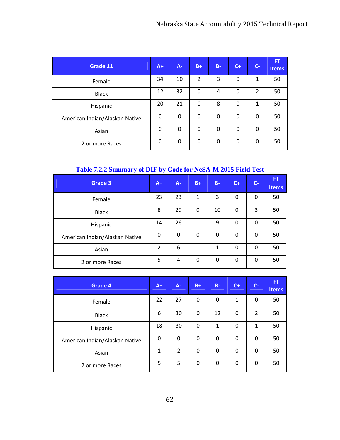| Grade 11                       | $A+$ | $A -$ | $B+$           | $B -$ | $C+$ | $C-$           | <b>FT</b><br><b>Items</b> |
|--------------------------------|------|-------|----------------|-------|------|----------------|---------------------------|
| Female                         | 34   | 10    | $\overline{2}$ | 3     | 0    | 1              | 50                        |
| <b>Black</b>                   | 12   | 32    | 0              | 4     | 0    | $\overline{2}$ | 50                        |
| Hispanic                       | 20   | 21    | 0              | 8     | 0    | 1              | 50                        |
| American Indian/Alaskan Native | 0    | 0     | 0              | 0     | 0    | $\Omega$       | 50                        |
| Asian                          | 0    | 0     | 0              | 0     | 0    | 0              | 50                        |
| 2 or more Races                | 0    | 0     | 0              | 0     | 0    | 0              | 50                        |

## **Table 7.2.2 Summary of DIF by Code for NeSA-M 2015 Field Test**

| Grade 3                        | $A+$     | A- | $B+$ | $B -$ | $C+$ | $C -$ | <b>FT</b><br><b>Items</b> |
|--------------------------------|----------|----|------|-------|------|-------|---------------------------|
| Female                         | 23       | 23 | 1    | 3     | 0    | 0     | 50                        |
| <b>Black</b>                   | 8        | 29 | 0    | 10    | 0    | 3     | 50                        |
| Hispanic                       | 14       | 26 | 1    | 9     | 0    | 0     | 50                        |
| American Indian/Alaskan Native | $\Omega$ | 0  | 0    | 0     | 0    | 0     | 50                        |
| Asian                          | 2        | 6  | 1    | 1     | 0    | 0     | 50                        |
| 2 or more Races                | 5        | 4  | 0    | 0     | 0    | 0     | 50                        |

| <b>Grade 4</b>                 | $A+$ | $A -$          | $B+$ | $B -$ | $C +$    | $C-$           | <b>FT</b><br>Items |
|--------------------------------|------|----------------|------|-------|----------|----------------|--------------------|
| Female                         | 22   | 27             | 0    | 0     | 1        | 0              | 50                 |
| <b>Black</b>                   | 6    | 30             | 0    | 12    | 0        | $\overline{2}$ | 50                 |
| Hispanic                       | 18   | 30             | 0    | 1     | 0        | 1              | 50                 |
| American Indian/Alaskan Native | 0    | 0              | 0    | 0     | 0        | $\mathbf{0}$   | 50                 |
| Asian                          | 1    | $\overline{2}$ | 0    | 0     | $\Omega$ | $\mathbf{0}$   | 50                 |
| 2 or more Races                | 5    | 5              | 0    | 0     | 0        | 0              | 50                 |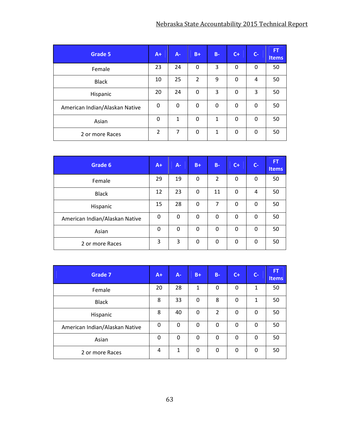| Grade 5                        | $A+$           | A-           | $B+$ | $B -$ | $C+$         | $C-$ | <b>FT</b><br><b>Items</b> |
|--------------------------------|----------------|--------------|------|-------|--------------|------|---------------------------|
| Female                         | 23             | 24           | 0    | 3     | 0            | 0    | 50                        |
| <b>Black</b>                   | 10             | 25           | 2    | 9     | 0            | 4    | 50                        |
| Hispanic                       | 20             | 24           | 0    | 3     | 0            | 3    | 50                        |
| American Indian/Alaskan Native | 0              | 0            | 0    | 0     | 0            | 0    | 50                        |
| Asian                          | 0              | $\mathbf{1}$ | 0    | 1     | 0            | 0    | 50                        |
| 2 or more Races                | $\overline{2}$ | 7            | 0    | 1     | $\mathbf{0}$ | 0    | 50                        |

| Grade 6                        | $A+$     | $A -$ | $B+$ | $B -$          | $C+$ | $C-$     | <b>FT</b><br><b>Items</b> |
|--------------------------------|----------|-------|------|----------------|------|----------|---------------------------|
| Female                         | 29       | 19    | 0    | $\overline{2}$ | 0    | 0        | 50                        |
| <b>Black</b>                   | 12       | 23    | 0    | 11             | 0    | 4        | 50                        |
| Hispanic                       | 15       | 28    | 0    | 7              | 0    | 0        | 50                        |
| American Indian/Alaskan Native | $\Omega$ | 0     | 0    | $\Omega$       | 0    | $\Omega$ | 50                        |
| Asian                          | $\Omega$ | 0     | 0    | 0              | 0    | 0        | 50                        |
| 2 or more Races                | 3        | 3     | 0    | 0              | 0    | 0        | 50                        |

| <b>Grade 7</b>                 | $A+$ | A- | $B+$ | $B -$          | $C+$ | $C-$ | <b>FT</b><br><b>Items</b> |
|--------------------------------|------|----|------|----------------|------|------|---------------------------|
| Female                         | 20   | 28 | 1    | 0              | 0    | 1    | 50                        |
| <b>Black</b>                   | 8    | 33 | 0    | 8              | 0    | 1    | 50                        |
| Hispanic                       | 8    | 40 | 0    | $\overline{2}$ | 0    | 0    | 50                        |
| American Indian/Alaskan Native | 0    | 0  | 0    | 0              | 0    | 0    | 50                        |
| Asian                          | 0    | 0  | 0    | 0              | 0    | 0    | 50                        |
| 2 or more Races                | 4    | 1  | 0    | 0              | 0    | 0    | 50                        |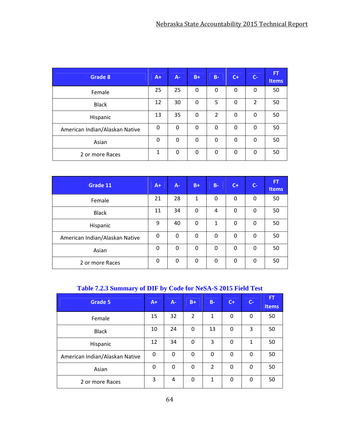| Grade 8                        | $A+$     | A-       | $B+$     | $B -$          | $C+$     | $C-$           | <b>FT</b><br><b>Items</b> |
|--------------------------------|----------|----------|----------|----------------|----------|----------------|---------------------------|
| Female                         | 25       | 25       | 0        | 0              | 0        | 0              | 50                        |
| <b>Black</b>                   | 12       | 30       | 0        | 5              | 0        | $\overline{2}$ | 50                        |
| Hispanic                       | 13       | 35       | 0        | $\overline{2}$ | 0        | 0              | 50                        |
| American Indian/Alaskan Native | $\Omega$ | $\Omega$ | 0        | 0              | 0        | 0              | 50                        |
| Asian                          | $\Omega$ | $\Omega$ | $\Omega$ | 0              | 0        | 0              | 50                        |
| 2 or more Races                | 1        | $\Omega$ | 0        | 0              | $\Omega$ | 0              | 50                        |

| Grade 11                       | $A+$     | A- | $B+$     | $B -$    | $C +$    | $C-$     | FT,<br>Items |
|--------------------------------|----------|----|----------|----------|----------|----------|--------------|
| Female                         | 21       | 28 | 1        | $\Omega$ | 0        | 0        | 50           |
| <b>Black</b>                   | 11       | 34 | $\Omega$ | 4        | $\Omega$ | 0        | 50           |
| Hispanic                       | 9        | 40 | 0        | 1        | 0        | 0        | 50           |
| American Indian/Alaskan Native | $\Omega$ | 0  | 0        | 0        | 0        | 0        | 50           |
| Asian                          | $\Omega$ | 0  | $\Omega$ | $\Omega$ | $\Omega$ | $\Omega$ | 50           |
| 2 or more Races                | 0        | 0  | $\Omega$ | 0        | $\Omega$ | 0        | 50           |

## **Table 7.2.3 Summary of DIF by Code for NeSA-S 2015 Field Test**

| <b>Grade 5</b>                 | $A+$ | $A -$ | $B+$           | $B -$          | $C+$     | $C-$         | FT,<br><b>Items</b> |
|--------------------------------|------|-------|----------------|----------------|----------|--------------|---------------------|
| Female                         | 15   | 32    | $\overline{2}$ | $\mathbf{1}$   | 0        | 0            | 50                  |
| <b>Black</b>                   | 10   | 24    | 0              | 13             | 0        | 3            | 50                  |
| Hispanic                       | 12   | 34    | 0              | 3              | $\Omega$ | 1            | 50                  |
| American Indian/Alaskan Native | 0    | 0     | 0              | $\Omega$       | $\Omega$ | 0            | 50                  |
| Asian                          | 0    | 0     | $\Omega$       | $\overline{2}$ | $\Omega$ | $\mathbf{0}$ | 50                  |
| 2 or more Races                | 3    | 4     | 0              | 1              | $\Omega$ | 0            | 50                  |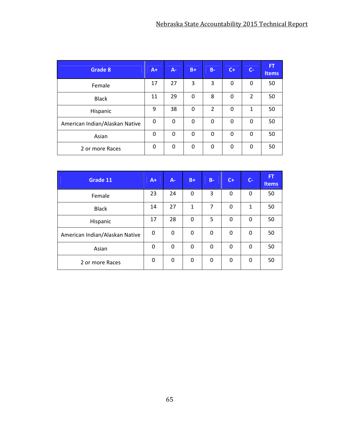| <b>Grade 8</b>                 | $A+$ | A- | $B+$ | $B -$          | $C+$ | $C -$          | <b>FT</b><br><b>Items</b> |
|--------------------------------|------|----|------|----------------|------|----------------|---------------------------|
| Female                         | 17   | 27 | 3    | 3              | 0    | 0              | 50                        |
| <b>Black</b>                   | 11   | 29 | 0    | 8              | 0    | $\overline{2}$ | 50                        |
| Hispanic                       | 9    | 38 | 0    | $\overline{2}$ | 0    | 1              | 50                        |
| American Indian/Alaskan Native | 0    | 0  | 0    | 0              | 0    | 0              | 50                        |
| Asian                          | 0    | 0  | 0    | 0              | 0    | 0              | 50                        |
| 2 or more Races                | 0    | 0  | 0    | 0              | 0    | 0              | 50                        |

| Grade 11                       | $A+$ | $A -$       | $B+$         | $B -$ | $C+$ | $C -$ | <b>FT</b><br><b>Items</b> |
|--------------------------------|------|-------------|--------------|-------|------|-------|---------------------------|
| Female                         | 23   | 24          | $\Omega$     | 3     | 0    | 0     | 50                        |
| <b>Black</b>                   | 14   | 27          | $\mathbf{1}$ | 7     | 0    | 1     | 50                        |
| Hispanic                       | 17   | 28          | $\Omega$     | 5     | 0    | 0     | 50                        |
| American Indian/Alaskan Native | 0    | $\mathbf 0$ | 0            | 0     | 0    | 0     | 50                        |
| Asian                          | 0    | 0           | $\Omega$     | 0     | 0    | 0     | 50                        |
| 2 or more Races                | 0    | 0           | 0            | 0     | 0    | 0     | 50                        |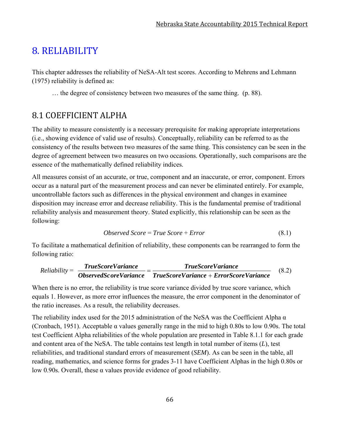# 8. RELIABILITY

This chapter addresses the reliability of NeSA-Alt test scores. According to Mehrens and Lehmann (1975) reliability is defined as:

… the degree of consistency between two measures of the same thing. (p. 88).

# 8.1 COEFFICIENT ALPHA

The ability to measure consistently is a necessary prerequisite for making appropriate interpretations (i.e., showing evidence of valid use of results). Conceptually, reliability can be referred to as the consistency of the results between two measures of the same thing. This consistency can be seen in the degree of agreement between two measures on two occasions. Operationally, such comparisons are the essence of the mathematically defined reliability indices.

All measures consist of an accurate, or true, component and an inaccurate, or error, component. Errors occur as a natural part of the measurement process and can never be eliminated entirely. For example, uncontrollable factors such as differences in the physical environment and changes in examinee disposition may increase error and decrease reliability. This is the fundamental premise of traditional reliability analysis and measurement theory. Stated explicitly, this relationship can be seen as the following:

$$
Observed Score = True Score + Error
$$
\n
$$
(8.1)
$$

To facilitate a mathematical definition of reliability, these components can be rearranged to form the following ratio:

$$
Reliability = \frac{TrueScoreVariance}{ObserveVariance} = \frac{TrueScoreVariance}{TrueScoreVariance + ErrorScoreVariance}
$$
(8.2)

When there is no error, the reliability is true score variance divided by true score variance, which equals 1. However, as more error influences the measure, the error component in the denominator of the ratio increases. As a result, the reliability decreases.

The reliability index used for the 2015 administration of the NeSA was the Coefficient Alpha  $\alpha$ (Cronbach, 1951). Acceptable α values generally range in the mid to high 0.80s to low 0.90s. The total test Coefficient Alpha reliabilities of the whole population are presented in Table 8.1.1 for each grade and content area of the NeSA. The table contains test length in total number of items (*L*), test reliabilities, and traditional standard errors of measurement (*SEM*). As can be seen in the table, all reading, mathematics, and science forms for grades 3-11 have Coefficient Alphas in the high 0.80s or low 0.90s. Overall, these α values provide evidence of good reliability.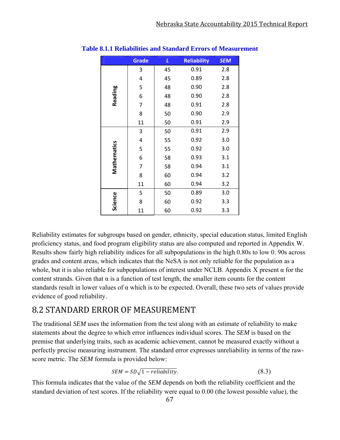|             | <b>Grade</b> | L  | <b>Reliability</b> | <b>SEM</b> |
|-------------|--------------|----|--------------------|------------|
|             | 3            | 45 | 0.91               | 2.8        |
|             | 4            | 45 | 0.89               | 2.8        |
|             | 5            | 48 | 0.90               | 2.8        |
| Reading     | 6            | 48 | 0.90               | 2.8        |
|             | 7            | 48 | 0.91               | 2.8        |
|             | 8            | 50 | 0.90               | 2.9        |
|             | 11           | 50 | 0.91               | 2.9        |
|             | 3            | 50 | 0.91               | 2.9        |
|             | 4            | 55 | 0.92               | 3.0        |
| Mathematics | 5            | 55 | 0.92               | 3.0        |
|             | 6            | 58 | 0.93               | 3.1        |
|             | 7            | 58 | 0.94               | 3.1        |
|             | 8            | 60 | 0.94               | 3.2        |
|             | 11           | 60 | 0.94               | 3.2        |
|             | 5            | 50 | 0.89               | 3.0        |
| Science     | 8            | 60 | 0.92               | 3.3        |
|             | 11           | 60 | 0.92               | 3.3        |

#### **Table 8.1.1 Reliabilities and Standard Errors of Measurement**

Reliability estimates for subgroups based on gender, ethnicity, special education status, limited English proficiency status, and food program eligibility status are also computed and reported in Appendix W. Results show fairly high reliability indices for all subpopulations in the high 0.80s to low 0. 90s across grades and content areas, which indicates that the NeSA is not only reliable for the population as a whole, but it is also reliable for subpopulations of interest under NCLB. Appendix X present  $\alpha$  for the content strands. Given that  $\alpha$  is a function of test length, the smaller item counts for the content standards result in lower values of  $\alpha$  which is to be expected. Overall, these two sets of values provide evidence of good reliability.

### 8.2 STANDARD ERROR OF MEASUREMENT

The traditional *SEM* uses the information from the test along with an estimate of reliability to make statements about the degree to which error influences individual scores. The *SEM* is based on the premise that underlying traits, such as academic achievement, cannot be measured exactly without a perfectly precise measuring instrument. The standard error expresses unreliability in terms of the rawscore metric. The *SEM* formula is provided below:

$$
SEM = SD\sqrt{1 - reliability}.
$$
\n(8.3)

This formula indicates that the value of the *SEM* depends on both the reliability coefficient and the standard deviation of test scores. If the reliability were equal to 0.00 (the lowest possible value), the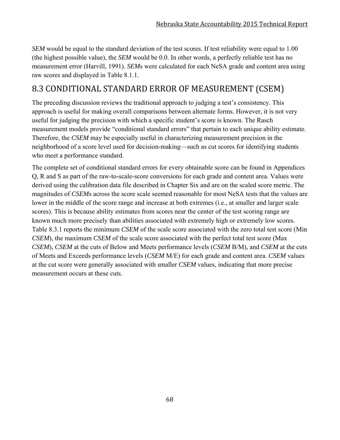*SEM* would be equal to the standard deviation of the test scores. If test reliability were equal to 1.00 (the highest possible value), the *SEM* would be 0.0. In other words, a perfectly reliable test has no measurement error (Harvill, 1991). *SEM*s were calculated for each NeSA grade and content area using raw scores and displayed in Table 8.1.1.

## 8.3 CONDITIONAL STANDARD ERROR OF MEASUREMENT (CSEM)

The preceding discussion reviews the traditional approach to judging a test's consistency. This approach is useful for making overall comparisons between alternate forms. However, it is not very useful for judging the precision with which a specific student's score is known. The Rasch measurement models provide "conditional standard errors" that pertain to each unique ability estimate. Therefore, the *CSEM* may be especially useful in characterizing measurement precision in the neighborhood of a score level used for decision-making—such as cut scores for identifying students who meet a performance standard.

The complete set of conditional standard errors for every obtainable score can be found in Appendices Q, R and S as part of the raw-to-scale-score conversions for each grade and content area. Values were derived using the calibration data file described in Chapter Six and are on the scaled score metric. The magnitudes of *CSEM*s across the score scale seemed reasonable for most NeSA tests that the values are lower in the middle of the score range and increase at both extremes (i.e., at smaller and larger scale scores). This is because ability estimates from scores near the center of the test scoring range are known much more precisely than abilities associated with extremely high or extremely low scores. Table 8.3.1 reports the minimum *CSEM* of the scale score associated with the zero total test score (Min *CSEM*), the maximum *CSEM* of the scale score associated with the perfect total test score (Max *CSEM*), *CSEM* at the cuts of Below and Meets performance levels (*CSEM* B/M), and *CSEM* at the cuts of Meets and Exceeds performance levels (*CSEM* M/E) for each grade and content area. *CSEM* values at the cut score were generally associated with smaller *CSEM* values, indicating that more precise measurement occurs at these cuts.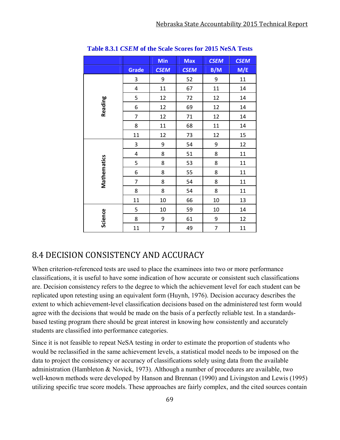|             |                | Min         | <b>Max</b>  | <b>CSEM</b>              | <b>CSEM</b> |
|-------------|----------------|-------------|-------------|--------------------------|-------------|
|             | <b>Grade</b>   | <b>CSEM</b> | <b>CSEM</b> | B/M                      | M/E         |
|             | 3              | 9           | 52          | 9                        | 11          |
|             | 4              | 11          | 67          | 11                       | 14          |
|             | 5              | 12          | 72          | 12                       | 14          |
| Reading     | 6              | 12          | 69          | 12                       | 14          |
|             | $\overline{7}$ | 12          | 71          | 12                       | 14          |
|             | 8              | 11          | 68          | 11                       | 14          |
|             | 11             | 12          | 73          | 12                       | 15          |
|             | 3              | 9           | 54          | 9                        | 12          |
|             | 4              | 8           | 51          | 8                        | 11          |
|             | 5              | 8           | 53          | 8                        | 11          |
| Mathematics | 6              | 8           | 55          | 8                        | 11          |
|             | $\overline{7}$ | 8           | 54          | 8                        | 11          |
|             | 8              | 8           | 54          | 8                        | 11          |
|             | 11             | 10          | 66          | 10                       | 13          |
|             | 5              | 10          | 59          | 10                       | 14          |
| Science     | 8              | 9           | 61          | 9                        | 12          |
|             | 11             | 7           | 49          | $\overline{\phantom{a}}$ | 11          |

**Table 8.3.1** *CSEM* **of the Scale Scores for 2015 NeSA Tests** 

## 8.4 DECISION CONSISTENCY AND ACCURACY

When criterion-referenced tests are used to place the examinees into two or more performance classifications, it is useful to have some indication of how accurate or consistent such classifications are. Decision consistency refers to the degree to which the achievement level for each student can be replicated upon retesting using an equivalent form (Huynh, 1976). Decision accuracy describes the extent to which achievement-level classification decisions based on the administered test form would agree with the decisions that would be made on the basis of a perfectly reliable test. In a standardsbased testing program there should be great interest in knowing how consistently and accurately students are classified into performance categories.

Since it is not feasible to repeat NeSA testing in order to estimate the proportion of students who would be reclassified in the same achievement levels, a statistical model needs to be imposed on the data to project the consistency or accuracy of classifications solely using data from the available administration (Hambleton & Novick, 1973). Although a number of procedures are available, two well-known methods were developed by Hanson and Brennan (1990) and Livingston and Lewis (1995) utilizing specific true score models. These approaches are fairly complex, and the cited sources contain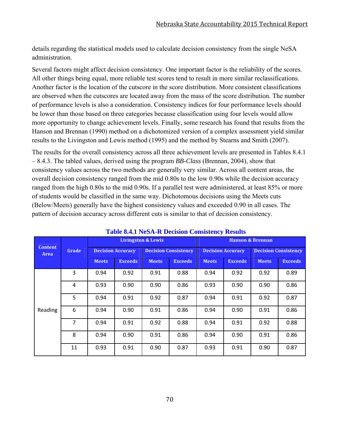details regarding the statistical models used to calculate decision consistency from the single NeSA administration.

Several factors might affect decision consistency. One important factor is the reliability of the scores. All other things being equal, more reliable test scores tend to result in more similar reclassifications. Another factor is the location of the cutscore in the score distribution. More consistent classifications are observed when the cutscores are located away from the mass of the score distribution. The number of performance levels is also a consideration. Consistency indices for four performance levels should be lower than those based on three categories because classification using four levels would allow more opportunity to change achievement levels. Finally, some research has found that results from the Hanson and Brennan (1990) method on a dichotomized version of a complex assessment yield similar results to the Livingston and Lewis method (1995) and the method by Stearns and Smith (2007).

The results for the overall consistency across all three achievement levels are presented in Tables 8.4.1 – 8.4.3. The tabled values, derived using the program *BB-Class* (Brennan, 2004), show that consistency values across the two methods are generally very similar. Across all content areas, the overall decision consistency ranged from the mid 0.80s to the low 0.90s while the decision accuracy ranged from the high 0.80s to the mid 0.90s. If a parallel test were administered, at least 85% or more of students would be classified in the same way. Dichotomous decisions using the Meets cuts (Below/Meets) generally have the highest consistency values and exceeded 0.90 in all cases. The pattern of decision accuracy across different cuts is similar to that of decision consistency.

|                        | Grade |                          |                | <b>Livingston &amp; Lewis</b> |                             | <b>Hanson &amp; Brennan</b> |                          |              |                             |  |
|------------------------|-------|--------------------------|----------------|-------------------------------|-----------------------------|-----------------------------|--------------------------|--------------|-----------------------------|--|
| <b>Content</b><br>Area |       | <b>Decision Accuracy</b> |                |                               | <b>Decision Consistency</b> |                             | <b>Decision Accuracy</b> |              | <b>Decision Consistency</b> |  |
|                        |       | <b>Meets</b>             | <b>Exceeds</b> | <b>Meets</b>                  | <b>Exceeds</b>              | <b>Meets</b>                | <b>Exceeds</b>           | <b>Meets</b> | <b>Exceeds</b>              |  |
|                        | 3     | 0.94                     | 0.92           | 0.91                          | 0.88                        | 0.94                        | 0.92                     | 0.92         | 0.89                        |  |
|                        | 4     | 0.93                     | 0.90           | 0.90                          | 0.86                        | 0.93                        | 0.90                     | 0.90         | 0.86                        |  |
|                        | 5     | 0.94                     | 0.91           | 0.92                          | 0.87                        | 0.94                        | 0.91                     | 0.92         | 0.87                        |  |
| Reading                | 6     | 0.94                     | 0.90           | 0.91                          | 0.86                        | 0.94                        | 0.90                     | 0.91         | 0.86                        |  |
|                        | 7     | 0.94                     | 0.91           | 0.92                          | 0.88                        | 0.94                        | 0.91                     | 0.92         | 0.88                        |  |
|                        | 8     | 0.94                     | 0.90           | 0.91                          | 0.86                        | 0.94                        | 0.90                     | 0.91         | 0.86                        |  |
|                        | 11    | 0.93                     | 0.91           | 0.90                          | 0.87                        | 0.93                        | 0.91                     | 0.90         | 0.87                        |  |

#### **Table 8.4.1 NeSA-R Decision Consistency Results**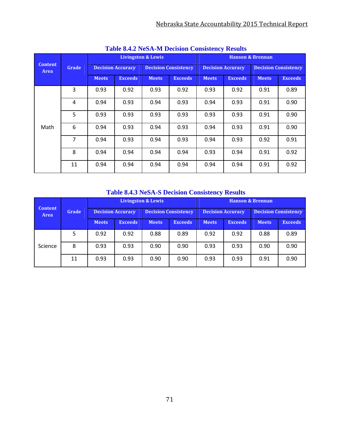| <b>Table 0.7.2 INCOPY IN DUCISION CONSISTENTY INCRITES</b> |                |                          |                |                               |                             |                             |                          |              |                             |  |  |  |
|------------------------------------------------------------|----------------|--------------------------|----------------|-------------------------------|-----------------------------|-----------------------------|--------------------------|--------------|-----------------------------|--|--|--|
|                                                            |                |                          |                | <b>Livingston &amp; Lewis</b> |                             | <b>Hanson &amp; Brennan</b> |                          |              |                             |  |  |  |
| <b>Content</b><br>Area                                     | <b>Grade</b>   | <b>Decision Accuracy</b> |                |                               | <b>Decision Consistency</b> |                             | <b>Decision Accuracy</b> |              | <b>Decision Consistency</b> |  |  |  |
|                                                            |                | <b>Meets</b>             | <b>Exceeds</b> | <b>Meets</b>                  | <b>Exceeds</b>              | <b>Meets</b>                | <b>Exceeds</b>           | <b>Meets</b> | <b>Exceeds</b>              |  |  |  |
|                                                            | 3              | 0.93                     | 0.92           | 0.93                          | 0.92                        | 0.93                        | 0.92                     | 0.91         | 0.89                        |  |  |  |
|                                                            | 4              | 0.94                     | 0.93           | 0.94                          | 0.93                        | 0.94                        | 0.93                     | 0.91         | 0.90                        |  |  |  |
|                                                            | 5              | 0.93                     | 0.93           | 0.93                          | 0.93                        | 0.93                        | 0.93                     | 0.91         | 0.90                        |  |  |  |
| Math                                                       | 6              | 0.94                     | 0.93           | 0.94                          | 0.93                        | 0.94                        | 0.93                     | 0.91         | 0.90                        |  |  |  |
|                                                            | $\overline{7}$ | 0.94                     | 0.93           | 0.94                          | 0.93                        | 0.94                        | 0.93                     | 0.92         | 0.91                        |  |  |  |
|                                                            | 8              | 0.94                     | 0.94           | 0.94                          | 0.94                        | 0.93                        | 0.94                     | 0.91         | 0.92                        |  |  |  |
|                                                            | 11             | 0.94                     | 0.94           | 0.94                          | 0.94                        | 0.94                        | 0.94                     | 0.91         | 0.92                        |  |  |  |

**Table 8.4.2 NeSA-M Decision Consistency Results** 

### **Table 8.4.3 NeSA-S Decision Consistency Results**

|                        |       |                          |                | <b>Livingston &amp; Lewis</b> |                | <b>Hanson &amp; Brennan</b> |                |                             |                |  |
|------------------------|-------|--------------------------|----------------|-------------------------------|----------------|-----------------------------|----------------|-----------------------------|----------------|--|
| <b>Content</b><br>Area | Grade | <b>Decision Accuracy</b> |                | <b>Decision Consistency</b>   |                | <b>Decision Accuracy</b>    |                | <b>Decision Consistency</b> |                |  |
|                        |       | <b>Meets</b>             | <b>Exceeds</b> | <b>Meets</b>                  | <b>Exceeds</b> | <b>Meets</b>                | <b>Exceeds</b> | <b>Meets</b>                | <b>Exceeds</b> |  |
|                        | 5     | 0.92                     | 0.92           | 0.88                          | 0.89           | 0.92                        | 0.92           | 0.88                        | 0.89           |  |
| Science                | 8     | 0.93                     | 0.93           | 0.90                          | 0.90           | 0.93                        | 0.93           | 0.90                        | 0.90           |  |
|                        | 11    | 0.93                     | 0.93           | 0.90                          | 0.90           | 0.93                        | 0.93           | 0.91                        | 0.90           |  |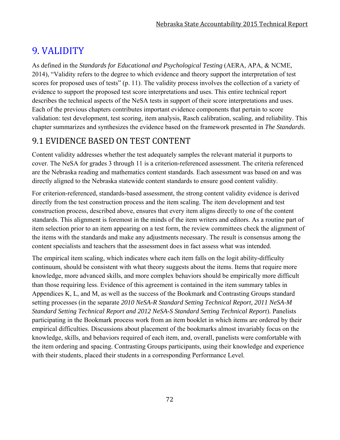# 9. VALIDITY

As defined in the *Standards for Educational and Psychological Testing* (AERA, APA, & NCME, 2014), "Validity refers to the degree to which evidence and theory support the interpretation of test scores for proposed uses of tests" (p. 11). The validity process involves the collection of a variety of evidence to support the proposed test score interpretations and uses. This entire technical report describes the technical aspects of the NeSA tests in support of their score interpretations and uses. Each of the previous chapters contributes important evidence components that pertain to score validation: test development, test scoring, item analysis, Rasch calibration, scaling, and reliability. This chapter summarizes and synthesizes the evidence based on the framework presented in *The Standards*.

# 9.1 EVIDENCE BASED ON TEST CONTENT

Content validity addresses whether the test adequately samples the relevant material it purports to cover. The NeSA for grades 3 through 11 is a criterion-referenced assessment. The criteria referenced are the Nebraska reading and mathematics content standards. Each assessment was based on and was directly aligned to the Nebraska statewide content standards to ensure good content validity.

For criterion-referenced, standards-based assessment, the strong content validity evidence is derived directly from the test construction process and the item scaling. The item development and test construction process, described above, ensures that every item aligns directly to one of the content standards. This alignment is foremost in the minds of the item writers and editors. As a routine part of item selection prior to an item appearing on a test form, the review committees check the alignment of the items with the standards and make any adjustments necessary. The result is consensus among the content specialists and teachers that the assessment does in fact assess what was intended.

The empirical item scaling, which indicates where each item falls on the logit ability-difficulty continuum, should be consistent with what theory suggests about the items. Items that require more knowledge, more advanced skills, and more complex behaviors should be empirically more difficult than those requiring less. Evidence of this agreement is contained in the item summary tables in Appendices K, L, and M, as well as the success of the Bookmark and Contrasting Groups standard setting processes (in the separate *2010 NeSA-R Standard Setting Technical Report, 2011 NeSA-M Standard Setting Technical Report and 2012 NeSA-S Standard Setting Technical Report*). Panelists participating in the Bookmark process work from an item booklet in which items are ordered by their empirical difficulties. Discussions about placement of the bookmarks almost invariably focus on the knowledge, skills, and behaviors required of each item, and, overall, panelists were comfortable with the item ordering and spacing. Contrasting Groups participants, using their knowledge and experience with their students, placed their students in a corresponding Performance Level.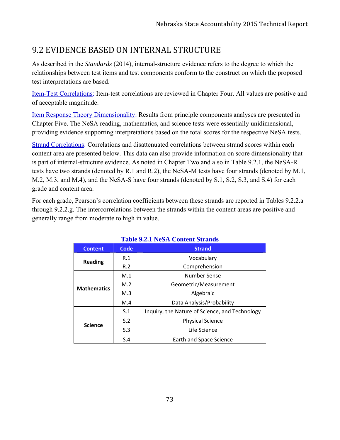# 9.2 EVIDENCE BASED ON INTERNAL STRUCTURE

As described in the *Standards* (2014), internal-structure evidence refers to the degree to which the relationships between test items and test components conform to the construct on which the proposed test interpretations are based.

Item-Test Correlations: Item-test correlations are reviewed in Chapter Four. All values are positive and of acceptable magnitude.

Item Response Theory Dimensionality: Results from principle components analyses are presented in Chapter Five. The NeSA reading, mathematics, and science tests were essentially unidimensional, providing evidence supporting interpretations based on the total scores for the respective NeSA tests.

Strand Correlations: Correlations and disattenuated correlations between strand scores within each content area are presented below. This data can also provide information on score dimensionality that is part of internal-structure evidence. As noted in Chapter Two and also in Table 9.2.1, the NeSA-R tests have two strands (denoted by R.1 and R.2), the NeSA-M tests have four strands (denoted by M.1, M.2, M.3, and M.4), and the NeSA-S have four strands (denoted by S.1, S.2, S.3, and S.4) for each grade and content area.

For each grade, Pearson's correlation coefficients between these strands are reported in Tables 9.2.2.a through 9.2.2.g. The intercorrelations between the strands within the content areas are positive and generally range from moderate to high in value.

**Table 9.2.1 NeSA Content Strands** 

|                    |      | Table 9.2.1 Nest Content Strands               |  |  |  |  |  |
|--------------------|------|------------------------------------------------|--|--|--|--|--|
| <b>Content</b>     | Code | <b>Strand</b>                                  |  |  |  |  |  |
| <b>Reading</b>     | R.1  | Vocabulary                                     |  |  |  |  |  |
|                    | R.2  | Comprehension                                  |  |  |  |  |  |
|                    | M.1  | Number Sense                                   |  |  |  |  |  |
| <b>Mathematics</b> | M.2  | Geometric/Measurement                          |  |  |  |  |  |
|                    | M.3  | Algebraic                                      |  |  |  |  |  |
|                    | M.4  | Data Analysis/Probability                      |  |  |  |  |  |
|                    | S.1  | Inquiry, the Nature of Science, and Technology |  |  |  |  |  |
|                    | S.2  | <b>Physical Science</b>                        |  |  |  |  |  |
| <b>Science</b>     | S.3  | Life Science                                   |  |  |  |  |  |
|                    | S.4  | Earth and Space Science                        |  |  |  |  |  |

73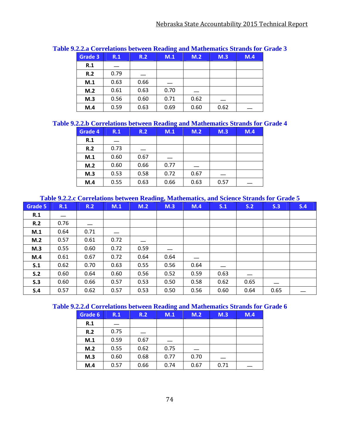|         |      |      | $\sim$ |      |      |     |
|---------|------|------|--------|------|------|-----|
| Grade 3 | R.1  | R.2  | M.1    | M.2  | M.3  | M.4 |
| R.1     |      |      |        |      |      |     |
| R.2     | 0.79 |      |        |      |      |     |
| M.1     | 0.63 | 0.66 |        |      |      |     |
| M.2     | 0.61 | 0.63 | 0.70   |      |      |     |
| M.3     | 0.56 | 0.60 | 0.71   | 0.62 |      |     |
| M.4     | 0.59 | 0.63 | 0.69   | 0.60 | 0.62 |     |

#### **Table 9.2.2.a Correlations between Reading and Mathematics Strands for Grade 3**

#### **Table 9.2.2.b Correlations between Reading and Mathematics Strands for Grade 4**

| Grade 4 | R.1  | R.2  | M.1  | M.2  | M.3  | M.4 |
|---------|------|------|------|------|------|-----|
| R.1     |      |      |      |      |      |     |
| R.2     | 0.73 |      |      |      |      |     |
| M.1     | 0.60 | 0.67 |      |      |      |     |
| M.2     | 0.60 | 0.66 | 0.77 |      |      |     |
| M.3     | 0.53 | 0.58 | 0.72 | 0.67 |      |     |
| M.4     | 0.55 | 0.63 | 0.66 | 0.63 | 0.57 |     |

#### **Table 9.2.2.c Correlations between Reading, Mathematics, and Science Strands for Grade 5**

| <b>Grade 5</b> | R.1  | R.2  | M.1  | M.2  | M.3  | M.4  | S.1  | S.2  | S.3  | S.4 |
|----------------|------|------|------|------|------|------|------|------|------|-----|
| R.1            |      |      |      |      |      |      |      |      |      |     |
| R.2            | 0.76 |      |      |      |      |      |      |      |      |     |
| M.1            | 0.64 | 0.71 |      |      |      |      |      |      |      |     |
| M.2            | 0.57 | 0.61 | 0.72 |      |      |      |      |      |      |     |
| M.3            | 0.55 | 0.60 | 0.72 | 0.59 | __   |      |      |      |      |     |
| M.4            | 0.61 | 0.67 | 0.72 | 0.64 | 0.64 |      |      |      |      |     |
| S.1            | 0.62 | 0.70 | 0.63 | 0.55 | 0.56 | 0.64 |      |      |      |     |
| S.2            | 0.60 | 0.64 | 0.60 | 0.56 | 0.52 | 0.59 | 0.63 |      |      |     |
| S.3            | 0.60 | 0.66 | 0.57 | 0.53 | 0.50 | 0.58 | 0.62 | 0.65 |      |     |
| S.4            | 0.57 | 0.62 | 0.57 | 0.53 | 0.50 | 0.56 | 0.60 | 0.64 | 0.65 |     |

### **Table 9.2.2.d Correlations between Reading and Mathematics Strands for Grade 6**

| Grade 6 | R.1  | R.2  | $\sim$<br>M.1 | M.2  | M.3  | M.4 |
|---------|------|------|---------------|------|------|-----|
| R.1     |      |      |               |      |      |     |
| R.2     | 0.75 |      |               |      |      |     |
| M.1     | 0.59 | 0.67 |               |      |      |     |
| M.2     | 0.55 | 0.62 | 0.75          |      |      |     |
| M.3     | 0.60 | 0.68 | 0.77          | 0.70 |      |     |
| M.4     | 0.57 | 0.66 | 0.74          | 0.67 | 0.71 |     |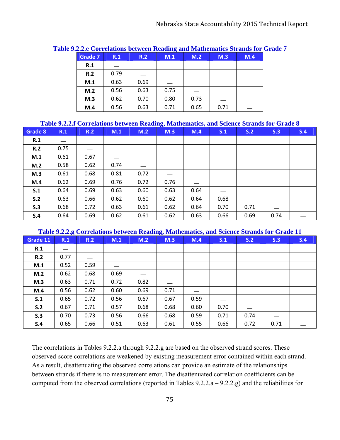| Grade 7 | R.1  | R.2  | M.1  | M.2  | M.3  | M.4 |
|---------|------|------|------|------|------|-----|
| R.1     |      |      |      |      |      |     |
| R.2     | 0.79 |      |      |      |      |     |
| M.1     | 0.63 | 0.69 |      |      |      |     |
| M.2     | 0.56 | 0.63 | 0.75 |      |      |     |
| M.3     | 0.62 | 0.70 | 0.80 | 0.73 |      |     |
| M.4     | 0.56 | 0.63 | 0.71 | 0.65 | 0.71 |     |

#### **Table 9.2.2.e Correlations between Reading and Mathematics Strands for Grade 7**

#### **Table 9.2.2.f Correlations between Reading, Mathematics, and Science Strands for Grade 8**

| <b>Grade 8</b> | R.1  | R.2  | M.1  | M.2  | M.3  | M.4  | S.1  | S.2  | S.3  | S.4 |
|----------------|------|------|------|------|------|------|------|------|------|-----|
| R.1            |      |      |      |      |      |      |      |      |      |     |
| R.2            | 0.75 |      |      |      |      |      |      |      |      |     |
| M.1            | 0.61 | 0.67 |      |      |      |      |      |      |      |     |
| M.2            | 0.58 | 0.62 | 0.74 |      |      |      |      |      |      |     |
| M.3            | 0.61 | 0.68 | 0.81 | 0.72 |      |      |      |      |      |     |
| M.4            | 0.62 | 0.69 | 0.76 | 0.72 | 0.76 |      |      |      |      |     |
| S.1            | 0.64 | 0.69 | 0.63 | 0.60 | 0.63 | 0.64 |      |      |      |     |
| S.2            | 0.63 | 0.66 | 0.62 | 0.60 | 0.62 | 0.64 | 0.68 |      |      |     |
| S.3            | 0.68 | 0.72 | 0.63 | 0.61 | 0.62 | 0.64 | 0.70 | 0.71 |      |     |
| S.4            | 0.64 | 0.69 | 0.62 | 0.61 | 0.62 | 0.63 | 0.66 | 0.69 | 0.74 |     |

#### **Table 9.2.2.g Correlations between Reading, Mathematics, and Science Strands for Grade 11**

| Grade 11 | R.1  | R.2  | M.1  | M.2  | M.3  | M.4  | S.1  | S.2  | S.3  | S.4 |
|----------|------|------|------|------|------|------|------|------|------|-----|
| R.1      |      |      |      |      |      |      |      |      |      |     |
| R.2      | 0.77 |      |      |      |      |      |      |      |      |     |
| M.1      | 0.52 | 0.59 |      |      |      |      |      |      |      |     |
| M.2      | 0.62 | 0.68 | 0.69 |      |      |      |      |      |      |     |
| M.3      | 0.63 | 0.71 | 0.72 | 0.82 |      |      |      |      |      |     |
| M.4      | 0.56 | 0.62 | 0.60 | 0.69 | 0.71 |      |      |      |      |     |
| S.1      | 0.65 | 0.72 | 0.56 | 0.67 | 0.67 | 0.59 |      |      |      |     |
| S.2      | 0.67 | 0.71 | 0.57 | 0.68 | 0.68 | 0.60 | 0.70 |      |      |     |
| S.3      | 0.70 | 0.73 | 0.56 | 0.66 | 0.68 | 0.59 | 0.71 | 0.74 |      |     |
| S.4      | 0.65 | 0.66 | 0.51 | 0.63 | 0.61 | 0.55 | 0.66 | 0.72 | 0.71 |     |

The correlations in Tables 9.2.2.a through 9.2.2.g are based on the observed strand scores. These observed-score correlations are weakened by existing measurement error contained within each strand. As a result, disattenuating the observed correlations can provide an estimate of the relationships between strands if there is no measurement error. The disattenuated correlation coefficients can be computed from the observed correlations (reported in Tables 9.2.2.a – 9.2.2.g) and the reliabilities for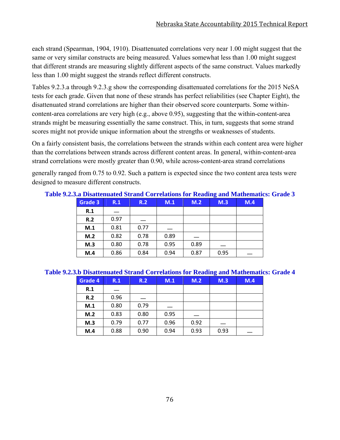each strand (Spearman, 1904, 1910). Disattenuated correlations very near 1.00 might suggest that the same or very similar constructs are being measured. Values somewhat less than 1.00 might suggest that different strands are measuring slightly different aspects of the same construct. Values markedly less than 1.00 might suggest the strands reflect different constructs.

Tables 9.2.3.a through 9.2.3.g show the corresponding disattenuated correlations for the 2015 NeSA tests for each grade. Given that none of these strands has perfect reliabilities (see Chapter Eight), the disattenuated strand correlations are higher than their observed score counterparts. Some withincontent-area correlations are very high (e.g., above 0.95), suggesting that the within-content-area strands might be measuring essentially the same construct. This, in turn, suggests that some strand scores might not provide unique information about the strengths or weaknesses of students.

On a fairly consistent basis, the correlations between the strands within each content area were higher than the correlations between strands across different content areas. In general, within-content-area strand correlations were mostly greater than 0.90, while across-content-area strand correlations

generally ranged from 0.75 to 0.92. Such a pattern is expected since the two content area tests were designed to measure different constructs.

|         |      |      |      |      | $\bullet$ |     |
|---------|------|------|------|------|-----------|-----|
| Grade 3 | R.1  | R.2  | M.1  | M.2  | M.3       | M.4 |
| R.1     |      |      |      |      |           |     |
| R.2     | 0.97 |      |      |      |           |     |
| M.1     | 0.81 | 0.77 |      |      |           |     |
| M.2     | 0.82 | 0.78 | 0.89 |      |           |     |
| M.3     | 0.80 | 0.78 | 0.95 | 0.89 |           |     |
| M.4     | 0.86 | 0.84 | 0.94 | 0.87 | 0.95      |     |

**Table 9.2.3.a Disattenuated Strand Correlations for Reading and Mathematics: Grade 3**

#### **Table 9.2.3.b Disattenuated Strand Correlations for Reading and Mathematics: Grade 4**

| Grade 4 | R.1  | R.2  | M.1  | M.2  | M.3  | M.4 |
|---------|------|------|------|------|------|-----|
| R.1     |      |      |      |      |      |     |
| R.2     | 0.96 |      |      |      |      |     |
| M.1     | 0.80 | 0.79 |      |      |      |     |
| M.2     | 0.83 | 0.80 | 0.95 |      |      |     |
| M.3     | 0.79 | 0.77 | 0.96 | 0.92 |      |     |
| M.4     | 0.88 | 0.90 | 0.94 | 0.93 | 0.93 |     |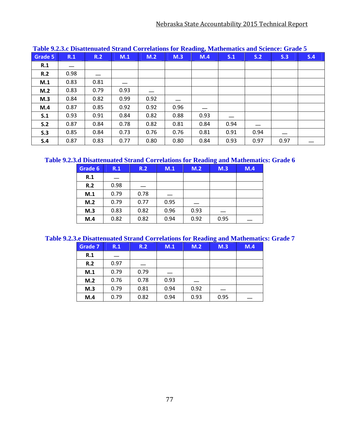| <u>radio Album Dibamentaneu diranu Correlations for reaunity mainematics and defence. Grade d</u> |      |      |      |      |      |      |      |      |      |     |  |
|---------------------------------------------------------------------------------------------------|------|------|------|------|------|------|------|------|------|-----|--|
| Grade 5                                                                                           | R.1  | R.2  | M.1  | M.2  | M.3  | M.4  | S.1  | S.2  | S.3  | S.4 |  |
| R.1                                                                                               |      |      |      |      |      |      |      |      |      |     |  |
| R.2                                                                                               | 0.98 |      |      |      |      |      |      |      |      |     |  |
| M.1                                                                                               | 0.83 | 0.81 |      |      |      |      |      |      |      |     |  |
| M.2                                                                                               | 0.83 | 0.79 | 0.93 |      |      |      |      |      |      |     |  |
| M.3                                                                                               | 0.84 | 0.82 | 0.99 | 0.92 |      |      |      |      |      |     |  |
| M.4                                                                                               | 0.87 | 0.85 | 0.92 | 0.92 | 0.96 |      |      |      |      |     |  |
| S.1                                                                                               | 0.93 | 0.91 | 0.84 | 0.82 | 0.88 | 0.93 |      |      |      |     |  |
| S.2                                                                                               | 0.87 | 0.84 | 0.78 | 0.82 | 0.81 | 0.84 | 0.94 |      |      |     |  |
| S.3                                                                                               | 0.85 | 0.84 | 0.73 | 0.76 | 0.76 | 0.81 | 0.91 | 0.94 |      |     |  |
| S.4                                                                                               | 0.87 | 0.83 | 0.77 | 0.80 | 0.80 | 0.84 | 0.93 | 0.97 | 0.97 |     |  |

#### **Table 9.2.3.c Disattenuated Strand Correlations for Reading, Mathematics and Science: Grade 5**

### **Table 9.2.3.d Disattenuated Strand Correlations for Reading and Mathematics: Grade 6**

| Grade 6 | R.1  | R.2  | M.1  | M.2  | $\sim$<br>M.3 | M.4 |
|---------|------|------|------|------|---------------|-----|
| R.1     |      |      |      |      |               |     |
| R.2     | 0.98 |      |      |      |               |     |
| M.1     | 0.79 | 0.78 |      |      |               |     |
| M.2     | 0.79 | 0.77 | 0.95 |      |               |     |
| M.3     | 0.83 | 0.82 | 0.96 | 0.93 |               |     |
| M.4     | 0.82 | 0.82 | 0.94 | 0.92 | 0.95          |     |

#### **Table 9.2.3.e Disattenuated Strand Correlations for Reading and Mathematics: Grade 7**

| <b>Grade 7</b> | R.1  | R.2  | M.1  | M.2  | -<br>M.3 | M.4 |
|----------------|------|------|------|------|----------|-----|
| R.1            |      |      |      |      |          |     |
| R.2            | 0.97 |      |      |      |          |     |
| M.1            | 0.79 | 0.79 |      |      |          |     |
| M.2            | 0.76 | 0.78 | 0.93 |      |          |     |
| M.3            | 0.79 | 0.81 | 0.94 | 0.92 |          |     |
| M.4            | 0.79 | 0.82 | 0.94 | 0.93 | 0.95     |     |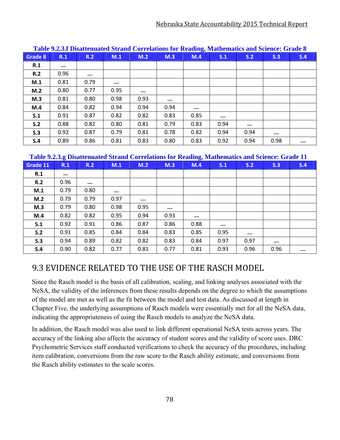| Table 7.2.3.1 Disaltentiated blf and Correlations for Keauing, Mathematics and Science. Orage o |      |      |      |      |      |      |      |      |      |     |
|-------------------------------------------------------------------------------------------------|------|------|------|------|------|------|------|------|------|-----|
| <b>Grade 8</b>                                                                                  | R.1  | R.2  | M.1  | M.2  | M.3  | M.4  | S.1  | S.2  | S.3  | S.4 |
| R.1                                                                                             |      |      |      |      |      |      |      |      |      |     |
| R.2                                                                                             | 0.96 |      |      |      |      |      |      |      |      |     |
| M.1                                                                                             | 0.81 | 0.79 |      |      |      |      |      |      |      |     |
| M.2                                                                                             | 0.80 | 0.77 | 0.95 |      |      |      |      |      |      |     |
| M.3                                                                                             | 0.81 | 0.80 | 0.98 | 0.93 |      |      |      |      |      |     |
| M.4                                                                                             | 0.84 | 0.82 | 0.94 | 0.94 | 0.94 |      |      |      |      |     |
| S.1                                                                                             | 0.91 | 0.87 | 0.82 | 0.82 | 0.83 | 0.85 |      |      |      |     |
| S.2                                                                                             | 0.88 | 0.82 | 0.80 | 0.81 | 0.79 | 0.83 | 0.94 |      |      |     |
| S.3                                                                                             | 0.92 | 0.87 | 0.79 | 0.81 | 0.78 | 0.82 | 0.94 | 0.94 |      |     |
| S.4                                                                                             | 0.89 | 0.86 | 0.81 | 0.83 | 0.80 | 0.83 | 0.92 | 0.94 | 0.98 |     |

#### **Table 9.2.3.f Disattenuated Strand Correlations for Reading, Mathematics and Science: Grade 8**

#### **Table 9.2.3.g Disattenuated Strand Correlations for Reading, Mathematics and Science: Grade 11**

| Grade 11 | ັ<br>R.1 | R.2  | M.1  | M.2  | M.3  | $\cdot$<br>M.4 | S.1  | S.2  | S.3  | S.4 |
|----------|----------|------|------|------|------|----------------|------|------|------|-----|
| R.1      |          |      |      |      |      |                |      |      |      |     |
| R.2      | 0.96     |      |      |      |      |                |      |      |      |     |
| M.1      | 0.79     | 0.80 |      |      |      |                |      |      |      |     |
| M.2      | 0.79     | 0.79 | 0.97 |      |      |                |      |      |      |     |
| M.3      | 0.79     | 0.80 | 0.98 | 0.95 |      |                |      |      |      |     |
| M.4      | 0.82     | 0.82 | 0.95 | 0.94 | 0.93 |                |      |      |      |     |
| S.1      | 0.92     | 0.91 | 0.86 | 0.87 | 0.86 | 0.88           |      |      |      |     |
| S.2      | 0.91     | 0.85 | 0.84 | 0.84 | 0.83 | 0.85           | 0.95 |      |      |     |
| S.3      | 0.94     | 0.89 | 0.82 | 0.82 | 0.83 | 0.84           | 0.97 | 0.97 |      |     |
| S.4      | 0.90     | 0.82 | 0.77 | 0.81 | 0.77 | 0.81           | 0.93 | 0.96 | 0.96 |     |

## 9.3 EVIDENCE RELATED TO THE USE OF THE RASCH MODEL

Since the Rasch model is the basis of all calibration, scaling, and linking analyses associated with the NeSA, the validity of the inferences from these results depends on the degree to which the assumptions of the model are met as well as the fit between the model and test data. As discussed at length in Chapter Five, the underlying assumptions of Rasch models were essentially met for all the NeSA data, indicating the appropriateness of using the Rasch models to analyze the NeSA data.

In addition, the Rasch model was also used to link different operational NeSA tests across years. The accuracy of the linking also affects the accuracy of student scores and the validity of score uses. DRC Psychometric Services staff conducted verifications to check the accuracy of the procedures, including item calibration, conversions from the raw score to the Rasch ability estimate, and conversions from the Rasch ability estimates to the scale scores.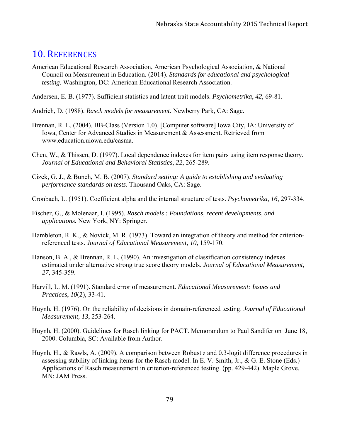## 10. REFERENCES

- American Educational Research Association, American Psychological Association, & National Council on Measurement in Education. (2014). *Standards for educational and psychological testing*. Washington, DC: American Educational Research Association.
- Andersen, E. B. (1977). Sufficient statistics and latent trait models. *Psychometrika*, *42*, 69-81.
- Andrich, D. (1988). *Rasch models for measurement*. Newberry Park, CA: Sage.
- Brennan, R. L. (2004). BB-Class (Version 1.0). [Computer software] Iowa City, IA: University of Iowa, Center for Advanced Studies in Measurement & Assessment. Retrieved from www.education.uiowa.edu/casma.
- Chen, W., & Thissen, D. (1997). Local dependence indexes for item pairs using item response theory. *Journal of Educational and Behavioral Statistics*, *22*, 265-289.
- Cizek, G. J., & Bunch, M. B. (2007). *Standard setting: A guide to establishing and evaluating performance standards on tests*. Thousand Oaks, CA: Sage.
- Cronbach, L. (1951). Coefficient alpha and the internal structure of tests. *Psychometrika*, *16*, 297-334.
- Fischer, G., & Molenaar, I. (1995). *Rasch models : Foundations, recent developments, and applications.* New York, NY: Springer.
- Hambleton, R. K., & Novick, M. R. (1973). Toward an integration of theory and method for criterionreferenced tests. *Journal of Educational Measurement*, *10*, 159-170.
- Hanson, B. A., & Brennan, R. L. (1990). An investigation of classification consistency indexes estimated under alternative strong true score theory models. *Journal of Educational Measurement, 27,* 345-359*.*
- Harvill, L. M. (1991). Standard error of measurement. *Educational Measurement: Issues and Practices*, *10*(2), 33-41.
- Huynh, H. (1976). On the reliability of decisions in domain-referenced testing. *Journal of Educational Measurement, 13*, 253-264.
- Huynh, H. (2000). Guidelines for Rasch linking for PACT. Memorandum to Paul Sandifer on June 18, 2000. Columbia, SC: Available from Author.
- Huynh, H., & Rawls, A. (2009). A comparison between Robust *z* and 0.3-logit difference procedures in assessing stability of linking items for the Rasch model. In E. V. Smith, Jr., & G. E. Stone (Eds.) Applications of Rasch measurement in criterion-referenced testing. (pp. 429-442). Maple Grove, MN: JAM Press.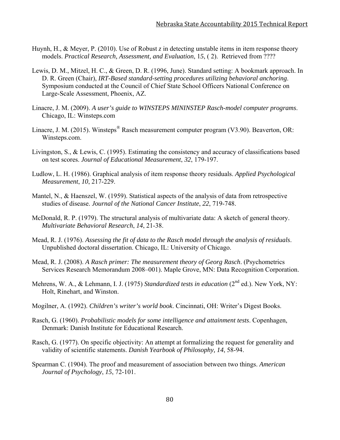- Huynh, H., & Meyer, P. (2010). Use of Robust *z* in detecting unstable items in item response theory models. *Practical Research, Assessment, and Evaluation*, 1*5*, ( 2). Retrieved from ????
- Lewis, D. M., Mitzel, H. C., & Green, D. R. (1996, June). Standard setting: A bookmark approach. In D. R. Green (Chair), *IRT-Based standard-setting procedures utilizing behavioral anchoring*. Symposium conducted at the Council of Chief State School Officers National Conference on Large-Scale Assessment, Phoenix, AZ.
- Linacre, J. M. (2009). *A user's guide to WINSTEPS MININSTEP Rasch-model computer programs*. Chicago, IL: Winsteps.com
- Linacre, J. M. (2015). Winsteps<sup>®</sup> Rasch measurement computer program (V3.90). Beaverton, OR: Winsteps.com.
- Livingston, S., & Lewis, C. (1995). Estimating the consistency and accuracy of classifications based on test scores. *Journal of Educational Measurement*, *32*, 179-197.
- Ludlow, L. H. (1986). Graphical analysis of item response theory residuals. *Applied Psychological Measurement*, *10*, 217-229.
- Mantel, N., & Haenszel, W. (1959). Statistical aspects of the analysis of data from retrospective studies of disease. *Journal of the National Cancer Institute*, *22*, 719-748.
- McDonald, R. P. (1979). The structural analysis of multivariate data: A sketch of general theory. *Multivariate Behavioral Research*, *14*, 21-38.
- Mead, R. J. (1976). *Assessing the fit of data to the Rasch model through the analysis of residuals*. Unpublished doctoral dissertation. Chicago, IL: University of Chicago.
- Mead, R. J. (2008). *A Rasch primer: The measurement theory of Georg Rasch*. (Psychometrics Services Research Memorandum 2008–001). Maple Grove, MN: Data Recognition Corporation.
- Mehrens, W. A., & Lehmann, I. J. (1975) *Standardized tests in education* (2<sup>nd</sup> ed.). New York, NY: Holt, Rinehart, and Winston.
- Mogilner, A. (1992). *Children's writer's world book*. Cincinnati, OH: Writer's Digest Books.
- Rasch, G. (1960). *Probabilistic models for some intelligence and attainment tests*. Copenhagen, Denmark: Danish Institute for Educational Research.
- Rasch, G. (1977). On specific objectivity: An attempt at formalizing the request for generality and validity of scientific statements. *Danish Yearbook of Philosophy, 14*, 58-94.
- Spearman C. (1904). The proof and measurement of association between two things. *American Journal of Psychology*, *15*, 72-101.